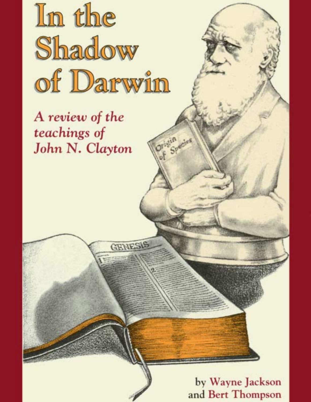

Origin ecies

GENESIS

A review of the teachings of John N. Clayton

> by Wayne Jackson and Bert Thompson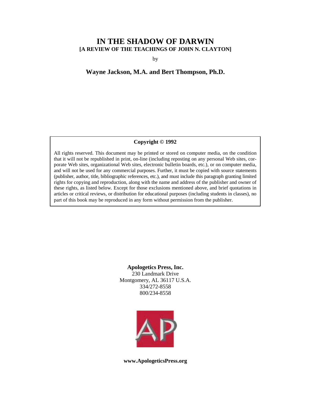# **IN THE SHADOW OF DARWIN [A REVIEW OF THE TEACHINGS OF JOHN N. CLAYTON]**

by

# **Wayne Jackson, M.A. and Bert Thompson, Ph.D.**

# **Copyright © 1992**

All rights reserved. This document may be printed or stored on computer media, on the condition that it will not be republished in print, on-line (including reposting on any personal Web sites, corporate Web sites, organizational Web sites, electronic bulletin boards, etc.), or on computer media, and will not be used for any commercial purposes. Further, it must be copied with source statements (publisher, author, title, bibliographic references, etc.), and must include this paragraph granting limited rights for copying and reproduction, along with the name and address of the publisher and owner of these rights, as listed below. Except for those exclusions mentioned above, and brief quotations in articles or critical reviews, or distribution for educational purposes (including students in classes), no part of this book may be reproduced in any form without permission from the publisher.

> **Apologetics Press, Inc.**  230 Landmark Drive Montgomery, AL 36117 U.S.A. 334/272-8558 800/234-8558



**www.ApologeticsPress.org**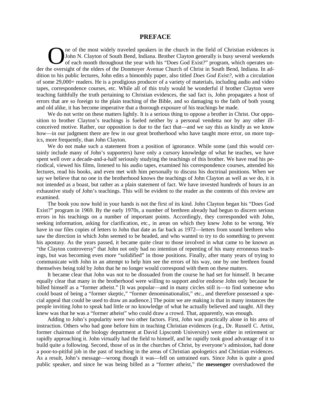# **PREFACE**

One of the most widely traveled speakers in the church in the field of Christian evidences is<br>John N. Clayton of South Bend, Indiana. Brother Clayton generally is busy several weekends<br>of each month throughout the year wit John N. Clayton of South Bend, Indiana. Brother Clayton generally is busy several weekends of each month throughout the year with his "Does God Exist?" program, which operates under the oversight of the elders of the Donmoyer Avenue Church of Christ in South Bend, Indiana. In addition to his public lectures, John edits a bimonthly paper, also titled *Does God Exist?*, with a circulation of some 29,000+ readers. He is a prodigious producer of a variety of materials, including audio and video tapes, correspondence courses, etc. While all of this truly would be wonderful if brother Clayton were teaching faithfully the truth pertaining to Christian evidences, the sad fact is, John propagates a host of errors that are so foreign to the plain teaching of the Bible, and so damaging to the faith of both young and old alike, it has become imperative that a thorough exposure of his teachings be made.

We do not write on these matters lightly. It is a serious thing to oppose a brother in Christ. Our opposition to brother Clayton's teachings is fueled neither by a personal vendetta nor by any other illconceived motive. Rather, our opposition is due to the fact that—and we say this as kindly as we know how—in our judgment there are few in our great brotherhood who have taught more error, on more topics, more frequently, than John Clayton.

We do not make such a statement from a position of ignorance. While some (and this would certainly include many of John's supporters) have only a cursory knowledge of what he teaches, we have spent well over a decade-and-a-half seriously studying the teachings of this brother. We have read his periodical, viewed his films, listened to his audio tapes, examined his correspondence courses, attended his lectures, read his books, and even met with him personally to discuss his doctrinal positions. When we say we believe that no one in the brotherhood knows the teachings of John Clayton as well as we do, it is not intended as a boast, but rather as a plain statement of fact. We have invested hundreds of hours in an exhaustive study of John's teachings. This will be evident to the reader as the contents of this review are examined.

The book you now hold in your hands is not the first of its kind. John Clayton began his "Does God Exist?" program in 1969. By the early 1970s, a number of brethren already had begun to discern serious errors in his teachings on a number of important points. Accordingly, they corresponded with John, seeking information, asking for clarification, etc., in areas on which they knew John to be wrong. We have in our files copies of letters to John that date as far back as 1972—letters from sound brethren who saw the direction in which John seemed to be headed, and who wanted to try to do something to prevent his apostasy. As the years passed, it became quite clear to those involved in what came to be known as "the Clayton controversy" that John not only had no intention of repenting of his many erroneous teachings, but was becoming even more "solidified" in those positions. Finally, after many years of trying to communicate with John in an attempt to help him see the errors of his way, one by one brethren found themselves being told by John that he no longer would correspond with them on these matters.

It became clear that John was not to be dissuaded from the course he had set for himself. It became equally clear that many in the brotherhood were willing to support and/or endorse John only because he billed himself as a "former atheist." [It was popular—and in many circles still is—to find someone who could boast of being a "former skeptic," "former denominationalist," etc., and therefore possessed a special appeal that could be used to draw an audience.] The point we are making is that in many instances the people inviting John to speak had little or no knowledge of what he actually believed and taught. All they knew was that he was a "former atheist" who could draw a crowd. That, apparently, was enough.

Adding to John's popularity were two other factors. First, John was practically alone in his area of instruction. Others who had gone before him in teaching Christian evidences (e.g., Dr. Russell C. Artist, former chairman of the biology department at David Lipscomb University) were either in retirement or rapidly approaching it. John virtually had the field to himself, and he rapidly took good advantage of it to build quite a following. Second, those of us in the churches of Christ, by everyone's admission, had done a poor-to-pitiful job in the past of teaching in the areas of Christian apologetics and Christian evidences. As a result, John's message—wrong though it was—fell on untrained ears. Since John is quite a good public speaker, and since he was being billed as a "former atheist," the **messenger** overshadowed the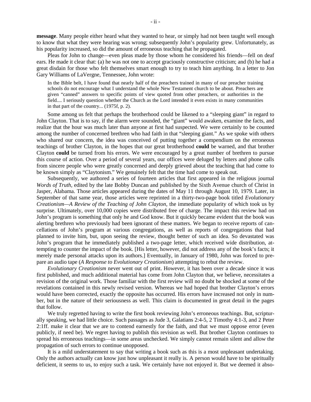**message**. Many people either heard what they wanted to hear, or simply had not been taught well enough to know that what they were hearing was wrong; subsequently John's popularity grew. Unfortunately, as his popularity increased, so did the amount of erroneous teaching that he propagated.

Pleas for John to change—even pleas made by those whom he considered his friends—fell on deaf ears. He made it clear that: (a) he was not one to accept graciously constructive criticism; and (b) he had a great disdain for those who felt themselves smart enough to try to teach him anything. In a letter to Jon Gary Williams of LaVergne, Tennessee, John wrote:

In the Bible belt, I have found that nearly half of the preachers trained in many of our preacher training schools do not encourage what I understand the whole New Testament church to be about. Preachers are given "canned" answers to specific points of view quoted from other preachers, or authorities in the field.... I seriously question whether the Church as the Lord intended it even exists in many communities in that part of the country... (1975f, p. 2).

Some among us felt that perhaps the brotherhood could be likened to a "sleeping giant" in regard to John Clayton. That is to say, if the alarm were sounded, the "giant" would awaken, examine the facts, and realize that the hour was much later than anyone at first had suspected. We were certainly to be counted among the number of concerned brethren who had faith in that "sleeping giant." As we spoke with others who shared our concern, the idea was conceived of putting together a compendium on the erroneous teachings of brother Clayton, in the hopes that our great brotherhood **could** be warned, and that brother Clayton **could** be turned from his errors. We were encouraged by a great number of brethren to pursue this course of action. Over a period of several years, our offices were deluged by letters and phone calls from sincere people who were greatly concerned and deeply grieved about the teaching that had come to be known simply as "Claytonism." We genuinely felt that the time had come to speak out.

Subsequently, we authored a series of fourteen articles that first appeared in the religious journal *Words of Truth,* edited by the late Bobby Duncan and published by the Sixth Avenue church of Christ in Jasper, Alabama. Those articles appeared during the dates of May 11 through August 10, 1979. Later, in September of that same year, those articles were reprinted in a thirty-two-page book titled *Evolutionary Creationism—A Review of the Teaching of John Clayton*, the immediate popularity of which took us by surprise. Ultimately, over 10,000 copies were distributed free of charge. The impact this review had on John's program is something that only he and God know. But it quickly became evident that the book was alerting brethren who previously had been ignorant of these matters. We began to receive reports of cancellations of John's program at various congregations, as well as reports of congregations that had planned to invite him, but, upon seeing the review, thought better of such an idea. So devastated was John's program that he immediately published a two-page letter, which received wide distribution, attempting to counter the impact of the book. [His letter, however, did not address any of the book's facts; it merely made personal attacks upon its authors.] Eventually, in January of 1980, John was forced to prepare an audio tape (*A Response to Evolutionary Creationism*) attempting to rebut the review.

*Evolutionary Creationism* never went out of print. However, it has been over a decade since it was first published, and much additional material has come from John Clayton that, we believe, necessitates a revision of the original work. Those familiar with the first review will no doubt be shocked at some of the revelations contained in this newly revised version. Whereas we had hoped that brother Clayton's errors would have been corrected, exactly the opposite has occurred. His errors have increased not only in number, but in the nature of their seriousness as well. This claim is documented in great detail in the pages that follow.

We truly regretted having to write the first book reviewing John's erroneous teachings. But, scripturally speaking, we had little choice. Such passages as Jude 3, Galatians 2:4-5, 2 Timothy 4:1-3, and 2 Peter 2:1ff. make it clear that we are to contend earnestly for the faith, and that we must oppose error (even publicly, if need be). We regret having to publish this revision as well. But brother Clayton continues to spread his erroneous teachings—in some areas unchecked. We simply cannot remain silent and allow the propagation of such errors to continue unopposed.

It is a mild understatement to say that writing a book such as this is a most unpleasant undertaking. Only the authors actually can know just how unpleasant it really is. A person would have to be spiritually deficient, it seems to us, to enjoy such a task. We certainly have not enjoyed it. But we deemed it abso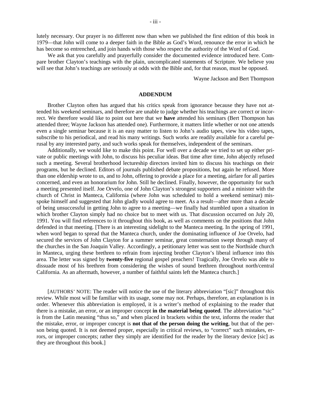lutely necessary. Our prayer is no different now than when we published the first edition of this book in 1979—that John will come to a deeper faith in the Bible as God's Word, renounce the error in which he has become so entrenched, and join hands with those who respect the authority of the Word of God.

We ask that you carefully and prayerfully consider the documented evidence introduced here. Compare brother Clayton's teachings with the plain, uncomplicated statements of Scripture. We believe you will see that John's teachings are seriously at odds with the Bible and, for that reason, must be opposed.

Wayne Jackson and Bert Thompson

## **ADDENDUM**

Brother Clayton often has argued that his critics speak from ignorance because they have not attended his weekend seminars, and therefore are unable to judge whether his teachings are correct or incorrect. We therefore would like to point out here that we **have** attended his seminars (Bert Thompson has attended three; Wayne Jackson has attended one). Furthermore, it matters little whether or not one attends even a single seminar because it is an easy matter to listen to John's audio tapes, view his video tapes, subscribe to his periodical, and read his many writings. Such works are readily available for a careful perusal by any interested party, and such works speak for themselves, independent of the seminars.

Additionally, we would like to make this point. For well over a decade we tried to set up either private or public meetings with John, to discuss his peculiar ideas. But time after time, John abjectly refused such a meeting. Several brotherhood lectureship directors invited him to discuss his teachings on their programs, but he declined. Editors of journals published debate propositions, but again he refused. More than one eldership wrote to us, and to John, offering to provide a place for a meeting, airfare for all parties concerned, and even an honorarium for John. Still he declined. Finally, however, the opportunity for such a meeting presented itself. Joe Orvelo, one of John Clayton's strongest supporters and a minister with the church of Christ in Manteca, California (where John was scheduled to hold a weekend seminar) misspoke himself and suggested that John gladly would agree to meet. As a result—after more than a decade of being unsuccessful in getting John to agree to a meeting—we finally had stumbled upon a situation in which brother Clayton simply had no choice but to meet with us. That discussion occurred on July 20, 1991. You will find references to it throughout this book, as well as comments on the positions that John defended in that meeting. [There is an interesting sidelight to the Manteca meeting. In the spring of 1991, when word began to spread that the Manteca church, under the dominating influence of Joe Orvelo, had secured the services of John Clayton for a summer seminar, great consternation swept through many of the churches in the San Joaquin Valley. Accordingly, a petitionary letter was sent to the Northside church in Manteca, urging these brethren to refrain from injecting brother Clayton's liberal influence into this area. The letter was signed by **twenty-five** regional gospel preachers! Tragically, Joe Orvelo was able to dissuade most of his brethren from considering the wishes of sound brethren throughout north/central California. As an aftermath, however, a number of faithful saints left the Manteca church.]

[AUTHORS' NOTE: The reader will notice the use of the literary abbreviation "[sic]" throughout this review. While most will be familiar with its usage, some may not. Perhaps, therefore, an explanation is in order. Whenever this abbreviation is employed, it is a writer's method of explaining to the reader that there is a mistake, an error, or an improper concept **in the material being quoted**. The abbreviation "sic" is from the Latin meaning "thus so," and when placed in brackets within the text, informs the reader that the mistake, error, or improper concept is **not that of the person doing the writing**, but that of the person being quoted. It is not deemed proper, especially in critical reviews, to "correct" such mistakes, errors, or improper concepts; rather they simply are identified for the reader by the literary device [sic] as they are throughout this book.]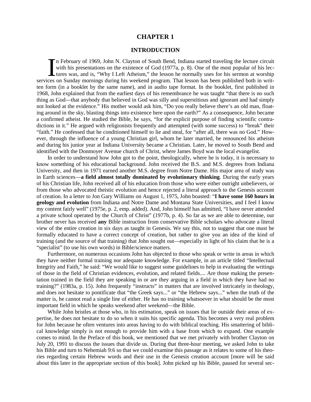# **INTRODUCTION**

In February of 1969, John N. Clayton of South Bend, Indiana started traveling the lecture circuit with his presentations on the existence of God (1977a, p. 8). One of the most popular of his lectures was, and is, "Why I Le n February of 1969, John N. Clayton of South Bend, Indiana started traveling the lecture circuit with his presentations on the existence of God (1977a, p. 8). One of the most popular of his lectures was, and is, "Why I Left Atheism," the lesson he normally uses for his sermon at worship ten form (in a booklet by the same name), and in audio tape format. In the booklet, first published in 1968, John explained that from the earliest days of his remembrance he was taught "that there is no such thing as God—that anybody that believed in God was silly and superstitious and ignorant and had simply not looked at the evidence." His mother would ask him, "Do you really believe there's an old man, floating around in the sky, blasting things into existence here upon the earth?" As a consequence, John became a confirmed atheist. He studied the Bible, he says, "for the explicit purpose of finding scientific contradictions in it." He argued with religionists frequently and attempted (with some success) to "break" their "faith." He confessed that he conditioned himself to lie and steal, for "after all, there was no God." However, through the influence of a young Christian girl, whom he later married, he renounced his atheism and during his junior year at Indiana University became a Christian. Later, he moved to South Bend and identified with the Donmoyer Avenue church of Christ, where James Boyd was the local evangelist.

In order to understand how John got to the point, theologically, where he is today, it is necessary to know something of his educational background. John received the B.S. and M.S. degrees from Indiana University, and then in 1971 earned another M.S. degree from Notre Dame. His major area of study was in Earth sciences—**a field almost totally dominated by evolutionary thinking**. During the early years of his Christian life, John received all of his education from those who were either outright unbelievers, or from those who advocated theistic evolution and hence rejected a literal approach to the Genesis account of creation. In a letter to Jon Gary Williams on August 1, 1975, John boasted: "**I have some 160 hours in geology and evolution** from Indiana and Notre Dame and Montana State Universities, and I feel I know my content fairly well" (1975e, p. 2, emp. added). And, John himself has admitted, "I have never attended a private school operated by the Church of Christ" (1977b, p. 4). So far as we are able to determine, our brother never has received **any** Bible instruction from conservative Bible scholars who advocate a literal view of the entire creation in six days as taught in Genesis. We say this, not to suggest that one must be formally educated to have a correct concept of creation, but rather to give you an idea of the kind of training (and the source of that training) that John sought out—especially in light of his claim that he is a "specialist" (to use his own words) in Bible/science matters.

Furthermore, on numerous occasions John has objected to those who speak or write in areas in which they have neither formal training nor adequate knowledge. For example, in an article titled "Intellectual Integrity and Faith," he said: "We would like to suggest some guidelines to help in evaluating the writings of those in the field of Christian evidences, evolution, and related fields.... Are those making the presentation trained in the field they are speaking in or are they arguing in a field in which they have had no training?" (1983a, p. 15). John frequently "instructs" in matters that are involved intricately in theology, and does not hesitate to pontificate that "the Greek says..." or "the Hebrew says..." when the truth of the matter is, he cannot read a single line of either. He has no training whatsoever in what should be the most important field in which he speaks weekend after weekend—the Bible.

While John bristles at those who, in his estimation, speak on issues that lie outside their areas of expertise, he does not hesitate to do so when it suits his specific agenda. This becomes a very real problem for John because he often ventures into areas having to do with biblical teaching. His smattering of biblical knowledge simply is not enough to provide him with a base from which to expand. One example comes to mind. In the Preface of this book, we mentioned that we met privately with brother Clayton on July 20, 1991 to discuss the issues that divide us. During that three-hour meeting, we asked John to take his Bible and turn to Nehemiah 9:6 so that we could examine this passage as it relates to some of his theories regarding certain Hebrew words and their use in the Genesis creation account [more will be said about this later in the appropriate section of this book]. John picked up his Bible, paused for several sec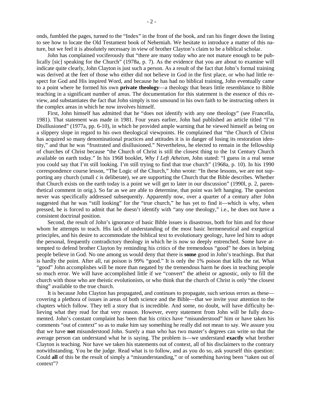onds, fumbled the pages, turned to the "Index" in the front of the book, and ran his finger down the listing to see how to locate the Old Testament book of Nehemiah. We hesitate to introduce a matter of this nature, but we feel it is absolutely necessary in view of brother Clayton's claim to be a biblical scholar.

John has complained vociferously that "there are many today who are not mature enough to be publically [sic] speaking for the Church" (1978a, p. 7). As the evidence that you are about to examine will indicate quite clearly, John Clayton is just such a person. As a result of the fact that John's formal training was derived at the feet of those who either did not believe in God in the first place, or who had little respect for God and His inspired Word, and because he has had no biblical training, John eventually came to a point where he formed his own **private theology**—a theology that bears little resemblance to Bible teaching in a significant number of areas. The documentation for this statement is the essence of this review, and substantiates the fact that John simply is too unsound in his own faith to be instructing others in the complex areas in which he now involves himself.

First, John himself has admitted that he "does not identify with any one theology" (see Francella, 1981). That statement was made in 1981. Four years earlier, John had published an article titled "I'm Disillusioned" (1977a, pp. 6-10), in which he provided ample warning that he viewed himself as being on a slippery slope in regard to his own theological viewpoints. He complained that "the Church of Christ has acquired so many denominational practices and attitudes it is in danger of losing its restoration identity," and that he was "frustrated and disillusioned." Nevertheless, he elected to remain in the fellowship of churches of Christ because "the Church of Christ is still the closest thing to the 1st Century Church available on earth today." In his 1968 booklet, *Why I Left Atheism*, John stated: "I guess in a real sense you could say that I'm still looking. I'm still trying to find that true church" (1968a, p. 10). In his 1990 correspondence course lesson, "The Logic of the Church," John wrote: "In these lessons, we are not supporting any church (small c is deliberate), we are supporting the Church that the Bible describes. Whether that Church exists on the earth today is a point we will get to later in our discussion" (1990l, p. 2, parenthetical comment in orig.). So far as we are able to determine, that point was left hanging. The question never was specifically addressed subsequently. Apparently now, over a quarter of a century after John suggested that he was "still looking" for the "true church," he has yet to find it—which is why, when pressed, he is forced to admit that he doesn't identify with "any one theology," i.e., he does not have a consistent doctrinal position.

Second, the result of John's ignorance of basic Bible issues is disastrous, both for him and for those whom he attempts to teach. His lack of understanding of the most basic hermeneutical and exegetical principles, and his desire to accommodate the biblical text to evolutionary geology, have led him to adopt the personal, frequently contradictory theology in which he is now so deeply entrenched. Some have attempted to defend brother Clayton by reminding his critics of the tremendous "good" he does in helping people believe in God. No one among us would deny that there is **some** good in John's teachings. But that is hardly the point. After all, rat poison is 99% "good." It is only the 1% poison that kills the rat. What "good" John accomplishes will be more than negated by the tremendous harm he does in teaching people so much error. We will have accomplished little if we "convert" the atheist or agnostic, only to fill the church with those who are theistic evolutionists, or who think that the church of Christ is only "the closest thing" available to the true church.

It is because John Clayton has propagated, and continues to propagate, such serious errors as these covering a plethora of issues in areas of both science and the Bible—that we invite your attention to the chapters which follow. They tell a story that is incredible. And some, no doubt, will have difficulty believing what they read for that very reason. However, every statement from John will be fully documented. John's constant complaint has been that his critics have "misunderstood" him or have taken his comments "out of context" so as to make him say something he really did not mean to say. We assure you that we have **not** misunderstood John. Surely a man who has two master's degrees can write so that the average person can understand what he is saying. The problem is—we understand **exactly** what brother Clayton is teaching. Nor have we taken his statements out of context, all of his disclaimers to the contrary notwithstanding. You be the judge. Read what is to follow, and as you do so, ask yourself this question: Could **all** of this be the result of simply a "misunderstanding," or of something having been "taken out of context"?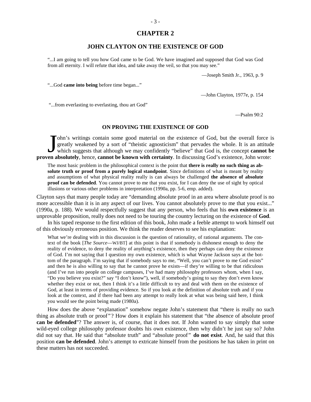# **JOHN CLAYTON ON THE EXISTENCE OF GOD**

"...I am going to tell you how God came to be God. We have imagined and supposed that God was God from all eternity. I will refute that idea, and take away the veil, so that you may see."

—Joseph Smith Jr., 1963, p. 9

"...God **came into being** before time began..."

—John Clayton, 1977e, p. 154

"...from everlasting to everlasting, thou art God"

—Psalm 90:2

#### **ON PROVING THE EXISTENCE OF GOD**

John's writings contain some good material on the existence of God, but the overall force is greatly weakened by a sort of "theistic agnosticism" that pervades the whole. It is an attitude which suggests that although we m ohn's writings contain some good material on the existence of God, but the overall force is greatly weakened by a sort of "theistic agnosticism" that pervades the whole. It is an attitude which suggests that although we may confidently "believe" that God is, the concept **cannot be** 

The most basic problem in the philosophical context is the point that **there is really no such thing as absolute truth or proof from a purely logical standpoint**. Since definitions of what is meant by reality and assumptions of what physical reality really is can always be challenged **the absence of absolute proof can be defended**. You cannot prove to me that you exist, for I can deny the use of sight by optical illusions or various other problems in interpretation (1990a, pp. 5-6, emp. added).

Clayton says that many people today are "demanding absolute proof in an area where absolute proof is no more accessible than it is in any aspect of our lives. You cannot absolutely prove to me that you exist..." (1990a, p. 188). We would respectfully suggest that any person, who feels that his **own existence** is an unprovable proposition, really does not need to be touring the country lecturing on the existence of **God**.

In his taped response to the first edition of this book, John made a feeble attempt to work himself out of this obviously erroneous position. We think the reader deserves to see his explanation:

What we're dealing with in this discussion is the question of rationality, of rational arguments. The context of the book [*The Source*—WJ/BT] at this point is that if somebody is dishonest enough to deny the reality of evidence, to deny the reality of anything's existence, then they perhaps can deny the existence of God. I'm not saying that I question my own existence, which is what Wayne Jackson says at the bottom of the paragraph. I'm saying that if somebody says to me, "Well, you can't prove to me God exists" and then he is also willing to say that he cannot prove he exists—if they're willing to be that ridiculous (and I've run into people on college campuses, I've had many philosophy professors whom, when I say, "Do you believe you exist?" say "I don't know"), well, if somebody's going to say they don't even know whether they exist or not, then I think it's a little difficult to try and deal with them on the existence of God, at least in terms of providing evidence. So if you look at the definition of absolute truth and if you look at the context, and if there had been any attempt to really look at what was being said here, I think you would see the point being made (1980a).

How does the above "explanation" somehow negate John's statement that "there is really no such thing as absolute truth or proof " ? How does it explain his statement that "the absence of absolute proof **can be defended**"? The answer is, of course, that it does not. If John wanted to say simply that some wild-eyed college philosophy professor doubts his own existence, then why didn't he just say so? John did not say that. He said that "absolute truth" and "absolute proof" **do not exist**. And, he said that this position **can be defended**. John's attempt to extricate himself from the positions he has taken in print on these matters has not succeeded.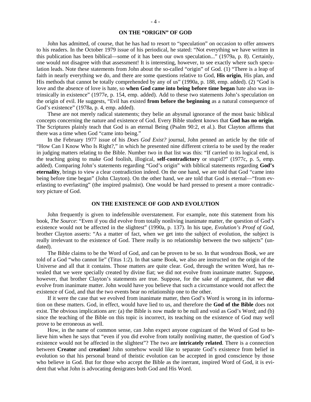### **ON THE "ORIGIN" OF GOD**

John has admitted, of course, that he has had to resort to "speculation" on occasion to offer answers to his readers. In the October 1979 issue of his periodical, he stated: "Not everything we have written in this publication has been biblical—some of it has been our own speculation..." (1979a, p. 8). Certainly, one would not disagree with that assessment! It is interesting, however, to see exactly where such speculation leads. Note these statements from John about the so-called "origin" of God. (1) "There is a leap of faith in nearly everything we do, and there are some questions relative to God, **His origin**, His plan, and His methods that cannot be totally comprehended by any of us" (1990a, p. 188, emp. added). (2) "God is love and the absence of love is hate, so **when God came into being before time began** hate also was intrinsically in existence" (1977e, p. 154, emp. added). Add to these two statements John's speculation on the origin of evil. He suggests, "Evil has existed **from before the beginning** as a natural consequence of God's existence" (1978a, p. 4, emp. added).

These are not merely radical statements; they belie an abysmal ignorance of the most basic biblical concepts concerning the nature and existence of God. Every Bible student knows that **God has no origin**. The Scriptures plainly teach that God is an eternal Being (Psalm 90:2, et al.). But Clayton affirms that there was a time when God "came into being."

In the February 1977 issue of his *Does God Exist?* journal, John penned an article by the title of "How Can I Know Who Is Right?," in which he presented nine different criteria to be used by the reader in judging matters relating to the Bible. Number two in that list was this: "If carried to its logical end, is the teaching going to make God foolish, illogical, **self-contradictory** or stupid?" (1977c, p. 5, emp. added). Comparing John's statements regarding "God's origin" with biblical statements regarding **God's eternality**, brings to view a clear contradiction indeed. On the one hand, we are told that God "came into being before time began" (John Clayton). On the other hand, we are told that God is eternal—"from everlasting to everlasting" (the inspired psalmist). One would be hard pressed to present a more contradictory picture of God.

## **ON THE EXISTENCE OF GOD AND EVOLUTION**

John frequently is given to indefensible overstatement. For example, note this statement from his book, *The Source*: "Even if you did evolve from totally nonliving inanimate matter, the question of God's existence would not be affected in the slightest" (1990a, p. 137). In his tape, *Evolution's Proof of God,*  brother Clayton asserts: "As a matter of fact, when we get into the subject of evolution, the subject is really irrelevant to the existence of God. There really is no relationship between the two subjects" (undated).

The Bible claims to be the Word of God, and can be proven to be so. In that wondrous Book, we are told of a God "who cannot lie" (Titus 1:2). In that same Book, we also are instructed on the origin of the Universe and all that it contains. Those matters are quite clear. God, through the written Word, has revealed that we were specially created by divine fiat; we did not evolve from inanimate matter. Suppose, however, that brother Clayton's statements are true. Suppose, for the sake of argument, that we **did**  evolve from inanimate matter. John would have you believe that such a circumstance would not affect the existence of God, and that the two events bear no relationship one to the other.

If it were the case that we evolved from inanimate matter, then God's Word is wrong in its information on these matters. God, in effect, would have lied to us, and therefore the **God of the Bible** does not exist. The obvious implications are: (a) the Bible is now made to be null and void as God's Word; and (b) since the teaching of the Bible on this topic is incorrect, its teaching on the existence of God may well prove to be erroneous as well.

How, in the name of common sense, can John expect anyone cognizant of the Word of God to believe him when he says that "even if you did evolve from totally nonliving matter, the question of God's existence would not be affected in the slightest"? The two are **intricately related**. There is a connection between **Creator** and **creation**! John somehow would like to separate God's existence from belief in evolution so that his personal brand of theistic evolution can be accepted in good conscience by those who believe in God. But for those who accept the Bible as the inerrant, inspired Word of God, it is evident that what John is advocating denigrates both God and His Word.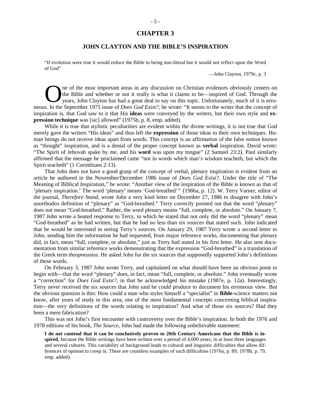# **JOHN CLAYTON AND THE BIBLE'S INSPIRATION**

"If evolution were true it would reduce the Bible to being non-literal but it would not reflect upon the Word of God"

—John Clayton, 1979c, p. 3

ne of the most important areas in any discussion on Christian evidences obviously centers on the Bible and whether or not it really is what it claims to be—inspired of God. Through the years, John Clayton has had a great deal to say on this topic. Unfortunately, much of it is erroneous. In the September 1975 issue of *Does God Exist?*, he wrote: "It seems to the writer that the concept of inspiration is, that God saw to it that His **ideas** were conveyed by the writers, but their own style and **expression technique** was [sic] allowed" (1975b, p. 8, emp. added).

While it is true that stylistic peculiarities are evident within the divine writings, it is not true that God merely gave the writers "His ideas" and thus left the **expression** of those ideas to their own techniques. Human beings do not receive ideas apart from words. This concept is an affirmation of the false notion known as "thought" inspiration, and is a denial of the proper concept known as **verbal** inspiration. David wrote: "The Spirit of Jehovah spake by me, and his **word** was upon my tongue" (2 Samuel 23:2). Paul similarly affirmed that the message he proclaimed came "not in words which man's wisdom teacheth, but which the Spirit teacheth" (1 Corinthians 2:13).

That John does not have a good grasp of the concept of verbal, plenary inspiration is evident from an article he authored in the November/December 1986 issue of *Does God Exist?*. Under the title of "The Meaning of Biblical Inspiration," he wrote: "Another view of the inspiration of the Bible is known as that of 'plenary inspiration.' The word 'plenary' means 'God-breathed' " (1986a, p. 12). W. Terry Varner, editor of the journal, *Therefore Stand*, wrote John a very kind letter on December 27, 1986 to disagree with John's unorthodox definition of "plenary" as "God-breathed." Terry correctly pointed out that the word "plenary" does not mean "God-breathed." Rather, the word plenary means "full, complete, or absolute." On January 7, 1987 John wrote a heated response to Terry, in which he stated that not only did the word "plenary" mean "God-breathed" as he had written, but that he had no less than six sources that stated such. John indicated that he would be interested in seeing Terry's sources. On January 29, 1987 Terry wrote a second letter to John, sending him the information he had requested, from major reference works, documenting that plenary did, in fact, mean "full, complete, or absolute," just as Terry had stated in his first letter. He also sent documentation from similar reference works demonstrating that the expression "God-breathed" is a translation of the Greek term *theopneustos*. He asked John for the six sources that supposedly supported John's definitions of these words.

On February 3, 1987 John wrote Terry, and capitulated on what should have been an obvious point to begin with—that the word "plenary" does, in fact, mean "full, complete, or absolute." John eventually wrote a "correction" for *Does God Exist?*, in that he acknowledged his mistake (1987e, p. 12a). Interestingly, Terry never received the six sources that John said he could produce to document his erroneous view. But the obvious question is this: How could a man who styles himself a "specialist" in **Bible**-science matters not know, after years of study in this area, one of the most fundamental concepts concerning biblical inspiration—the very definitions of the words relating to inspiration? And what of those six sources? Had they been a mere fabrication?

This was not John's first encounter with controversy over the Bible's inspiration. In both the 1976 and 1978 editions of his book, *The Source,* John had made the following unbelievable statement:

**I do not contend that it can be conclusively proven to 20th Century Americans that the Bible is inspired**, because the Bible writings have been written over a period of 4,000 years, in at least three languages and several cultures. This variability of background leads to cultural and linguistic difficulties that allow differences of opinion to creep in. There are countless examples of such difficulties (1976a, p. 89; 1978b, p. 79, emp. added).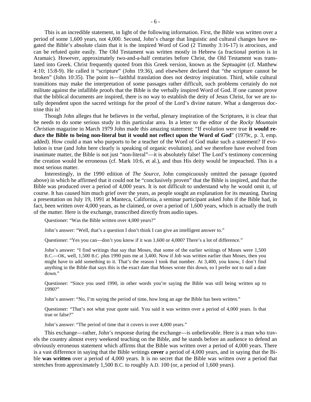This is an incredible statement, in light of the following information. First, the Bible was written over a period of some 1,600 years, not 4,000. Second, John's charge that linguistic and cultural changes have negated the Bible's absolute claim that it is the inspired Word of God (2 Timothy 3:16-17) is atrocious, and can be refuted quite easily. The Old Testament was written mostly in Hebrew (a fractional portion is in Aramaic). However, approximately two-and-a-half centuries before Christ, the Old Testament was translated into Greek. Christ frequently quoted from this Greek version, known as the *Septuagint* (cf. Matthew 4:10; 15:8-9). He called it "scripture" (John 19:36), and elsewhere declared that "the scripture cannot be broken" (John 10:35). The point is—faithful translation does not destroy inspiration. Third, while cultural transitions may make the interpretation of some passages rather difficult, such problems certainly do not militate against the infallible proofs that the Bible is the verbally inspired Word of God. If one cannot prove that the biblical documents are inspired, there is no way to establish the deity of Jesus Christ, for we are totally dependent upon the sacred writings for the proof of the Lord's divine nature. What a dangerous doctrine this is!

Though John alleges that he believes in the verbal, plenary inspiration of the Scriptures, it is clear that he needs to do some serious study in this particular area. In a letter to the editor of the *Rocky Mountain Christian* magazine in March 1979 John made this amazing statement: "If evolution were true **it would reduce the Bible to being non-literal but it would not reflect upon the Word of God**" (1979c, p. 3, emp. added). How could a man who purports to be a teacher of the Word of God make such a statement? If evolution is true (and John here clearly is speaking of organic evolution), and we therefore have evolved from inanimate matter, the Bible is not just "non-literal"—it is absolutely false! The Lord's testimony concerning the creation would be erroneous (cf. Mark 10:6, et al.), and thus His deity would be impeached. This is a most serious matter.

Interestingly, in the 1990 edition of *The Source,* John conspicuously omitted the passage (quoted above) in which he affirmed that it could not be "conclusively proven" that the Bible is inspired, and that the Bible was produced over a period of 4,000 years. It is not difficult to understand why he would omit it, of course. It has caused him much grief over the years, as people sought an explanation for its meaning. During a presentation on July 19, 1991 at Manteca, California, a seminar participant asked John if the Bible had, in fact, been written over 4,000 years, as he claimed, or over a period of 1,600 years, which is actually the truth of the matter. Here is the exchange, transcribed directly from audio tapes.

Questioner: "Was the Bible written over 4,000 years?"

John's answer: "Well, that's a question I don't think I can give an intelligent answer to."

Questioner: "Yes you can—don't you know if it was 1,600 or 4,000? There's a lot of difference."

John's answer: "I find writings that say that Moses, that some of the earlier writings of Moses were 1,500 B.C.—OK, well, 1,500 B.C. plus 1990 puts me at 3,400. Now if Job was written earlier than Moses, then you might have to add something to it. That's the reason I took that number. At 3,400, you know, I don't find anything in the Bible that says this is the exact date that Moses wrote this down, so I prefer not to nail a date down."

Questioner: "Since you used 1990, in other words you're saying the Bible was still being written up to 1990?"

John's answer: "No, I'm saying the period of time, how long an age the Bible has been written."

Questioner: "That's not what your quote said. You said it was written over a period of 4,000 years. Is that true or false?"

John's answer: "The period of time that it covers is over 4,000 years."

This exchange—rather, John's response during the exchange—is unbelievable. Here is a man who travels the country almost every weekend teaching on the Bible, and he stands before an audience to defend an obviously erroneous statement which affirms that the Bible was written over a period of 4,000 years. There is a vast difference in saying that the Bible writings **cover** a period of 4,000 years, and in saying that the Bible **was written** over a period of 4,000 years. It is no secret that the Bible was written over a period that stretches from approximately 1,500 B.C. to roughly A.D. 100 (or, a period of 1,600 years).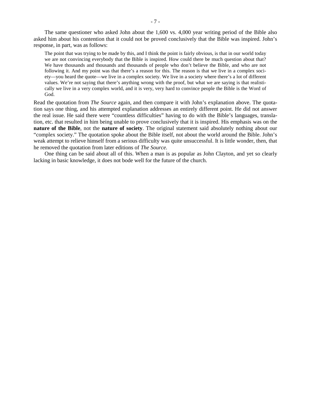The same questioner who asked John about the 1,600 vs. 4,000 year writing period of the Bible also asked him about his contention that it could not be proved conclusively that the Bible was inspired. John's response, in part, was as follows:

The point that was trying to be made by this, and I think the point is fairly obvious, is that in our world today we are not convincing everybody that the Bible is inspired. How could there be much question about that? We have thousands and thousands and thousands of people who don't believe the Bible, and who are not following it. And my point was that there's a reason for this. The reason is that we live in a complex society—you heard the quote—we live in a complex society. We live in a society where there's a lot of different values. We're not saying that there's anything wrong with the proof, but what we are saying is that realistically we live in a very complex world, and it is very, very hard to convince people the Bible is the Word of God.

Read the quotation from *The Source* again, and then compare it with John's explanation above. The quotation says one thing, and his attempted explanation addresses an entirely different point. He did not answer the real issue. He said there were "countless difficulties" having to do with the Bible's languages, translation, etc. that resulted in him being unable to prove conclusively that it is inspired. His emphasis was on the **nature of the Bible**, not the **nature of society**. The original statement said absolutely nothing about our "complex society." The quotation spoke about the Bible itself, not about the world around the Bible. John's weak attempt to relieve himself from a serious difficulty was quite unsuccessful. It is little wonder, then, that he removed the quotation from later editions of *The Source.* 

One thing can be said about all of this. When a man is as popular as John Clayton, and yet so clearly lacking in basic knowledge, it does not bode well for the future of the church.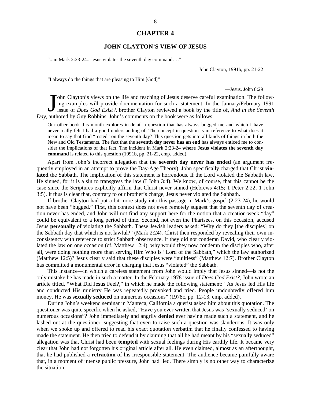# **JOHN CLAYTON'S VIEW OF JESUS**

"...in Mark 2:23-24...Jesus violates the seventh day command…."

—John Clayton, 1991b, pp. 21-22

"I always do the things that are pleasing to Him [God]"

—Jesus, John 8:29

John Clayton's views on the life and teaching of Jesus deserve careful ing examples will provide documentation for such a statement. In the issue of *Does God Exist?*, brother Clayton reviewed a book by the tip *Day*, auth ohn Clayton's views on the life and teaching of Jesus deserve careful examination. The following examples will provide documentation for such a statement. In the January/February 1991 issue of *Does God Exist?,* brother Clayton reviewed a book by the title of, *And in the Seventh* 

Our other book this month explores in detail a question that has always bugged me and which I have never really felt I had a good understanding of. The concept in question is in reference to what does it mean to say that God "rested" on the seventh day? This question gets into all kinds of things in both the New and Old Testaments. The fact that the **seventh day never has an end** has always enticed me to consider the implications of that fact. The incident in Mark 2:23-24 **where Jesus violates the seventh day command** is related to this question (1991b, pp. 21-22, emp. added).

Apart from John's incorrect allegation that the **seventh day never has ended** (an argument frequently employed in an attempt to prove the Day-Age Theory), John specifically charged that Christ **violated** the Sabbath. The implication of this statement is horrendous. If the Lord violated the Sabbath law, He sinned, for it is a sin to transgress the law (I John 3:4). We know, of course, that this cannot be the case since the Scriptures explicitly affirm that Christ never sinned (Hebrews 4:15; 1 Peter 2:22; 1 John 3:5). It thus is clear that, contrary to our brother's charge, Jesus never violated the Sabbath.

If brother Clayton had put a bit more study into this passage in Mark's gospel (2:23-24), he would not have been "bugged." First, this context does not even remotely suggest that the seventh day of creation never has ended, and John will not find any support here for the notion that a creation-week "day" could be equivalent to a long period of time. Second, not even the Pharisees, on this occasion, accused Jesus **personally** of violating the Sabbath. These Jewish leaders asked: "Why do they [the disciples] on the Sabbath day that which is not lawful?" (Mark 2:24). Christ then responded by revealing their own inconsistency with reference to strict Sabbath observance. If they did not condemn David, who clearly violated the law on one occasion (cf. Matthew 12:4), why would they now condemn the disciples who, after all, were doing nothing more than serving Him Who is "Lord of the Sabbath," which the law authorized (Matthew 12:5)? Jesus clearly said that these disciples were "guiltless" (Matthew 12:7). Brother Clayton has committed a monumental error in charging that Jesus "violated" the Sabbath.

This instance—in which a careless statement from John would imply that Jesus sinned—is not the only mistake he has made in such a matter. In the February 1978 issue of *Does God Exist?,* John wrote an article titled, "What Did Jesus Feel?," in which he made the following statement: "As Jesus led His life and conducted His ministry He was repeatedly provoked and tried. People undoubtedly offered him money. He was **sexually seduced** on numerous occasions" (1978c, pp. 12-13, emp. added).

During John's weekend seminar in Manteca, California a querist asked him about this quotation. The questioner was quite specific when he asked, "Have you ever written that Jesus was 'sexually seduced' on numerous occasions"? John immediately and angrily **denied** ever having made such a statement, and he lashed out at the questioner, suggesting that even to raise such a question was slanderous. It was only when we spoke up and offered to read his exact quotation verbatim that he finally confessed to having made the statement. He then tried to defend it by claiming that all he had meant by his "sexually seduced" allegation was that Christ had been **tempted** with sexual feelings during His earthly life. It became very clear that John had not forgotten his original article after all. He even claimed, almost as an afterthought, that he had published a **retraction** of his irresponsible statement. The audience became painfully aware that, in a moment of intense public pressure, John had lied. There simply is no other way to characterize the situation.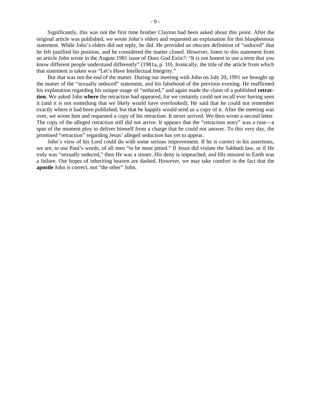Significantly, this was not the first time brother Clayton had been asked about this point. After the original article was published, we wrote John's elders and requested an explanation for this blasphemous statement. While John's elders did not reply, he did. He provided an obscure definition of "seduced" that he felt justified his position, and he considered the matter closed. However, listen to this statement from an article John wrote in the August 1981 issue of *Does God Exist?*: "It is not honest to use a term that you know different people understand differently" (1981a, p. 10). Ironically, the title of the article from which that statement is taken was "Let's Have Intellectual Integrity."

But that was not the end of the matter. During our meeting with John on July 20, 1991 we brought up the matter of the "sexually seduced" statement, and his falsehood of the previous evening. He reaffirmed his explanation regarding his unique usage of "seduced," and again made the claim of a published **retraction**. We asked John **where** the retraction had appeared, for we certainly could not recall ever having seen it (and it is not something that we likely would have overlooked). He said that he could not remember exactly where it had been published, but that he happily would send us a copy of it. After the meeting was over, we wrote him and requested a copy of his retraction. It never arrived. We then wrote a second letter. The copy of the alleged retraction still did not arrive. It appears that the "retraction story" was a ruse—a spur of the moment ploy to deliver himself from a charge that he could not answer. To this very day, the promised "retraction" regarding Jesus' alleged seduction has yet to appear.

John's view of his Lord could do with some serious improvement. If he is correct in his assertions, we are, to use Paul's words, of all men "to be most pitied." If Jesus did violate the Sabbath law, or if He truly was "sexually seduced," then He was a sinner, His deity is impeached, and His mission to Earth was a failure. Our hopes of inheriting heaven are dashed. However, we may take comfort in the fact that the **apostle** John is correct, not "the other" John.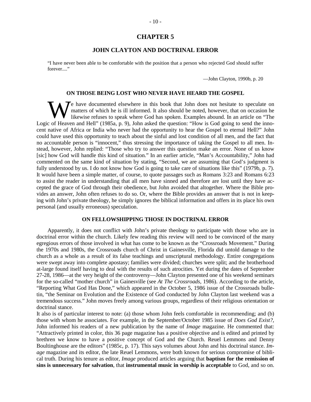# **JOHN CLAYTON AND DOCTRINAL ERROR**

"I have never been able to be comfortable with the position that a person who rejected God should suffer forever...."

—John Clayton, 1990b, p. 20

### **ON THOSE BEING LOST WHO NEVER HAVE HEARD THE GOSPEL**

We have documented elsewhere in this book that John does not hesitate to speculate on matters of which he is ill informed. It also should be noted, however, that on occasion he likewise refuses to speak where God has spoke matters of which he is ill informed. It also should be noted, however, that on occasion he Logic of Heaven and Hell" (1985a, p. 9), John asked the question: "How is God going to send the innocent native of Africa or India who never had the opportunity to hear the Gospel to eternal Hell?" John could have used this opportunity to teach about the sinful and lost condition of all men, and the fact that no accountable person is "innocent," thus stressing the importance of taking the Gospel to all men. Instead, however, John replied: "Those who try to answer this question make an error. None of us know [sic] how God will handle this kind of situation." In an earlier article, "Man's Accountability," John had commented on the same kind of situation by stating, "Second, we are assuming that God's judgment is fully understood by us. I do not know how God is going to take care of situations like this" (1979b, p. 7). It would have been a simple matter, of course, to quote passages such as Romans 3:23 and Romans 6:23 to assist the reader in understanding that all men have sinned and therefore are lost until they have accepted the grace of God through their obedience, but John avoided that altogether. Where the Bible provides an answer, John often refuses to do so. Or, where the Bible provides an answer that is not in keeping with John's private theology, he simply ignores the biblical information and offers in its place his own personal (and usually erroneous) speculation.

### **ON FELLOWSHIPPING THOSE IN DOCTRINAL ERROR**

Apparently, it does not conflict with John's private theology to participate with those who are in doctrinal error within the church. Likely few reading this review will need to be convinced of the many egregious errors of those involved in what has come to be known as the "Crossroads Movement." During the 1970s and 1980s, the Crossroads church of Christ in Gainesville, Florida did untold damage to the church as a whole as a result of its false teachings and unscriptural methodology. Entire congregations were swept away into complete apostasy; families were divided; churches were split; and the brotherhood at-large found itself having to deal with the results of such atrocities. Yet during the dates of September 27-28, 1986—at the very height of the controversy—John Clayton presented one of his weekend seminars for the so-called "mother church" in Gainesville (see *At The Crossroads,* 1986). According to the article, "Reporting What God Has Done," which appeared in the October 5, 1986 issue of the Crossroads bulletin, "the Seminar on Evolution and the Existence of God conducted by John Clayton last weekend was a tremendous success." John moves freely among various groups, regardless of their religious orientation or doctrinal stance.

It also is of particular interest to note: (a) those whom John feels comfortable in recommending; and (b) those with whom he associates. For example, in the September/October 1985 issue of *Does God Exist?*, John informed his readers of a new publication by the name of *Image* magazine. He commented that: "Attractively printed in color, this 36 page magazine has a positive objective and is edited and printed by brethren we know to have a positive concept of God and the Church. Reuel Lemmons and Denny Boultinghouse are the editors" (1985c, p. 17). This says volumes about John and his doctrinal stance. *Image* magazine and its editor, the late Reuel Lemmons, were both known for serious compromise of biblical truth. During his tenure as editor, *Image* produced articles arguing that **baptism for the remission of sins is unnecessary for salvation**, that **instrumental music in worship is acceptable** to God, and so on.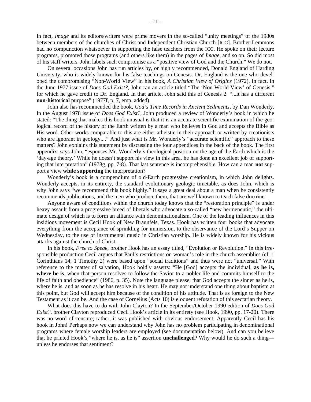In fact, *Image* and its editors/writers were prime movers in the so-called "unity meetings" of the 1980s between members of the churches of Christ and Independent Christian Church [ICC]. Brother Lemmons had no compunction whatsoever in supporting the false teachers from the ICC. He spoke on their lecture programs, promoted those programs (and others like them) in the pages of *Image*, and so on. So did most of his staff writers. John labels such compromise as a "positive view of God and the Church." We do not.

On several occasions John has run articles by, or highly recommended, Donald England of Harding University, who is widely known for his false teachings on Genesis. Dr. England is the one who developed the compromising "Non-World View" in his book, *A Christian View of Origins* (1972). In fact, in the June 1977 issue of *Does God Exist?*, John ran an article titled "The 'Non-World View' of Genesis," for which he gave credit to Dr. England. In that article, John said this of Genesis 2: "...it has a different **non-historical** purpose" (1977f, p. 7, emp. added).

John also has recommended the book, *God's Time Records in Ancient Sediments*, by Dan Wonderly. In the August 1978 issue of *Does God Exist?*, John produced a review of Wonderly's book in which he stated: "The thing that makes this book unusual is that it is an accurate scientific examination of the geological record of the history of the Earth written by a man who believes in God and accepts the Bible as His word. Other works comparable to this are either atheistic in their approach or written by creationists who are ignorant in geology...." And just what is Mr. Wonderly's "accurate scientific" approach to these matters? John explains this statement by discussing the four appendices in the back of the book. The first appendix, says John, "espouses Mr. Wonderly's theological position on the age of the Earth which is the 'day-age theory.' While he doesn't support his view in this area, he has done an excellent job of supporting that interpretation" (1978g, pp. 7-8). That last sentence is incomprehensible. How can a man **not** support a view **while supporting** the interpretation?

Wonderly's book is a compendium of old-Earth progressive creationism, in which John delights. Wonderly accepts, in its entirety, the standard evolutionary geologic timetable, as does John, which is why John says "we recommend this book highly." It says a great deal about a man when he consistently recommends publications, and the men who produce them, that are well known to teach false doctrine.

Anyone aware of conditions within the church today knows that the "restoration principle" is under heavy assault from a progressive breed of liberals who advocate a so-called "new hermeneutic," the ultimate design of which is to form an alliance with denominationalism. One of the leading influences in this insidious movement is Cecil Hook of New Braunfels, Texas. Hook has written four books that advocate everything from the acceptance of sprinkling for immersion, to the observance of the Lord's Supper on Wednesday, to the use of instrumental music in Christian worship. He is widely known for his vicious attacks against the church of Christ.

In his book, *Free to Speak*, brother Hook has an essay titled, "Evolution or Revolution." In this irresponsible production Cecil argues that Paul's restrictions on woman's role in the church assemblies (cf. 1) Corinthians 14; 1 Timothy 2) were based upon "social traditions" and thus were not "universal." With reference to the matter of salvation, Hook boldly asserts: "He [God] accepts the individual, **as he is, where he is**, when that person resolves to follow the Savior to a nobler life and commits himself to the life of faith and obedience" (1986, p. 35). Note the language please, that God accepts the sinner as he is, where he is, and as soon as he has resolve in his heart. He may not understand one thing about baptism at this point, but God will accept him because of the condition of his attitude. That is as foreign to the New Testament as it can be. And the case of Cornelius (Acts 10) is eloquent refutation of this sectarian theory.

What does this have to do with John Clayton? In the September/October 1990 edition of *Does God Exist?*, brother Clayton reproduced Cecil Hook's article in its entirety (see Hook, 1990, pp. 17-20). There was no word of censure; rather, it was published with obvious endorsement. Apparently Cecil has his hook in John! Perhaps now we can understand why John has no problem participating in denominational programs where female worship leaders are employed (see documentation below). And can you believe that he printed Hook's "where he is, as he is" assertion **unchallenged**? Why would he do such a thing unless he endorses that sentiment?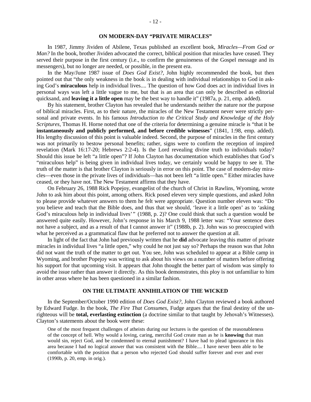#### **ON MODERN-DAY "PRIVATE MIRACLES"**

In 1987, Jimmy Jividen of Abilene, Texas published an excellent book, *Miracles—From God or Man?* In the book, brother Jividen advocated the correct, biblical position that miracles have ceased. They served their purpose in the first century (i.e., to confirm the genuineness of the Gospel message and its messengers), but no longer are needed, or possible, in the present era.

In the May/June 1987 issue of *Does God Exist?,* John highly recommended the book, but then pointed out that "the only weakness in the book is in dealing with individual relationships to God in asking God's **miraculous** help in individual lives.... The question of how God does act in individual lives in personal ways was left a little vague to me, but that is an area that can only be described as editorial quicksand, and **leaving it a little open** may be the best way to handle it" (1987a, p. 21, emp. added).

By his statement, brother Clayton has revealed that he understands neither the nature nor the purpose of biblical miracles. First, as to their nature, the miracles of the New Testament never were strictly personal and private events. In his famous *Introduction to the Critical Study and Knowledge of the Holy Scriptures,* Thomas H. Horne noted that one of the criteria for determining a genuine miracle is "that it be **instantaneously and publicly performed, and before credible witnesses**" (1841, 1:98, emp. added). His lengthy discussion of this point is valuable indeed. Second, the purpose of miracles in the first century was not primarily to bestow personal benefits; rather, signs were to confirm the reception of inspired revelation (Mark 16:17-20; Hebrews 2:2-4). Is the Lord revealing divine truth to individuals today? Should this issue be left "a little open"? If John Clayton has documentation which establishes that God's "miraculous help" is being given in individual lives today, we certainly would be happy to see it. The truth of the matter is that brother Clayton is seriously in error on this point. The case of modern-day miracles—even those in the private lives of individuals—has not been left "a little open." Either miracles have ceased, or they have not. The New Testament affirms that they have.

On February 26, 1988 Rick Popejoy, evangelist of the church of Christ in Rawlins, Wyoming, wrote John to ask him about this point, among others. Rick posed eleven very simple questions, and asked John to please provide whatever answers to them he felt were appropriate. Question number eleven was: "Do you believe and teach that the Bible does, and thus that we should, 'leave it a little open' as to 'asking God's miraculous help in individual lives'" (1988, p. 2)? One could think that such a question would be answered quite easily. However, John's response in his March 9, 1988 letter was: "Your sentence does not have a subject, and as a result of that I cannot answer it" (1988b, p. 2). John was so preoccupied with what he perceived as a grammatical flaw that he preferred not to answer the question at all.

In light of the fact that John had previously written that he **did** advocate leaving this matter of private miracles in individual lives "a little open," why could he not just say so? Perhaps the reason was that John did not want the truth of the matter to get out. You see, John was scheduled to appear at a Bible camp in Wyoming, and brother Popejoy was writing to ask about his views on a number of matters before offering his support for that upcoming visit. It appears that John thought the better part of wisdom was simply to avoid the issue rather than answer it directly. As this book demonstrates, this ploy is not unfamiliar to him in other areas where he has been questioned in a similar fashion.

#### **ON THE ULTIMATE ANNIHILATION OF THE WICKED**

In the September/October 1990 edition of *Does God Exist?*, John Clayton reviewed a book authored by Edward Fudge. In the book, *The Fire That Consumes,* Fudge argues that the final destiny of the unrighteous will be **total, everlasting extinction** (a doctrine similar to that taught by Jehovah's Witnesses). Clayton's statements about the book were these:

One of the most frequent challenges of atheists during our lectures is the question of the reasonableness of the concept of hell. Why would a loving, caring, merciful God create man as he is **knowing** that man would sin, reject God, and be condemned to eternal punishment? I have had to plead ignorance in this area because I had no logical answer that was consistent with the Bible.... I have never been able to be comfortable with the position that a person who rejected God should suffer forever and ever and ever (1990b, p. 20, emp. in orig.).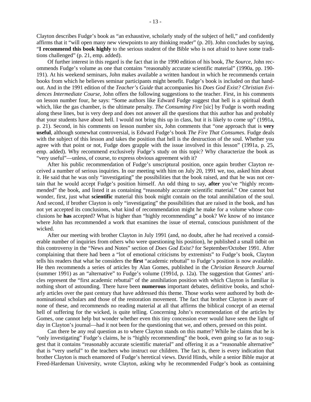Clayton describes Fudge's book as "an exhaustive, scholarly study of the subject of hell," and confidently affirms that it "will open many new viewpoints to any thinking reader" (p. 20). John concludes by saying, "**I recommend this book highly** to the serious student of the Bible who is not afraid to have some traditions challenged" (p. 21, emp. added).

Of further interest in this regard is the fact that in the 1990 edition of his book, *The Source*, John recommends Fudge's volume as one that contains "reasonably accurate scientific material" (1990a, pp. 190 191). At his weekend seminars, John makes available a written handout in which he recommends certain books from which he believes seminar participants might benefit. Fudge's book is included on that handout. And in the 1991 edition of the *Teacher's Guide* that accompanies his *Does God Exist? Christian Evidences Intermediate Course*, John offers the following suggestions to the teacher. First, in his comments on lesson number four, he says: "Some authors like Edward Fudge suggest that hell is a spiritual death which, like the gas chamber, is the ultimate penalty. *The Consuming Fire* [sic] by Fudge is worth reading along these lines, but is very deep and does not answer all the questions that this author has and probably that your students have about hell. I would not bring this up in class, but it is likely to come up" (1991a, p. 21). Second, in his comments on lesson number six, John comments that "one approach that is **very useful**, although somewhat controversial, is Edward Fudge's book *The Fire That Consumes*. Fudge deals with the subject of this lesson and takes the position that hell is the destruction of the soul. Whether you agree with that point or not, Fudge does grapple with the issue involved in this lesson" (1991a, p. 25, emp. added). Why recommend exclusively Fudge's study on this topic? Why characterize the book as "very useful"—unless, of course, to express obvious agreement with it?

After his public recommendation of Fudge's unscriptural position, once again brother Clayton received a number of serious inquiries. In our meeting with him on July 20, 1991 we, too, asked him about it. He said that he was only "investigating" the possibilities that the book raised, and that he was not certain that he would accept Fudge's position himself. An odd thing to say, **after** you've "highly recommended" the book, and listed it as containing "reasonably accurate scientific material." One cannot but wonder, first, just what **scientific** material this book might contain on the total annihilation of the soul. And second, if brother Clayton is only "investigating" the possibilities that are raised in the book, and has not yet accepted its conclusions, what kind of recommendation might he make for a volume whose conclusions he **has** accepted? What is higher than "highly recommending" a book? We know of no instance where John has recommended a work that examines the issue of eternal, conscious punishment of the wicked.

After our meeting with brother Clayton in July 1991 (and, no doubt, after he had received a considerable number of inquiries from others who were questioning his position), he published a small tidbit on this controversy in the "News and Notes" section of *Does God Exist?* for September/October 1991. After complaining that there had been a "lot of emotional criticisms by extremists" to Fudge's book, Clayton tells his readers that what he considers the **first** "academic rebuttal" to Fudge's position is now available. He then recommends a series of articles by Alan Gomes, published in the *Christian Research Journal*  (summer 1991) as an "alternative" to Fudge's volume (1991d, p. 12a). The suggestion that Gomes' articles represent the "first academic rebuttal" of the annihilation position with which Clayton is familiar is nothing short of astounding. There have been **numerous** important debates, definitive books, and scholarly articles over the past century that have addressed this theme. Those works were authored by both denominational scholars and those of the restoration movement. The fact that brother Clayton is aware of none of these, and recommends no reading material at all that affirms the biblical concept of an eternal hell of suffering for the wicked, is quite telling. Concerning John's recommendation of the articles by Gomes, one cannot help but wonder whether even this tiny concession ever would have seen the light of day in Clayton's journal—had it not been for the questioning that we, and others, pressed on this point.

Can there be any real question as to where Clayton stands on this matter? While he claims that he is "only investigating" Fudge's claims, he is "highly recommending" the book, even going so far as to suggest that it contains "reasonably accurate scientific material" and offering it as a "reasonable alternative" that is "very useful" to the teachers who instruct our children. The fact is, there is every indication that brother Clayton is much enamored of Fudge's heretical views. David Hinds, while a senior Bible major at Freed-Hardeman University, wrote Clayton, asking why he recommended Fudge's book as containing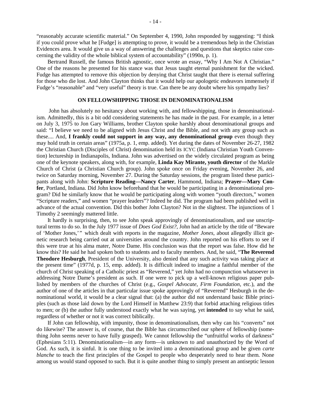"reasonably accurate scientific material." On September 4, 1990, John responded by suggesting: "I think if you could prove what he [Fudge] is attempting to prove, it would be a tremendous help in the Christian Evidences area. It would give us a way of answering the challenges and questions that skeptics raise concerning the validity of the whole biblical system of accountability" (1990n, p. 1).

Bertrand Russell, the famous British agnostic, once wrote an essay, "Why I Am Not A Christian." One of the reasons he presented for his stance was that Jesus taught eternal punishment for the wicked. Fudge has attempted to remove this objection by denying that Christ taught that there is eternal suffering for those who die lost. And John Clayton thinks that it would help our apologetic endeavors immensely if Fudge's "reasonable" and "very useful" theory is true. Can there be any doubt where his sympathy lies?

## **ON FELLOWSHIPPING THOSE IN DENOMINATIONALISM**

John has absolutely no hesitancy about working with, and fellowshipping, those in denominationalism. Admittedly, this is a bit odd considering statements he has made in the past. For example, in a letter on July 3, 1975 to Jon Gary Williams, brother Clayton spoke harshly about denominational groups and said: "I believe we need to be aligned with Jesus Christ and the Bible, and not with any group such as these.... And, **I frankly could not support in any way, any denominational group** even though they may hold truth in certain areas" (1975a, p. 1, emp. added). Yet during the dates of November 26-27, 1982 the Christian Church (Disciples of Christ) denomination held its ICYC (Indiana Christian Youth Convention) lectureship in Indianapolis, Indiana. John was advertised on the widely circulated program as being one of the keynote speakers, along with, for example, **Linda Kay Mirante, youth director** of the Markle Church of Christ (a Christian Church group). John spoke once on Friday evening, November 26, and twice on Saturday morning, November 27. During the Saturday sessions, the program listed these participants along with John: **Scripture Reading—Nancy Carter**, Hammond, Indiana; **Prayer—Mary Confer**, Portland, Indiana. Did John know beforehand that he would be participating in a denominational program? Did he similarly know that he would be participating along with women "youth directors," women "Scripture readers," and women "prayer leaders"? Indeed he did. The program had been published well in advance of the actual convention. Did this bother John Clayton? Not in the slightest. The injunctions of 1 Timothy 2 seemingly mattered little.

It hardly is surprising, then, to see John speak approvingly of denominationalism, and use unscriptural terms to do so. In the July 1977 issue of *Does God Exist?*, John had an article by the title of "Beware of 'Mother Jones,'" which dealt with reports in the magazine, *Mother Jones*, about allegedly illicit genetic research being carried out at universities around the country. John reported on his efforts to see if this were true at his alma mater, Notre Dame. His conclusion was that the report was false. How did he know this? He said he had spoken both to students and to faculty members. And, he said, "**The Reverend Theodore Hesburgh**, President of the University, also denied that any such activity was taking place at the present time" (1977d, p. 15, emp. added). It is difficult indeed to imagine a faithful member of the church of Christ speaking of a Catholic priest as "Reverend," yet John had no compunction whatsoever in addressing Notre Dame's president as such. If one were to pick up a well-known religious paper published by members of the churches of Christ (e.g., *Gospel Advocate*, *Firm Foundation*, etc.), and the author of one of the articles in that particular issue spoke approvingly of "Reverend" Hesburgh in the denominational world, it would be a clear signal that: (a) the author did not understand basic Bible principles (such as those laid down by the Lord Himself in Matthew 23:9) that forbid attaching religious titles to men; or (b) the author fully understood exactly what he was saying, yet **intended** to say what he said, regardless of whether or not it was correct biblically.

If John can fellowship, with impunity, those in denominationalism, then why can his "converts" not do likewise? The answer is, of course, that the Bible has circumscribed our sphere of fellowship (something John seems never to have fully grasped). We cannot fellowship the "unfruitful works of darkness" (Ephesians 5:11). Denominationalism—in any form—is unknown to and unauthorized by the Word of God. As such, it is sinful. It is one thing to be invited into a denominational group and be given *carte blanche* to teach the first principles of the Gospel to people who desperately need to hear them. None among us would stand opposed to such. But it is quite another thing to simply present an antiseptic lesson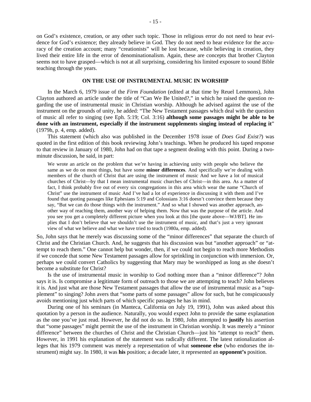on God's existence, creation, or any other such topic. Those in religious error do not need to hear evidence for God's existence; they already believe in God. They do not need to hear evidence for the accuracy of the creation account; many "creationists" will be lost because, while believing in creation, they lived their entire life in the error of denominationalism. Again, these are concepts that brother Clayton seems not to have grasped—which is not at all surprising, considering his limited exposure to sound Bible teaching through the years.

# **ON THE USE OF INSTRUMENTAL MUSIC IN WORSHIP**

In the March 6, 1979 issue of the *Firm Foundation* (edited at that time by Reuel Lemmons), John Clayton authored an article under the title of "Can We Be United?," in which he raised the question regarding the use of instrumental music in Christian worship. Although he advised against the use of the instrument on the grounds of unity, he added: "The New Testament passages which deal with the question of music all refer to singing (see Eph. 5:19; Col. 3:16) **although some passages might be able to be done with an instrument, especially if the instrument supplements singing instead of replacing it**" (1979h, p. 4, emp. added).

This statement (which also was published in the December 1978 issue of *Does God Exist?*) was quoted in the first edition of this book reviewing John's teachings. When he produced his taped response to that review in January of 1980, John had on that tape a segment dealing with this point. During a twominute discussion, he said, in part:

We wrote an article on the problem that we're having in achieving unity with people who believe the same as we do on most things, but have some **minor differences**. And specifically we're dealing with members of the church of Christ that are using the instrument of music And we have a lot of musical churches of Christ—by that I mean instrumental music churches of Christ—in this area. As a matter of fact, I think probably five out of every six congregations in this area which wear the name "Church of Christ" use the instrument of music And I've had a lot of experience in discussing it with them and I've found that quoting passages like Ephesians 5:19 and Colossians 3:16 doesn't convince them because they say, "But we can do those things with the instrument." And so what I showed was another approach, another way of reaching them, another way of helping them. Now that was the purpose of the article. And you see you get a completely different picture when you look at this [the quote above—WJ/BT]. He implies that I don't believe that we shouldn't use the instrument of music, and that's just a very ignorant view of what we believe and what we have tried to teach (1980a, emp. added).

So, John says that he merely was discussing some of the "minor differences" that separate the church of Christ and the Christian Church. And, he suggests that his discussion was but "another approach" or "attempt to reach them." One cannot help but wonder, then, if we could not begin to reach more Methodists if we concede that some New Testament passages allow for sprinkling in conjunction with immersion. Or, perhaps we could convert Catholics by suggesting that Mary may be worshipped as long as she doesn't become a substitute for Christ?

Is the use of instrumental music in worship to God nothing more than a "minor difference"? John says it is. Is compromise a legitimate form of outreach to those we are attempting to teach? John believes it is. And just what are those New Testament passages that allow the use of instrumental music as a "supplement" to singing? John avers that "some parts of some passages" allow for such, but he conspicuously avoids mentioning just which parts of which specific passages he has in mind.

During one of his seminars (in Manteca, California on July 19, 1991), John was asked about this quotation by a person in the audience. Naturally, you would expect John to provide the same explanation as the one you've just read. However, he did not do so. In 1980, John attempted to **justify** his assertion that "some passages" might permit the use of the instrument in Christian worship. It was merely a "minor difference" between the churches of Christ and the Christian Church—just his "attempt to reach" them. However, in 1991 his explanation of the statement was radically different. The latest rationalization alleges that his 1979 comment was merely a representation of what **someone else** (who endorses the instrument) might say. In 1980, it was **his** position; a decade later, it represented an **opponent's** position.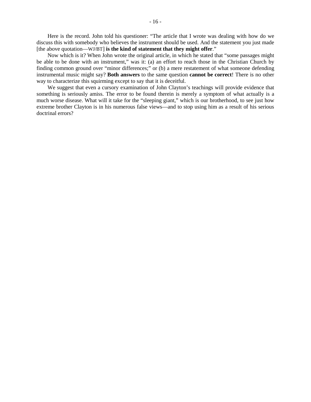Here is the record. John told his questioner: "The article that I wrote was dealing with how do we discuss this with somebody who believes the instrument should be used. And the statement you just made [the above quotation—WJ/BT] **is the kind of statement that they might offer**."

Now which is it? When John wrote the original article, in which he stated that "some passages might be able to be done with an instrument," was it: (a) an effort to reach those in the Christian Church by finding common ground over "minor differences;" or (b) a mere restatement of what someone defending instrumental music might say? **Both answers** to the same question **cannot be correct**! There is no other way to characterize this squirming except to say that it is deceitful.

We suggest that even a cursory examination of John Clayton's teachings will provide evidence that something is seriously amiss. The error to be found therein is merely a symptom of what actually is a much worse disease. What will it take for the "sleeping giant," which is our brotherhood, to see just how extreme brother Clayton is in his numerous false views—and to stop using him as a result of his serious doctrinal errors?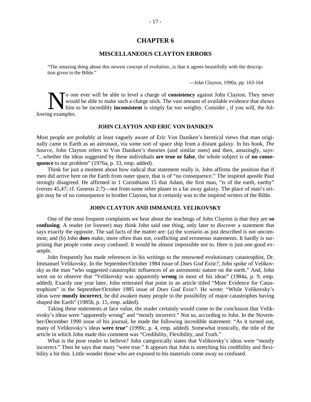# **MISCELLANEOUS CLAYTON ERRORS**

"The amazing thing about this newest concept of evolution...is that it agrees beautifully with the description given in the Bible."

—John Clayton, 1990a, pp. 163-164

o one ever will be able to level a charge of **consistency** against John Clayton. They never would be able to make such a charge stick. The vast amount of available evidence that shows him to be incredibly **inconsistent** is simply far too weighty. Consider , if you will, the following examples.

## **JOHN CLAYTON AND ERIC VON DANIKEN**

Most people are probably at least vaguely aware of Eric Von Daniken's heretical views that man originally came to Earth as an astronaut, via some sort of space ship from a distant galaxy. In his book, *The Source,* John Clayton refers to Von Daniken's theories (and similar ones) and then, amazingly, says: "...whether the ideas suggested by these individuals **are true or false**, the whole subject is of **no consequence** to our problem" (1976a, p. 33, emp. added).

Think for just a moment about how radical that statement really is. John affirms the position that if men did arrive here on the Earth from outer space, that is of "no consequence." The inspired apostle Paul strongly disagreed. He affirmed in 1 Corinthians 15 that Adam, the first man, "is of the earth, earthy" (verses 45,47; cf. Genesis 2:7)—not from some other planet in a far away galaxy. The place of man's origin may be of no consequence to brother Clayton, but it certainly was to the inspired writers of the Bible.

#### **JOHN CLAYTON AND IMMANUEL VELIKOVSKY**

One of the most frequent complaints we hear about the teachings of John Clayton is that they are **so confusing**. A reader (or listener) may think John said one thing, only later to discover a statement that says exactly the opposite. The sad facts of the matter are: (a) the scenario as just described is not uncommon; and (b) John **does** make, more often than not, conflicting and erroneous statements. It hardly is surprising that people come away confused. It would be almost impossible not to. Here is just one good example.

John frequently has made references in his writings to the renowned evolutionary catastrophist, Dr. Immanuel Velikovsky. In the September/October 1984 issue of *Does God Exist?,* John spoke of Velikovsky as the man "who suggested catastrophic influences of an astronomic nature on the earth." And, John went on to observe that "Velikovsky was apparently **wrong** in most of his ideas" (1984a, p. 9, emp. added). Exactly one year later, John reiterated that point in an article titled "More Evidence for Catastrophism" in the September/October 1985 issue of *Does God Exist?*. He wrote: "While Velikovsky's ideas were **mostly incorrect**, he did awaken many people to the possibility of major catastrophes having shaped the Earth" (1985b, p. 15, emp. added).

Taking these statements at face value, the reader certainly would come to the conclusion that Velikovsky's ideas were "apparently wrong" and "mostly incorrect." Not so, according to John. In the November/December 1990 issue of his journal, he made the following incredible statement: "As it turned out, many of Velikovsky's ideas **were true**" (1990c, p. 4, emp. added). Somewhat ironically, the title of the article in which John made this comment was "Credibility, Flexibility, and Truth."

What is the poor reader to believe? John categorically states that Velikovsky's ideas were "mostly incorrect." Then he says that many "were true." It appears that John is stretching his credibility and flexibility a bit thin. Little wonder those who are exposed to his materials come away so confused.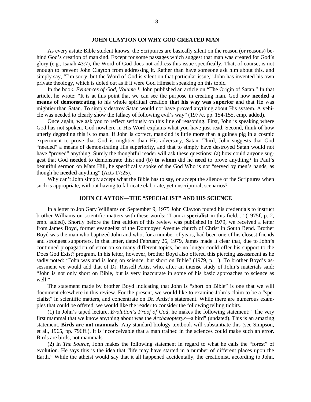#### **JOHN CLAYTON ON WHY GOD CREATED MAN**

As every astute Bible student knows, the Scriptures are basically silent on the reason (or reasons) behind God's creation of mankind. Except for some passages which suggest that man was created for God's glory (e.g., Isaiah 43:7), the Word of God does not address this issue specifically. That, of course, is not enough to prevent John Clayton from addressing it. Rather than have someone ask him about this, and simply say, "I'm sorry, but the Word of God is silent on that particular issue," John has invented his own private theology, which is doled out as if it were God Himself speaking on this topic.

In the book, *Evidences of God, Volume I,* John published an article on "The Origin of Satan." In that article, he wrote: "It is at this point that we can see the purpose in creating man. God now **needed a means of demonstrating** to his whole spiritual creation **that his way was superior** and that He was mightier than Satan. To simply destroy Satan would not have proved anything about His system. A vehicle was needed to clearly show the fallacy of following evil's way" (1977e, pp. 154-155, emp. added).

Once again, we ask you to reflect seriously on this line of reasoning. First, John is speaking where God has not spoken. God nowhere in His Word explains what you have just read. Second, think of how utterly degrading this is to man. If John is correct, mankind is little more than a guinea pig in a cosmic experiment to prove that God is mightier than His adversary, Satan. Third, John suggests that God "needed" a means of demonstrating His superiority, and that to simply have destroyed Satan would not have "proved" anything. Surely the thoughtful reader will ask these questions: (a) how could anyone suggest that God **needed** to demonstrate this; and (b) **to whom** did he **need** to prove anything? In Paul's beautiful sermon on Mars Hill, he specifically spoke of the God Who is not "served by men's hands, as though he **needed** anything" (Acts 17:25).

Why can't John simply accept what the Bible has to say, or accept the silence of the Scriptures when such is appropriate, without having to fabricate elaborate, yet unscriptural, scenarios?

## **JOHN CLAYTON—THE "SPECIALIST" AND HIS SCIENCE**

In a letter to Jon Gary Williams on September 9, 1975 John Clayton touted his credentials to instruct brother Williams on scientific matters with these words: "I am a **specialist** in this field..." (1975f, p. 2, emp. added). Shortly before the first edition of this review was published in 1979, we received a letter from James Boyd, former evangelist of the Donmoyer Avenue church of Christ in South Bend. Brother Boyd was the man who baptized John and who, for a number of years, had been one of his closest friends and strongest supporters. In that letter, dated February 26, 1979, James made it clear that, due to John's continued propagation of error on so many different topics, he no longer could offer his support to the Does God Exist? program. In his letter, however, brother Boyd also offered this piercing assessment as he sadly noted: "John was and is long on science, but short on Bible" (1979, p. 1). To brother Boyd's assessment we would add that of Dr. Russell Artist who, after an intense study of John's materials said: "John is not only short on Bible, but is very inaccurate in some of his basic approaches to science as well."

The statement made by brother Boyd indicating that John is "short on Bible" is one that we will document elsewhere in this review. For the present, we would like to examine John's claim to be a "specialist" in scientific matters, and concentrate on Dr. Artist's statement. While there are numerous examples that could be offered, we would like the reader to consider the following telling tidbits.

(1) In John's taped lecture, *Evolution's Proof of God*, he makes the following statement: "The very first mammal that we know anything about was the *Archaeopteryx—*a bird" (undated). This is an amazing statement. **Birds are not mammals**. Any standard biology textbook will substantiate this (see Simpson, et al., 1965, pp. 796ff.). It is inconceivable that a man trained in the sciences could make such an error. Birds are birds, not mammals.

(2) In *The Source,* John makes the following statement in regard to what he calls the "forest" of evolution. He says this is the idea that "life may have started in a number of different places upon the Earth." While the atheist would say that it all happened accidentally, the creationist, according to John,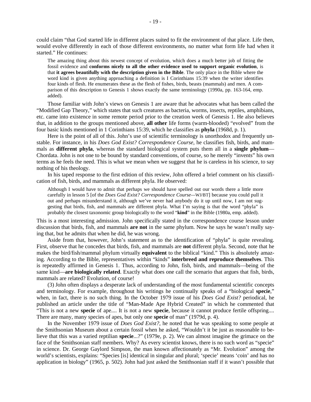could claim "that God started life in different places suited to fit the environment of that place. Life then, would evolve differently in each of those different environments, no matter what form life had when it started." He continues:

The amazing thing about this newest concept of evolution, which does a much better job of fitting the fossil evidence and **conforms nicely to all the other evidence used to support organic evolution**, is that **it agrees beautifully with the description given in the Bible**. The only place in the Bible where the word kind is given anything approaching a definition is I Corinthians 15:39 when the writer identifies four kinds of flesh. He enumerates these as the flesh of fishes, birds, beasts (mammals) and men. A comparison of this description to Genesis 1 shows exactly the same terminology (1990a, pp. 163-164, emp. added).

Those familiar with John's views on Genesis 1 are aware that he advocates what has been called the "Modified Gap Theory," which states that such creatures as bacteria, worms, insects, reptiles, amphibians, etc. came into existence in some remote period prior to the creation week of Genesis 1. He also believes that, in addition to the groups mentioned above, **all other** life forms (warm-blooded) "evolved" from the four basic kinds mentioned in 1 Corinthians 15:39, which he classifies as **phyla** (1968d, p. 1).

Here is the point of all of this. John's use of scientific terminology is unorthodox and frequently unstable. For instance, in his *Does God Exist? Correspondence Course,* he classifies fish, birds, and mammals as **different phyla**, whereas the standard biological system puts them all in a **single phylum**— Chordata. John is not one to be bound by standard conventions, of course, so he merely "invents" his own terms as he feels the need. This is what we mean when we suggest that he is careless in his science, to say nothing of his theology.

In his taped response to the first edition of this review, John offered a brief comment on his classification of fish, birds, and mammals as different phyla. He observed:

Although I would have to admit that perhaps we should have spelled out our words there a little more carefully in lesson 5 [of the *Does God Exist? Correspondence Course—*WJ/BT] because you could pull it out and perhaps misunderstand it, although we've never had anybody do it up until now, I am not suggesting that birds, fish, and mammals are different phyla. What I'm saying is that the word "phyla" is probably the closest taxonomic group biologically to the word "**kind**" in the Bible (1980a, emp. added).

This is a most interesting admission. John specifically stated in the correspondence course lesson under discussion that birds, fish, and mammals **are not** in the same phylum. Now he says he wasn't really saying that, but he admits that when he did, he was wrong.

Aside from that, however, John's statement as to the identification of "phyla" is quite revealing. First, observe that he concedes that birds, fish, and mammals are **not** different phyla. Second, note that he makes the bird/fish/mammal phylum virtually **equivalent** to the biblical "kind." This is absolutely amazing. According to the Bible, representatives within "kinds" **interbreed and reproduce themselves**. This is repeatedly affirmed in Genesis 1. Thus, according to John, fish, birds, and mammals—being of the same kind—**are biologically related**. Exactly what does one call the scenario that argues that fish, birds, mammals are related? Evolution, of course!

(3) John often displays a desperate lack of understanding of the most fundamental scientific concepts and terminology. For example, throughout his writings he continually speaks of a "biological **specie**," when, in fact, there is no such thing. In the October 1979 issue of his *Does God Exist?* periodical, he published an article under the title of "Man-Made Ape Hybrid Created" in which he commented that "This is not a new **specie** of ape.... It is not a new **specie**, because it cannot produce fertile offspring.... There are many, many species of apes, but only one **specie** of man" (1979d, p. 4).

In the November 1979 issue of *Does God Exist?,* he noted that he was speaking to some people at the Smithsonian Museum about a certain fossil when he asked, "Wouldn't it be just as reasonable to believe that this was a varied reptilian **specie**...?" (1979e, p. 2). We can almost imagine the grimace on the face of the Smithsonian staff members. Why? As every scientist knows, there is no such word as "specie" in science. Dr. George Gaylord Simpson, the man known affectionately as "Mr. Evolution" among the world's scientists, explains: "Species [is] identical in singular and plural; 'specie' means 'coin' and has no application in biology" (1965, p. 502). John had just asked the Smithsonian staff if it wasn't possible that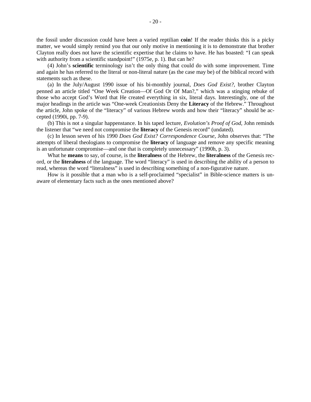the fossil under discussion could have been a varied reptilian **coin**! If the reader thinks this is a picky matter, we would simply remind you that our only motive in mentioning it is to demonstrate that brother Clayton really does not have the scientific expertise that he claims to have. He has boasted: "I can speak with authority from a scientific standpoint!" (1975e, p. 1). But can he?

(4) John's **scientific** terminology isn't the only thing that could do with some improvement. Time and again he has referred to the literal or non-literal nature (as the case may be) of the biblical record with statements such as these.

(a) In the July/August 1990 issue of his bi-monthly journal, *Does God Exist?,* brother Clayton penned an article titled "One Week Creation—Of God Or Of Man?," which was a stinging rebuke of those who accept God's Word that He created everything in six, literal days. Interestingly, one of the major headings in the article was "One-week Creationists Deny the **Literacy** of the Hebrew." Throughout the article, John spoke of the "literacy" of various Hebrew words and how their "literacy" should be accepted (1990i, pp. 7-9).

(b) This is not a singular happenstance. In his taped lecture, *Evolution's Proof of God,* John reminds the listener that "we need not compromise the **literacy** of the Genesis record" (undated).

(c) In lesson seven of his 1990 *Does God Exist? Correspondence Course,* John observes that: "The attempts of liberal theologians to compromise the **literacy** of language and remove any specific meaning is an unfortunate compromise—and one that is completely unnecessary" (1990h, p. 3).

What he **means** to say, of course, is the **literalness** of the Hebrew, the **literalness** of the Genesis record, or the **literalness** of the language. The word "literacy" is used in describing the ability of a person to read, whereas the word "literalness" is used in describing something of a non-figurative nature.

How is it possible that a man who is a self-proclaimed "specialist" in Bible-science matters is unaware of elementary facts such as the ones mentioned above?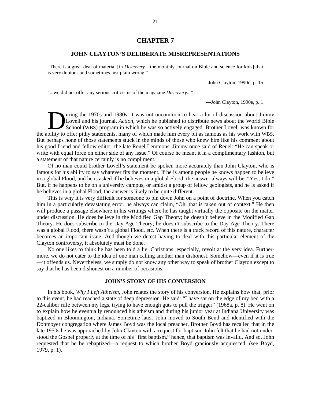## **JOHN CLAYTON'S DELIBERATE MISREPRESENTATIONS**

"There is a great deal of material [in *Discovery*—the monthly journal on Bible and science for kids] that is very dubious and sometimes just plain wrong."

—John Clayton, 1990d, p. 15

"...we did not offer any serious criticisms of the magazine *Discovery*..."

—John Clayton, 1990e, p. 1

I uring the 1970s and 1980s, it was not uncommon to hear a lot of discussion about Jimmy<br>Lovell and his journal, *Action*, which he published to distribute news about the World Bible<br>School (WBS) program in which he was so Lovell and his journal, *Action,* which he published to distribute news about the World Bible School (WBS) program in which he was so actively engaged. Brother Lovell was known for the ability to offer pithy statements, many of which made him every bit as famous as his work with WBS. But perhaps none of those statements stuck in the minds of those who knew him like his comment about his good friend and fellow editor, the late Reuel Lemmons. Jimmy once said of Reuel: "He can speak or write with equal force on either side of any issue." Of course he meant it in a complimentary fashion, but a statement of that nature certainly is no compliment.

Of no man could brother Lovell's statement be spoken more accurately than John Clayton, who is famous for his ability to say whatever fits the moment. If he is among people he knows happen to believe in a global Flood, and he is asked if **he** believes in a global Flood, the answer always will be, "Yes, I do." But, if he happens to be on a university campus, or amidst a group of fellow geologists, and he is asked if he believes in a global Flood, the answer is likely to be quite different.

This is why it is very difficult for someone to pin down John on a point of doctrine. When you catch him in a particularly devastating error, he always can claim, "Oh, that is taken out of context." He then will produce a passage elsewhere in his writings where he has taught virtually the opposite on the matter under discussion. He does believe in the Modified Gap Theory; he doesn't believe in the Modified Gap Theory. He does subscribe to the Day-Age Theory; he doesn't subscribe to the Day-Age Theory. There was a global Flood; there wasn't a global Flood, etc. When there is a track record of this nature, character becomes an important issue. And though we detest having to deal with this particular element of the Clayton controversy, it absolutely must be done.

No one likes to think he has been told a lie. Christians, especially, revolt at the very idea. Furthermore, we do not cater to the idea of one man calling another man dishonest. Somehow—even if it is true —it offends us. Nevertheless, we simply do not know any other way to speak of brother Clayton except to say that he has been dishonest on a number of occasions.

#### **JOHN'S STORY OF HIS CONVERSION**

In his book, *Why I Left Atheism*, John relates the story of his conversion. He explains how that, prior to this event, he had reached a state of deep depression. He said: "I have sat on the edge of my bed with a 22-caliber rifle between my legs, trying to have enough guts to pull the trigger" (1968a, p. 8). He went on to explain how he eventually renounced his atheism and during his junior year at Indiana University was baptized in Bloomington, Indiana. Sometime later, John moved to South Bend and identified with the Donmoyer congregation where James Boyd was the local preacher. Brother Boyd has recalled that in the late 1950s he was approached by John Clayton with a request for baptism. John felt that he had not understood the Gospel properly at the time of his "first baptism," hence, that baptism was invalid. And so, John requested that he be rebaptized—a request to which brother Boyd graciously acquiesced. (see Boyd, 1979, p. 1).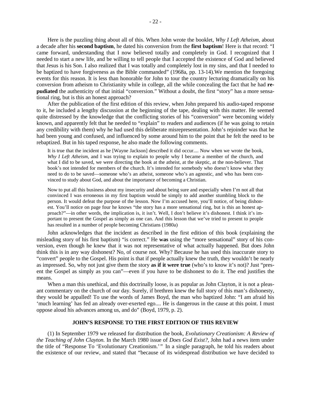Here is the puzzling thing about all of this. When John wrote the booklet, *Why I Left Atheism*, about a decade after his **second baptism**, he dated his conversion from the **first baptism**! Here is that record: "I came forward, understanding that I now believed totally and completely in God. I recognized that I needed to start a new life, and be willing to tell people that I accepted the existence of God and believed that Jesus is his Son. I also realized that I was totally and completely lost in my sins, and that I needed to be baptized to have forgiveness as the Bible commanded" (1968a, pp. 13-14).We mention the foregoing events for this reason. It is less than honorable for John to tour the country lecturing dramatically on his conversion from atheism to Christianity while in college, all the while concealing the fact that he had **repudiated** the authenticity of that initial "conversion." Without a doubt, the first "story" has a more sensational ring, but is this an honest approach?

After the publication of the first edition of this review, when John prepared his audio-taped response to it, he included a lengthy discussion at the beginning of the tape, dealing with this matter. He seemed quite distressed by the knowledge that the conflicting stories of his "conversion" were becoming widely known, and apparently felt that he needed to "explain" to readers and audiences (if he was going to retain any credibility with them) why he had used this deliberate misrepresentation. John's rejoinder was that he had been young and confused, and influenced by some around him to the point that he felt the need to be rebaptized. But in his taped response, he also made the following comments.

It is true that the incident as he [Wayne Jackson] described it did occur.... Now when we wrote the book, *Why I Left Atheism*, and I was trying to explain to people why I became a member of the church, and what I did to be saved, we were directing the book at the atheist, at the skeptic, at the non-believer. That book's not intended for members of the church. It's intended for somebody who doesn't know what they need to do to be saved—someone who's an atheist, someone who's an agnostic, and who has been convinced to study about God, and about the importance of becoming a Christian.

Now to put all this business about my insecurity and about being sure and especially when I'm not all that convinced I was erroneous in my first baptism would be simply to add another stumbling block to the person. It would defeat the purpose of the lesson. Now I'm accused here, you'll notice, of being dishonest. You'll notice on page four he knows "the story has a more sensational ring, but is this an honest approach?"—in other words, the implication is, it isn't. Well, I don't believe it's dishonest. I think it's important to present the Gospel as simply as one can. And this lesson that we've tried to present to people has resulted in a number of people becoming Christians (1980a)

John acknowledges that the incident as described in the first edition of this book (explaining the misleading story of his first baptism) "is correct." He **was** using the "more sensational" story of his conversion, even though he knew that it was not representative of what actually happened. But does John think this is in any way dishonest? No, of course not. Why? Because he has used this inaccurate story to "convert" people to the Gospel. His point is that if people actually knew the truth, they wouldn't be nearly as impressed. So, why not just give them the story **as if it were true** (who's to know it's not)? Just "present the Gospel as simply as you can"—even if you have to be dishonest to do it. The end justifies the means.

When a man this unethical, and this doctrinally loose, is as popular as John Clayton, it is not a pleasant commentary on the church of our day. Surely, if brethren knew the full story of this man's dishonesty, they would be appalled! To use the words of James Boyd, the man who baptized John: "I am afraid his 'much learning' has fed an already over-exerted ego.... He is dangerous in the cause at this point. I must oppose aloud his advances among us, and do" (Boyd, 1979, p. 2).

## **JOHN'S RESPONSE TO THE FIRST EDITION OF THIS REVIEW**

(1) In September 1979 we released for distribution the book, *Evolutionary Creationism: A Review of the Teaching of John Clayton.* In the March 1980 issue of *Does God Exist?,* John had a news item under the title of "Response To 'Evolutionary Creationism.'" In a single paragraph, he told his readers about the existence of our review, and stated that "because of its widespread distribution we have decided to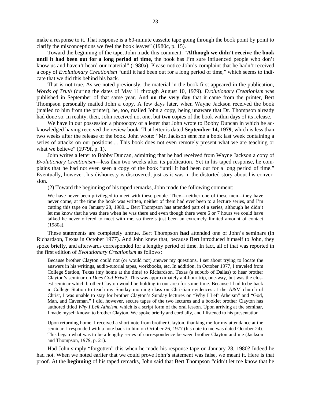make a response to it. That response is a 60-minute cassette tape going through the book point by point to clarify the misconceptions we feel the book leaves" (1980c, p. 15).

Toward the beginning of the tape, John made this comment: "**Although we didn't receive the book until it had been out for a long period of time**, the book has I'm sure influenced people who don't know us and haven't heard our material" (1980a). Please notice John's complaint that he hadn't received a copy of *Evolutionary Creationism* "until it had been out for a long period of time," which seems to indicate that we did this behind his back.

That is not true. As we noted previously, the material in the book first appeared in the publication, *Words of Truth* (during the dates of May 11 through August 10, 1979). *Evolutionary Creationism* was published in September of that same year. And **on the very day** that it came from the printer, Bert Thompson personally mailed John a copy. A few days later, when Wayne Jackson received the book (mailed to him from the printer), he, too, mailed John a copy, being unaware that Dr. Thompson already had done so. In reality, then, John received not one, but **two** copies of the book within days of its release.

We have in our possession a photocopy of a letter that John wrote to Bobby Duncan in which he acknowledged having received the review book. That letter is dated **September 14, 1979**, which is less than two weeks after the release of the book. John wrote: "Mr. Jackson sent me a book last week containing a series of attacks on our positions.... This book does not even remotely present what we are teaching or what we believe" (1979f, p. 1).

John writes a letter to Bobby Duncan, admitting that he had received from Wayne Jackson a copy of *Evolutionary Creationism*—less than two weeks after its publication. Yet in his taped response, he complains that he had not even seen a copy of the book "until it had been out for a long period of time." Eventually, however, his dishonesty is discovered, just as it was in the distorted story about his conversion.

(2) Toward the beginning of his taped remarks, John made the following comment:

We have never been privileged to meet with these people. They—neither one of these men—they have never come, at the time the book was written, neither of them had ever been to a lecture series, and I'm cutting this tape on January 28, 1980.... Bert Thompson has attended part of a series, although he didn't let me know that he was there when he was there and even though there were 6 or 7 hours we could have talked he never offered to meet with me, so there's just been an extremely limited amount of contact (1980a).

These statements are completely untrue. Bert Thompson **had** attended one of John's seminars (in Richardson, Texas in October 1977). And John knew that, because Bert introduced himself to John, they spoke briefly, and afterwards corresponded for a lengthy period of time. In fact, all of that was reported in the first edition of *Evolutionary Creationism* as follows:

Because brother Clayton could not (or would not) answer my questions, I set about trying to locate the answers in his writings, audio-tutorial tapes, workbooks, etc. In addition, in October 1977, I traveled from College Station, Texas (my home at the time) to Richardson, Texas (a suburb of Dallas) to hear brother Clayton's seminar on *Does God Exist?.* This was approximately a 4-hour trip, one-way, but was the closest seminar which brother Clayton would be holding in our area for some time. Because I had to be back in College Station to teach my Sunday morning class on Christian evidences at the A&M church of Christ, I was unable to stay for brother Clayton's Sunday lectures on "Why I Left Atheism" and "God, Man, and Caveman." I did, however, secure tapes of the two lectures and a booklet brother Clayton has authored titled *Why I Left Atheism*, which is a script form of the oral lesson. Upon arriving at the seminar, I made myself known to brother Clayton. We spoke briefly and cordially, and I listened to his presentation.

Upon returning home, I received a short note from brother Clayton, thanking me for my attendance at the seminar. I responded with a note back to him on October 26, 1977 (his note to me was dated October 24). This began what was to be a lengthy series of correspondence between brother Clayton and me (Jackson and Thompson, 1979, p. 21).

Had John simply "forgotten" this when he made his response tape on January 28, 1980? Indeed he had not. When we noted earlier that we could prove John's statement was false, we meant it. Here is that proof. At the **beginning** of his taped remarks, John said that Bert Thompson "didn't let me know that he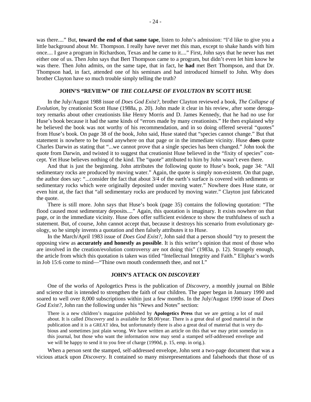was there...." But, **toward the end of that same tape**, listen to John's admission: "I'd like to give you a little background about Mr. Thompson. I really have never met this man, except to shake hands with him once.... I gave a program in Richardson, Texas and he came to it...." First, John says that he never has met either one of us. Then John says that Bert Thompson came to a program, but didn't even let him know he was there. Then John admits, on the same tape, that in fact, he **had** met Bert Thompson, and that Dr. Thompson had, in fact, attended one of his seminars and had introduced himself to John. Why does brother Clayton have so much trouble simply telling the truth?

# **JOHN'S "REVIEW" OF** *THE COLLAPSE OF EVOLUTION* **BY SCOTT HUSE**

In the July/August 1988 issue of *Does God Exist?,* brother Clayton reviewed a book, *The Collapse of Evolution,* by creationist Scott Huse (1988a, p. 20). John made it clear in his review, after some derogatory remarks about other creationists like Henry Morris and D. James Kennedy, that he had no use for Huse's book because it had the same kinds of "errors made by many creationists." He then explained why he believed the book was not worthy of his recommendation, and in so doing offered several "quotes" from Huse's book. On page 38 of the book, John said, Huse stated that "species cannot change." But that statement is nowhere to be found anywhere on that page or in the immediate vicinity. Huse **does** quote Charles Darwin as stating that "...we cannot prove that a single species has been changed." John took the quote from Darwin, and twisted it to suggest that creationist Huse believed in the "fixity of species" concept. Yet Huse believes nothing of the kind. The "quote" attributed to him by John wasn't even there.

And that is just the beginning. John attributes the following quote to Huse's book, page 34: "All sedimentary rocks are produced by moving water." Again, the quote is simply non-existent. On that page, the author does say: "...consider the fact that about 3/4 of the earth's surface is covered with sediments or sedimentary rocks which were originally deposited under moving water." Nowhere does Huse state, or even hint at, the fact that "all sedimentary rocks are produced by moving water." Clayton just fabricated the quote.

There is still more. John says that Huse's book (page 35) contains the following quotation: "The flood caused most sedimentary deposits...." Again, this quotation is imaginary. It exists nowhere on that page, or in the immediate vicinity. Huse does offer sufficient evidence to show the truthfulness of such a statement. But, of course, John cannot accept that, because it destroys his scenario from evolutionary geology, so he simply invents a quotation and then falsely attributes it to Huse.

In the March/April 1983 issue of *Does God Exist?,* John said that a person should "try to present the opposing view as **accurately and honestly as possible**. It is this writer's opinion that most of those who are involved in the creation/evolution controversy are not doing this" (1983a, p. 12). Strangely enough, the article from which this quotation is taken was titled "Intellectual Integrity and Faith." Eliphaz's words in Job 15:6 come to mind—"Thine own mouth condemneth thee, and not I."

#### **JOHN'S ATTACK ON** *DISCOVERY*

One of the works of Apologetics Press is the publication of *Discovery,* a monthly journal on Bible and science that is intended to strengthen the faith of our children. The paper began in January 1990 and soared to well over 8,000 subscriptions within just a few months. In the July/August 1990 issue of *Does God Exist?*, John ran the following under his "News and Notes" section:

There is a new children's magazine published by **Apologetics Press** that we are getting a lot of mail about. It is called *Discovery* and is available for \$8.00/year. There is a great deal of good material in the publication and it is a GREAT idea, but unfortunately there is also a great deal of material that is very dubious and sometimes just plain wrong. We have written an article on this that we may print someday in this journal, but those who want the information now may send a stamped self-addressed envelope and we will be happy to send it to you free of charge (1990d, p. 15, emp. in orig.).

When a person sent the stamped, self-addressed envelope, John sent a two-page document that was a vicious attack upon *Discovery.* It contained so many misrepresentations and falsehoods that those of us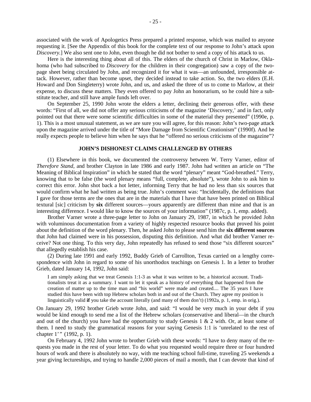associated with the work of Apologetics Press prepared a printed response, which was mailed to anyone requesting it. [See the Appendix of this book for the complete text of our response to John's attack upon *Discovery.*] We also sent one to John, even though he did not bother to send a copy of his attack to us.

Here is the interesting thing about all of this. The elders of the church of Christ in Marlow, Oklahoma (who had subscribed to *Discovery* for the children in their congregation) saw a copy of the twopage sheet being circulated by John, and recognized it for what it was—an unfounded, irresponsible attack. However, rather than become upset, they decided instead to take action. So, the two elders (E.H. Howard and Don Singleterry) wrote John, and us, and asked the three of us to come to Marlow, at their expense, to discuss these matters. They even offered to pay John an honorarium, so he could hire a substitute teacher, and still have ample funds left over.

On September 25, 1990 John wrote the elders a letter, declining their generous offer, with these words: "First of all, we did not offer any serious criticisms of the magazine 'Discovery,' and in fact, only pointed out that there were some scientific difficulties in some of the material they presented" (1990e, p. 1). This is a most unusual statement, as we are sure you will agree, for this reason: John's two-page attack upon the magazine arrived under the title of "More Damage from Scientific Creationism" (1990f). And he really expects people to believe him when he says that he "offered no serious criticisms of the magazine"?

## **JOHN'S DISHONEST CLAIMS CHALLENGED BY OTHERS**

(1) Elsewhere in this book, we documented the controversy between W. Terry Varner, editor of *Therefore Stand,* and brother Clayton in late 1986 and early 1987. John had written an article on "The Meaning of Biblical Inspiration" in which he stated that the word "plenary" meant "God-breathed." Terry, knowing that to be false (the word plenary means "full, complete, absolute"), wrote John to ask him to correct this error. John shot back a hot letter, informing Terry that he had no less than six sources that would confirm what he had written as being true. John's comment was: "Incidentally, the definitions that I gave for those terms are the ones that are in the materials that I have that have been printed on Biblical textural [sic] criticism by **six** different sources—yours apparently are different than mine and that is an interesting difference. I would like to know the sources of your information" (1987c, p. 1, emp. added).

Brother Varner wrote a three-page letter to John on January 29, 1987, in which he provided John with voluminous documentation from a variety of highly respected resource books that proved his point about the definition of the word plenary. Then, he asked John to please send him the **six different sources**  that John had claimed were in his possession, disputing this definition. And what did brother Varner receive? Not one thing. To this very day, John repeatedly has refused to send those "six different sources" that allegedly establish his case.

(2) During late 1991 and early 1992, Buddy Grieb of Carrollton, Texas carried on a lengthy correspondence with John in regard to some of his unorthodox teachings on Genesis 1. In a letter to brother Grieb, dated January 14, 1992, John said:

I am simply asking that we treat Genesis 1:1-3 as what it was written to be, a historical account. Traditionalists treat it as a summary. I want to let it speak as a history of everything that happened from the creation of matter up to the time man and "his world" were made and created.... The 35 years I have studied this have been with top Hebrew scholars both in and out of the Church. They agree my position is linguistically valid **if** you take the account literally (and many of them don't) (1992a, p. 1, emp. in orig.).

On January 29, 1992 brother Grieb wrote John, and said: "I would be very much in your debt if you would be kind enough to send me a list of the Hebrew scholars (conservative and liberal—in the church and out of the church) you have had the opportunity to study Genesis  $1 \& 2$  with. Or, at least some of them. I need to study the grammatical reasons for your saying Genesis 1:1 is 'unrelated to the rest of chapter 1'" (1992, p. 1).

On February 4, 1992 John wrote to brother Grieb with these words: "I have to deny many of the requests you made in the rest of your letter. To do what you requested would require three or four hundred hours of work and there is absolutely no way, with me teaching school full-time, traveling 25 weekends a year giving lectureships, and trying to handle 2,000 pieces of mail a month, that I can devote that kind of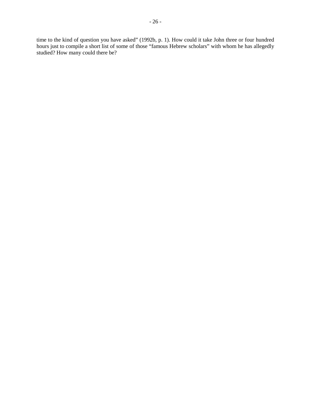time to the kind of question you have asked" (1992b, p. 1). How could it take John three or four hundred hours just to compile a short list of some of those "famous Hebrew scholars" with whom he has allegedly studied? How many could there be?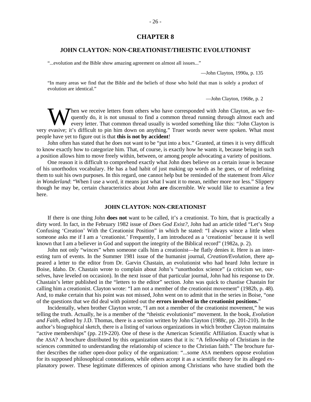# **JOHN CLAYTON: NON-CREATIONIST/THEISTIC EVOLUTIONIST**

"...evolution and the Bible show amazing agreement on almost all issues..."

—John Clayton, 1990a, p. 135

"In many areas we find that the Bible and the beliefs of those who hold that man is solely a product of evolution are identical."

—John Clayton, 1968e, p. 2

When we receive letters from others who have corresponded with John Clayton, as we frequently do, it is not unusual to find a common thread running through almost each and every letter. That common thread usually is worded quently do, it is not unusual to find a common thread running through almost each and every letter. That common thread usually is worded something like this: "John Clayton is very evasive; it's difficult to pin him down on anything." Truer words never were spoken. What most people have yet to figure out is that **this is not by accident**!

John often has stated that he does not want to be "put into a box." Granted, at times it is very difficult to know exactly how to categorize him. That, of course, is exactly how he wants it, because being in such a position allows him to move freely within, between, or among people advocating a variety of positions.

One reason it is difficult to comprehend exactly what John does believe on a certain issue is because of his unorthodox vocabulary. He has a bad habit of just making up words as he goes, or of redefining them to suit his own purposes. In this regard, one cannot help but be reminded of the statement from *Alice in Wonderland*: "When I use a word, it means just what I want it to mean, neither more nor less." Slippery though he may be, certain characteristics about John **are** discernible. We would like to examine a few here.

### **JOHN CLAYTON: NON-CREATIONIST**

If there is one thing John **does not** want to be called, it's a creationist. To him, that is practically a dirty word. In fact, in the February 1982 issue of *Does God Exist?,* John had an article titled "Let's Stop Confusing 'Creation' With the Creationist Position" in which he stated: "I always wince a little when someone asks me if I am a 'creationist.' Frequently, I am introduced as a 'creationist' because it is well known that I am a believer in God and support the integrity of the Biblical record" (1982a, p. 2).

John not only "winces" when someone calls him a creationist—he flatly denies it. Here is an interesting turn of events. In the Summer 1981 issue of the humanist journal, *Creation/Evolution,* there appeared a letter to the editor from Dr. Garvin Chastain, an evolutionist who had heard John lecture in Boise, Idaho. Dr. Chastain wrote to complain about John's "unorthodox science" (a criticism we, ourselves, have leveled on occasion). In the next issue of that particular journal, John had his response to Dr. Chastain's letter published in the "letters to the editor" section. John was quick to chastise Chastain for calling him a creationist. Clayton wrote: "I am not a member of the creationist movement" (1982b, p. 48). And, to make certain that his point was not missed, John went on to admit that in the series in Boise, "one of the questions that we did deal with pointed out the **errors involved in the creationist positions.**"

Incidentally, when brother Clayton wrote, "I am not a member of the creationist movement," he was telling the truth. Actually, he is a member of the "theistic evolutionist" movement. In the book, *Evolution and Faith,* edited by J.D. Thomas, there is a section written by John Clayton (1988c, pp. 201-210). In the author's biographical sketch, there is a listing of various organizations in which brother Clayton maintains "active memberships" (pp. 219-220). One of these is the American Scientific Affiliation. Exactly what is the ASA? A brochure distributed by this organization states that it is: "A fellowship of Christians in the sciences committed to understanding the relationship of science to the Christian faith." The brochure further describes the rather open-door policy of the organization: "...some ASA members oppose evolution for its supposed philosophical connotations, while others accept it as a scientific theory for its alleged explanatory power. These legitimate differences of opinion among Christians who have studied both the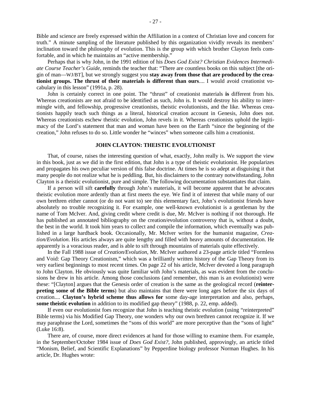Bible and science are freely expressed within the Affiliation in a context of Christian love and concern for truth." A minute sampling of the literature published by this organization vividly reveals its members' inclination toward the philosophy of evolution. This is the group with which brother Clayton feels comfortable, and in which he maintains an "active membership."

Perhaps that is why John, in the 1991 edition of his *Does God Exist? Christian Evidences Intermediate Course Teacher's Guide,* reminds the teacher that: "There are countless books on this subject [the origin of man—WJ/BT], but we strongly suggest you **stay away from those that are produced by the creationist groups. The thrust of their materials is different than ours**.... I would avoid creationist vocabulary in this lesson" (1991a, p. 28).

John is certainly correct in one point. The "thrust" of creationist materials **is** different from his. Whereas creationists are not afraid to be identified as such, John is. It would destroy his ability to intermingle with, and fellowship, progressive creationists, theistic evolutionists, and the like. Whereas creationists happily teach such things as a literal, historical creation account in Genesis, John does not. Whereas creationists eschew theistic evolution, John revels in it. Whereas creationists uphold the legitimacy of the Lord's statement that man and woman have been on the Earth "since the beginning of the creation," John refuses to do so. Little wonder he "winces" when someone calls him a creationist.

## **JOHN CLAYTON: THEISTIC EVOLUTIONIST**

That, of course, raises the interesting question of what, exactly, John really is. We support the view in this book, just as we did in the first edition, that John is a type of theistic evolutionist. He popularizes and propagates his own peculiar version of this false doctrine. At times he is so adept at disguising it that many people do not realize what he is peddling. But, his disclaimers to the contrary notwithstanding, John Clayton is a theistic evolutionist, pure and simple. The following documentation substantiates that claim.

If a person will sift **carefully** through John's materials, it will become apparent that he advocates theistic evolution more ardently than at first meets the eye. We find it of interest that while many of our own brethren either cannot (or do not want to) see this elementary fact, John's evolutionist friends have absolutely no trouble recognizing it. For example, one well-known evolutionist is a gentleman by the name of Tom McIver. And, giving credit where credit is due, Mr. McIver is nothing if not thorough. He has published an annotated bibliography on the creation/evolution controversy that is, without a doubt, the best in the world. It took him years to collect and compile the information, which eventually was published in a large hardback book. Occasionally, Mr. McIver writes for the humanist magazine, *Creation/Evolution*. His articles always are quite lengthy and filled with heavy amounts of documentation. He apparently is a voracious reader, and is able to sift through mountains of materials quite effectively.

In the Fall 1988 issue of *Creation/Evolution,* Mr. McIver authored a 23-page article titled "Formless and Void: Gap Theory Creationism," which was a brilliantly written history of the Gap Theory from its very earliest beginnings to most recent times. On page 22 of his article, McIver devoted a long paragraph to John Clayton. He obviously was quite familiar with John's materials, as was evident from the conclusions he drew in his article. Among those conclusions (and remember, this man is an evolutionist) were these: "[Clayton] argues that the Genesis order of creation is the same as the geological record (**reinterpreting some of the Bible terms**) but also maintains that there were long ages before the six days of creation.... **Clayton's hybrid scheme thus allows for** some day-age interpretation and also, perhaps, **some theistic evolution** in addition to its modified gap theory" (1988, p. 22, emp. added).

If even our evolutionist foes recognize that John is teaching theistic evolution (using "reinterpreted" Bible terms) via his Modified Gap Theory, one wonders why our own brethren cannot recognize it. If we may paraphrase the Lord, sometimes the "sons of this world" are more perceptive than the "sons of light" (Luke 16:8).

There are, of course, more direct evidences at hand for those willing to examine them. For example, in the September/October 1984 issue of *Does God Exist?*, John published, approvingly, an article titled "Monism, Belief, and Scientific Explanations" by Pepperdine biology professor Norman Hughes. In his article, Dr. Hughes wrote: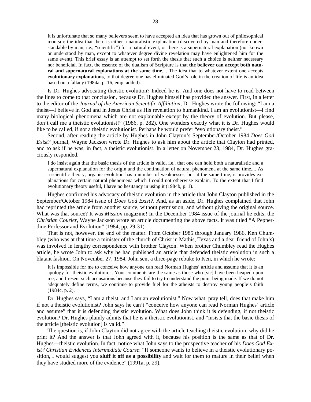It is unfortunate that so many believers seem to have accepted an idea that has grown out of philosophical monism: the idea that there is either a naturalistic explanation (discovered by man and therefore understandable by man, i.e., "scientific") for a natural event, or there is a supernatural explanation (not known or understood by man, except to whatever degree divine revelation may have enlightened him for the same event). This brief essay is an attempt to set forth the thesis that such a choice is neither necessary nor beneficial. In fact, the essence of the dualism of Scripture is that **the believer can accept both natural and supernatural explanations at the same time**.... The idea that to whatever extent one accepts **evolutionary explanations**, to that degree one has eliminated God's role in the creation of life is an idea based on a fallacy (1984a, p. 16, emp. added).

Is Dr. Hughes advocating theistic evolution? Indeed he is. And one does not have to read between the lines to come to that conclusion, because Dr. Hughes himself has provided the answer. First, in a letter to the editor of the *Journal of the American Scientific Affiliation,* Dr. Hughes wrote the following: "I am a theist—I believe in God and in Jesus Christ as His revelation to humankind. I am an evolutionist—I find many biological phenomena which are not explainable except by the theory of evolution. But please, don't call me a theistic evolutionist!" (1986, p. 282). One wonders exactly what it is Dr. Hughes would like to be called, if not a theistic evolutionist. Perhaps he would prefer "evolutionary theist."

Second, after reading the article by Hughes in John Clayton's September/October 1984 *Does God Exist?* journal, Wayne Jackson wrote Dr. Hughes to ask him about the article that Clayton had printed, and to ask if he was, in fact, a theistic evolutionist. In a letter on November 23, 1984, Dr. Hughes graciously responded.

I do insist again that the basic thesis of the article is valid, i.e., that one can hold both a naturalistic and a supernatural explanation for the origin and the continuation of natural phenomena at the same time.... As a scientific theory, organic evolution has a number of weaknesses, but at the same time, it provides explanations for certain natural phenomena which I could not otherwise explain. To the extent that I find evolutionary theory useful, I have no hesitancy in using it (1984b, p. 1).

Hughes confirmed his advocacy of theistic evolution in the article that John Clayton published in the September/October 1984 issue of *Does God Exist?*. And, as an aside, Dr. Hughes complained that John had reprinted the article from another source, without permission, and without giving the original source. What was that source? It was *Mission* magazine! In the December 1984 issue of the journal he edits, the *Christian Courier,* Wayne Jackson wrote an article documenting the above facts. It was titled "A Pepperdine Professor and Evolution" (1984, pp. 29-31).

That is not, however, the end of the matter. From October 1985 through January 1986, Ken Chumbley (who was at that time a minister of the church of Christ in Mathis, Texas and a dear friend of John's) was involved in lengthy correspondence with brother Clayton. When brother Chumbley read the Hughes article, he wrote John to ask why he had published an article that defended theistic evolution in such a blatant fashion. On November 27, 1984, John sent a three-page rebuke to Ken, in which he wrote:

It is impossible for me to conceive how anyone can read Norman Hughes' article and assume that it is an apology for theistic evolution.... Your comments are the same as those who [sic] have been heaped upon me, and I resent such accusations because they fail to try to understand the point being made. If we do not adequately define terms, we continue to provide fuel for the atheists to destroy young people's faith (1984c, p. 2).

Dr. Hughes says, "I am a theist, and I am an evolutionist." Now what, pray tell, does that make him if not a theistic evolutionist? John says he can't "conceive how anyone can read Norman Hughes' article and assume" that it is defending theistic evolution. What does John think it **is** defending, if not theistic evolution? Dr. Hughes plainly admits that he is a theistic evolutionist, and "insists that the basic thesis of the article [theistic evolution] is valid."

The question is, if John Clayton did not agree with the article teaching theistic evolution, why did he print it? And the answer is that John agreed with it, because his position is the same as that of Dr. Hughes—theistic evolution. In fact, notice what John says to the prospective teacher of his *Does God Exist? Christian Evidences Intermediate Course*: "If someone wants to believe in a theistic evolutionary position, I would suggest you **sluff it off as a possibility** and wait for them to mature in their belief when they have studied more of the evidence" (1991a, p. 29).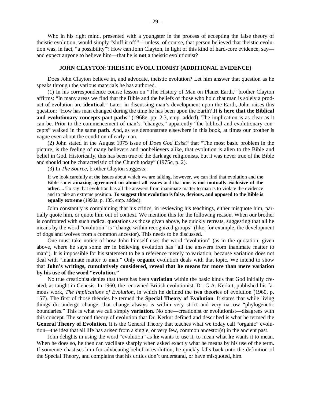Who in his right mind, presented with a youngster in the process of accepting the false theory of theistic evolution, would simply "sluff it off"-unless, of course, that person believed that theistic evolution was, in fact, "a possibility"? How can John Clayton, in light of this kind of hard-core evidence, say and expect anyone to believe him—that he is **not** a theistic evolutionist?

### **JOHN CLAYTON: THEISTIC EVOLUTIONIST (ADDITIONAL EVIDENCE)**

Does John Clayton believe in, and advocate, theistic evolution? Let him answer that question as he speaks through the various materials he has authored.

(1) In his correspondence course lesson on "The History of Man on Planet Earth," brother Clayton affirms: "In many areas we find that the Bible and the beliefs of those who hold that man is solely a product of evolution are **identical**." Later, in discussing man's development upon the Earth, John raises this question: "How has man changed during the time he has been upon the Earth? **It is here that the Biblical and evolutionary concepts part paths**" (1968e, pp. 2,3, emp. added). The implication is as clear as it can be. Prior to the commencement of man's "changes," apparently "the biblical and evolutionary concepts" walked in the same **path**. And, as we demonstrate elsewhere in this book, at times our brother is vague even about the condition of early man.

(2) John stated in the August 1975 issue of *Does God Exist?* that "The most basic problem in the picture, is the feeling of many believers and nonbelievers alike, that evolution is alien to the Bible and belief in God. Historically, this has been true of the dark age religionists, but it was never true of the Bible and should not be characteristic of the Church today" (1975c, p. 2).

(3) In *The Source,* brother Clayton suggests:

If we look carefully at the issues about which we are talking, however, we can find that evolution and the Bible show **amazing agreement on almost all issues** and that **one is not mutually exclusive of the other**.... To say that evolution has all the answers from inanimate matter to man is to violate the evidence and to take an extreme position. **To suggest that evolution is false, devious, and opposed to the Bible is equally extreme** (1990a, p. 135, emp. added).

John constantly is complaining that his critics, in reviewing his teachings, either misquote him, partially quote him, or quote him out of context. We mention this for the following reason. When our brother is confronted with such radical quotations as those given above, he quickly retreats, suggesting that all he means by the word "evolution" is "change within recognized groups" (like, for example, the development of dogs and wolves from a common ancestor). This needs to be discussed.

One must take notice of how John himself uses the word "evolution" (as in the quotation, given above, where he says some err in believing evolution has "all the answers from inanimate matter to man"). It is impossible for his statement to be a reference merely to variation, because variation does not deal with "inanimate matter to man." Only **organic** evolution deals with that topic. We intend to show that **John's writings, cumulatively considered, reveal that he means far more than mere variation by his use of the word "evolution."** 

No true creationist denies that there has been **variation** within the basic kinds that God initially created, as taught in Genesis. In 1960, the renowned British evolutionist, Dr. G.A. Kerkut, published his famous work, *The Implications of Evolution,* in which he defined the **two** theories of evolution (1960, p. 157). The first of those theories he termed the **Special Theory of Evolution**. It states that while living things do undergo change, that change always is within very strict and very narrow "phylogenetic boundaries." This is what we call simply **variation**. No one—creationist or evolutionist—disagrees with this concept. The second theory of evolution that Dr. Kerkut defined and described is what he termed the **General Theory of Evolution**. It is the General Theory that teaches what we today call "organic" evolution—the idea that all life has arisen from a single, or very few, common ancestor(s) in the ancient past.

John delights in using the word "evolution" as **he** wants to use it, to mean what **he** wants it to mean. When he does so, he then can vacillate sharply when asked exactly what he means by his use of the term. If someone chastises him for advocating belief in evolution, he quickly falls back onto the definition of the Special Theory, and complains that his critics don't understand, or have misquoted, him.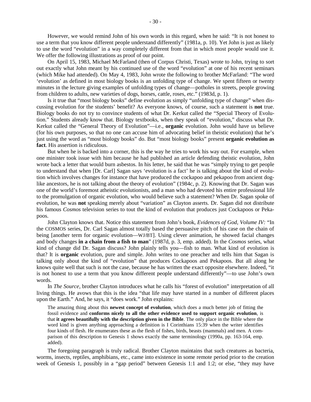However, we would remind John of his own words in this regard, when he said: "It is not honest to use a term that you know different people understand differently" (1981a, p. 10). Yet John is just as likely to use the word "evolution" in a way completely different from that in which most people would use it. We offer the following illustrations as proof of our point.

On April 15, 1983, Michael McFarland (then of Corpus Christi, Texas) wrote to John, trying to sort out exactly what John meant by his continued use of the word "evolution" at one of his recent seminars (which Mike had attended). On May 4, 1983, John wrote the following to brother McFarland: "The word 'evolution' as defined in most biology books is an unfolding type of change. We spent fifteen or twenty minutes in the lecture giving examples of unfolding types of change—potholes in streets, people growing from children to adults, new varieties of dogs, horses, cattle, roses, etc." (1983d, p. 1).

Is it true that "most biology books" define evolution as simply "unfolding type of change" when discussing evolution for the students' benefit? As everyone knows, of course, such a statement is **not** true. Biology books do not try to convince students of what Dr. Kerkut called the "Special Theory of Evolution." Students already know that. Biology textbooks, when they speak of "evolution," discuss what Dr. Kerkut called the "General Theory of Evolution"—i.e., **organic** evolution. John would have us believe (for his own purposes, so that no one can accuse him of advocating belief in theistic evolution) that he's just using the word as "most biology books" do. But "most biology books" present **organic evolution as fact**. His assertion is ridiculous.

But when he is backed into a corner, this is the way he tries to work his way out. For example, when one minister took issue with him because he had published an article defending theistic evolution, John wrote back a letter that would burn asbestos. In his letter, he said that he was "simply trying to get people to understand that when [Dr. Carl] Sagan says 'evolution is a fact' he is talking about the kind of evolution which involves changes for instance that have produced the cockapoo and pekapoo from ancient doglike ancestors, he is not talking about the theory of evolution" (1984c, p. 2). Knowing that Dr. Sagan was one of the world's foremost atheistic evolutionists, and a man who had devoted his entire professional life to the promulgation of organic evolution, who would believe such a statement? When Dr. Sagan spoke of evolution, he was **not** speaking merely about "variation" as Clayton asserts. Dr. Sagan did not distribute his famous *Cosmos* television series to tout the kind of evolution that produces just Cockapoos or Pekapoos.

John Clayton knows that. Notice this statement from John's book, *Evidences of God, Volume IV:* "In the COSMOS series, Dr. Carl Sagan almost totally based the persuasive pitch of his case on the chain of being [another term for organic evolution—WJ/BT]. Using clever animation, he showed facial changes and body changes **in a chain from a fish to man**" (1987d, p. 3, emp. added). In the *Cosmos* series, what kind of change did Dr. Sagan discuss? John plainly tells you—fish to man. What kind of evolution is that? It is **organic** evolution, pure and simple. John writes to one preacher and tells him that Sagan is talking only about the kind of "evolution" that produces Cockapoos and Pekapoos. But all along he knows quite well that such is not the case, because he has written the exact opposite elsewhere. Indeed, "it is not honest to use a term that you know different people understand differently"—to use John's own words.

In *The Source,* brother Clayton introduces what he calls his "forest of evolution" interpretation of all living things. He avows that this is the idea "that life may have started in a number of different places upon the Earth." And, he says, it "does work." John explains:

The amazing thing about this **newest concept of evolution**, which does a much better job of fitting the fossil evidence and **conforms nicely to all the other evidence used to support organic evolution**, is that **it agrees beautifully with the description given in the Bible**. The only place in the Bible where the word kind is given anything approaching a definition is I Corinthians 15:39 when the writer identifies four kinds of flesh. He enumerates these as the flesh of fishes, birds, beasts (mammals) and men. A comparison of this description to Genesis 1 shows exactly the same terminology (1990a, pp. 163-164, emp. added).

The foregoing paragraph is truly radical. Brother Clayton maintains that such creatures as bacteria, worms, insects, reptiles, amphibians, etc., came into existence in some remote period prior to the creation week of Genesis 1, possibly in a "gap period" between Genesis 1:1 and 1:2; or else, "they may have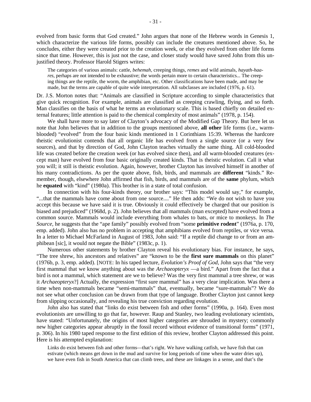evolved from basic forms that God created." John argues that none of the Hebrew words in Genesis 1, which characterize the various life forms, possibly can include the creatures mentioned above. So, he concludes, either they were created prior to the creation week, or else they evolved from other life forms since that time. However, this is just not the case, and closer study would have saved John from this unjustified theory. Professor Harold Stigers writes:

The categories of various animals: cattle, *behemah,* creeping things, *remes* and wild animals, *hayath-haares,* perhaps are not intended to be exhaustive; the words pertain more to certain characteristics... The creeping things are the reptile, the worm, the amphibian, etc. Other classifications have been made, and may be made, but the terms are capable of quite wide interpretation. All subclasses are included (1976, p. 61).

Dr. J.S. Morton notes that: "Animals are classified in Scripture according to simple characteristics that give quick recognition. For example, animals are classified as creeping crawling, flying, and so forth. Man classifies on the basis of what he terms an evolutionary scale. This is based chiefly on detailed external features; little attention is paid to the chemical complexity of most animals" (1978, p. 154).

We shall have more to say later of Clayton's advocacy of the Modified Gap Theory. But here let us note that John believes that in addition to the groups mentioned above, **all other** life forms (i.e., warmblooded) "evolved" from the four basic kinds mentioned in 1 Corinthians 15:39. Whereas the hardcore theistic evolutionist contends that all organic life has evolved from a single source (or a very few sources), and that by direction of God, John Clayton teaches virtually the same thing. All cold-blooded life was created before the creation week (or has evolved since then), and all warm-blooded creatures (except man) have evolved from four basic originally created kinds. That is theistic evolution. Call it what you will; it still is theistic evolution. Again, however, brother Clayton has involved himself in another of his many contradictions. As per the quote above, fish, birds, and mammals are **different** "kinds." Remember, though, elsewhere John affirmed that fish, birds, and mammals are of the **same** phylum, which he **equated** with "kind" (1980a). This brother is in a state of total confusion.

In connection with his four-kinds theory, our brother says: "This model would say," for example, "...that the mammals have come about from one source...." He then adds: "We do not wish to have you accept this because we have said it is true. Obviously it could effectively be charged that our position is biased and prejudiced" (1968d, p. 2). John believes that all mammals (man excepted) have evolved from a common source. Mammals would include everything from whales to bats, or mice to monkeys. In *The Source,* he suggests that the "ape family" possibly evolved from "some **primitive rodent**" (1976a, p. 170, emp. added). John also has no problem in accepting that amphibians evolved from reptiles, or vice versa. In a letter to Michael McFarland in August of 1983, John said: "If a reptile did change to or from an amphibean [sic], it would not negate the Bible" (1983c, p. 1).

Numerous other statements by brother Clayton reveal his evolutionary bias. For instance, he says, "The tree shrew, his ancestors and relatives" are "known to be the **first sure mammals** on this planet" (1976b, p. 3, emp. added). [NOTE: In his taped lecture, *Evolution's Proof of God,* John says that "the very first mammal that we know anything about was the *Archaeopteryx* —a bird." Apart from the fact that a bird is not a mammal, which statement are we to believe? Was the very first mammal a tree shrew, or was it *Archaeopteryx*?] Actually, the expression "first sure mammal" has a very clear implication. Was there a time when non-mammals became "semi-mammals" that, eventually, became "sure-mammals"? We do not see what other conclusion can be drawn from that type of language. Brother Clayton just cannot keep from slipping occasionally, and revealing his true conviction regarding evolution.

John also has stated that "links do exist between fish and other forms" (1990a, p. 164). Even most evolutionists are unwilling to go that far, however. Raup and Stanley, two leading evolutionary scientists, have stated: "Unfortunately, the origins of most higher categories are shrouded in mystery; commonly new higher categories appear abruptly in the fossil record without evidence of transitional forms" (1971, p. 306). In his 1980 taped response to the first edition of this review, brother Clayton addressed this point. Here is his attempted explanation:

Links do exist between fish and other forms—that's right. We have walking catfish, we have fish that can estivate (which means get down in the mud and survive for long periods of time when the water dries up), we have even fish in South America that can climb trees, and these are linkages in a sense, and that's the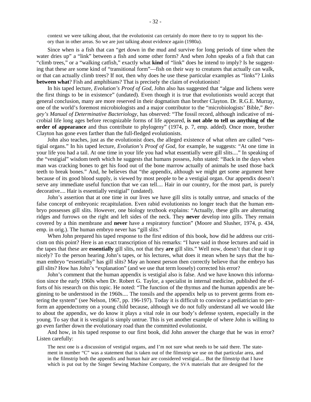context we were talking about, that the evolutionist can certainly do more there to try to support his theory than in other areas. So we are just talking about evidence again (1980a).

Since when is a fish that can "get down in the mud and survive for long periods of time when the water dries up" a "link" between a fish and some other form? And when John speaks of a fish that can "climb trees," or a "walking catfish," exactly what **kind** of "link" does he intend to imply? Is he suggesting that these are some kind of "transitional form"—fish on their way to creatures that actually can walk, or that can actually climb trees? If not, then why does he use these particular examples as "links"? Links **between what**? Fish and amphibians? That is precisely the claim of evolutionists!

In his taped lecture, *Evolution's Proof of God,* John also has suggested that "algae and lichens were the first things to be in existence" (undated). Even though it is true that evolutionists would accept that general conclusion, many are more reserved in their dogmatism than brother Clayton. Dr. R.G.E. Murray, one of the world's foremost microbiologists and a major contributor to the "microbiologists' Bible," *Bergey's Manual of Determinative Bacteriology,* has observed: "The fossil record, although indicative of microbial life long ages before recognizable forms of life appeared, **is not able to tell us anything of the order of appearance** and thus contribute to phylogeny" (1974, p. 7, emp. added). Once more, brother Clayton has gone even farther than the full-fledged evolutionists.

John also teaches, just as the evolutionist does, the alleged existence of what often are called "vestigial organs." In his taped lecture, *Evolution's Proof of God,* for example, he suggests: "At one time in your life you had a tail. At one time in your life you had what essentially were gill slits...." In speaking of the "vestigial" wisdom teeth which he suggests that humans possess, John stated: "Back in the days when man was cracking bones to get his food out of the bone marrow actually of animals he used those back teeth to break bones." And, he believes that "the appendix, although we might get some argument here because of its good blood supply, is viewed by most people to be a vestigial organ. Our appendix doesn't serve any immediate useful function that we can tell.... Hair in our country, for the most part, is purely decorative.... Hair is essentially vestigial" (undated).

John's assertion that at one time in our lives we have gill slits is totally untrue, and smacks of the false concept of embryonic recapitulation. Even rabid evolutionists no longer teach that the human embryo possesses gill slits. However, one biology textbook explains: "Actually, these gills are alternating ridges and furrows on the right and left sides of the neck. They **never** develop into gills. They remain covered by a thin membrane and **never** have a respiratory function" (Moore and Slusher, 1974, p. 434, emp. in orig.). The human embryo never has "gill slits."

When John prepared his taped response to the first edition of this book, how did he address our criticism on this point? Here is an exact transcription of his remarks: "I have said in those lectures and said in the tapes that these are **essentially** gill slits, not that they **are** gill slits." Well now, doesn't that clear it up nicely? To the person hearing John's tapes, or his lectures, what does it mean when he says that the human embryo "essentially" has gill slits? May an honest person then correctly believe that the embryo has gill slits? How has John's "explanation" (and we use that term loosely) corrected his error?

John's comment that the human appendix is vestigial also is false. And we have known this information since the early 1960s when Dr. Robert G. Taylor, a specialist in internal medicine, published the efforts of his research on this topic. He noted: "The function of the thymus and the human appendix are beginning to be understood in the 1960s.... The tonsils and the appendix help us to prevent germs from entering the system" (see Nelson, 1967, pp. 196-197). Today it is difficult to convince a pediatrician to perform an appendectomy on a young child because, although we do not fully understand all we would like to about the appendix, we do know it plays a vital role in our body's defense system, especially in the young. To say that it is vestigial is simply untrue. This is yet another example of where John is willing to go even farther down the evolutionary road than the committed evolutionist.

And how, in his taped response to our first book, did John answer the charge that he was in error? Listen carefully:

The next one is a discussion of vestigial organs, and I'm not sure what needs to be said there. The statement in number "C" was a statement that is taken out of the filmstrip we use on that particular area, and in the filmstrip both the appendix and human hair are considered vestigial.... But the filmstrip that I have which is put out by the Singer Sewing Machine Company, the SVA materials that are designed for the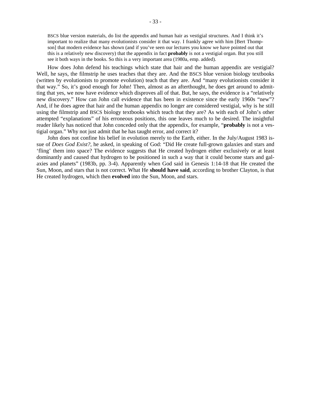BSCS blue version materials, do list the appendix and human hair as vestigial structures. And I think it's important to realize that many evolutionists consider it that way. I frankly agree with him [Bert Thompson] that modern evidence has shown (and if you've seen our lectures you know we have pointed out that this is a relatively new discovery) that the appendix in fact **probably** is not a vestigial organ. But you still see it both ways in the books. So this is a very important area (1980a, emp. added).

How does John defend his teachings which state that hair and the human appendix are vestigial? Well, he says, the filmstrip he uses teaches that they are. And the BSCS blue version biology textbooks (written by evolutionists to promote evolution) teach that they are. And "many evolutionists consider it that way." So, it's good enough for John! Then, almost as an afterthought, he does get around to admitting that yes, we now have evidence which disproves all of that. But, he says, the evidence is a "relatively new discovery." How can John call evidence that has been in existence since the early 1960s "new"? And, if he does agree that hair and the human appendix no longer are considered vestigial, why is he still using the filmstrip and BSCS biology textbooks which teach that they are? As with each of John's other attempted "explanations" of his erroneous positions, this one leaves much to be desired. The insightful reader likely has noticed that John conceded only that the appendix, for example, "**probably** is not a vestigial organ." Why not just admit that he has taught error, and correct it?

John does not confine his belief in evolution merely to the Earth, either. In the July/August 1983 issue of *Does God Exist?,* he asked, in speaking of God: "Did He create full-grown galaxies and stars and 'fling' them into space? The evidence suggests that He created hydrogen either exclusively or at least dominantly and caused that hydrogen to be positioned in such a way that it could become stars and galaxies and planets" (1983b, pp. 3-4). Apparently when God said in Genesis 1:14-18 that He created the Sun, Moon, and stars that is not correct. What He **should have said**, according to brother Clayton, is that He created hydrogen, which then **evolved** into the Sun, Moon, and stars.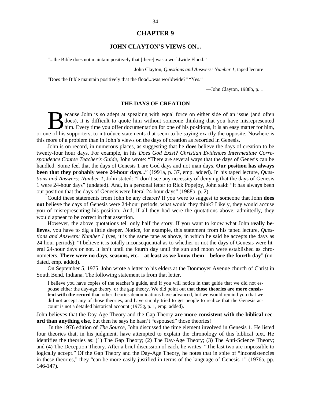# **CHAPTER 9**

#### **JOHN CLAYTON'S VIEWS ON...**

"...the Bible does not maintain positively that [there] was a worldwide Flood."

—John Clayton, *Questions and Answers: Number 1,* taped lecture

"Does the Bible maintain positively that the flood...was worldwide?" "Yes."

—John Clayton, 1988b, p. 1

# **THE DAYS OF CREATION**

Because John is so adept at speaking with equal force on either side of an issue (and often does), it is difficult to quote him without someone thinking that you have misrepresented him. Every time you offer documentation for one of his positions, it is an easy matter for him, or one of his supporters, to introduce statements that seem to be saying exactly the opposite. Nowhere is this more of a problem than in John's views on the days of creation as recorded in Genesis.

John is on record, in numerous places, as suggesting that he **does** believe the days of creation to be twenty-four hour days. For example, in his *Does God Exist? Christian Evidences Intermediate Correspondence Course Teacher's Guide,* John wrote: "There are several ways that the days of Genesis can be handled. Some feel that the days of Genesis 1 are God days and not man days. **Our position has always been that they probably were 24-hour days**..." (1991a, p. 37, emp. added). In his taped lecture, *Questions and Answers: Number 1,* John stated: "I don't see any necessity of denying that the days of Genesis 1 were 24-hour days" (undated). And, in a personal letter to Rick Popejoy, John said: "It has always been our position that the days of Genesis were literal 24-hour days" (1988b, p. 2).

Could these statements from John be any clearer? If you were to suggest to someone that John **does not** believe the days of Genesis were 24-hour periods, what would they think? Likely, they would accuse you of misrepresenting his position. And, if all they had were the quotations above, admittedly, they would appear to be correct in that assertion.

However, the above quotations tell only half the story. If you want to know what John **really believes**, you have to dig a little deeper. Notice, for example, this statement from his taped lecture, *Questions and Answers: Number 1* (yes, it is the same tape as above, in which he said he accepts the days as 24-hour periods): "I believe it is totally inconsequential as to whether or not the days of Genesis were literal 24-hour days or not. It isn't until the fourth day until the sun and moon were established as chronometers. **There were no days**, **seasons, etc.—at least as we know them—before the fourth day**" (undated, emp. added).

On September 5, 1975, John wrote a letter to his elders at the Donmoyer Avenue church of Christ in South Bend, Indiana. The following statement is from that letter.

I believe you have copies of the teacher's guide, and if you will notice in that guide that we did not espouse either the day-age theory, or the gap theory. We did point out that **those theories are more consistent with the record** than other theories denominations have advanced, but we would remind you that we did not accept any of those theories, and have simply tried to get people to realize that the Genesis account is not a detailed historical account (1975g, p. 1, emp. added).

John believes that the Day-Age Theory and the Gap Theory **are more consistent with the biblical record than anything else**, but then he says he hasn't "espoused" those theories!

In the 1976 edition of *The Source,* John discussed the time element involved in Genesis 1. He listed four theories that, in his judgment, have attempted to explain the chronology of this biblical text. He identifies the theories as: (1) The Gap Theory; (2) The Day-Age Theory; (3) The Anti-Science Theory; and (4) The Deception Theory. After a brief discussion of each, he writes: "The last two are impossible to logically accept." Of the Gap Theory and the Day-Age Theory, he notes that in spite of "inconsistencies in these theories," they "can be more easily justified in terms of the language of Genesis 1" (1976a, pp. 146-147).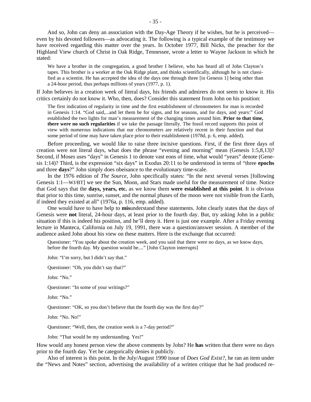And so, John can deny an association with the Day-Age Theory if he wishes, but he is perceived even by his devoted followers—as advocating it. The following is a typical example of the testimony we have received regarding this matter over the years. In October 1977, Bill Nicks, the preacher for the Highland View church of Christ in Oak Ridge, Tennessee, wrote a letter to Wayne Jackson in which he stated:

We have a brother in the congregation, a good brother I believe, who has heard all of John Clayton's tapes. This brother is a worker at the Oak Ridge plant, and thinks scientifically, although he is not classified as a scientist. He has accepted the idea of the days one through three [in Genesis 1] being other than a 24-hour period, thus perhaps millions of years (1977, p. 1).

If John believes in a creation week of literal days, his friends and admirers do not seem to know it. His critics certainly do not know it. Who, then, does? Consider this statement from John on his position:

The first indication of regularity in time and the first establishment of chronometers for man is recorded in Genesis 1:14. "God said,...and let them be for signs, and for seasons, and for days, and years:" God established the two lights for man's measurement of the changing times around him. **Prior to that time, there were no such regularities** if we take the passage literally. The fossil record supports this point of view with numerous indications that our chronometers are relatively recent in their function and that some period of time may have taken place prior to their establishment (1978d, p. 6, emp. added).

Before proceeding, we would like to raise three incisive questions. First, if the first three days of creation were not literal days, what does the phrase "evening and morning" mean (Genesis 1:5,8,13)? Second, if Moses uses "days" in Genesis 1 to denote vast eons of time, what would "years" denote (Genesis 1:14)? Third, is the expression "six days" in Exodus 20:11 to be understood in terms of "three **epochs**  and three **days**?" John simply does obeisance to the evolutionary time-scale.

In the 1976 edition of *The Source,* John specifically states: "In the next several verses [following Genesis 1:1—WJ/BT] we see the Sun, Moon, and Stars made useful for the measurement of time. Notice that God says that the **days, years, etc.** as we know them **were established at this point**. It is obvious that prior to this time, sunrise, sunset, and the normal phases of the moon were not visible from the Earth, if indeed they existed at all" (1976a, p. 116, emp. added).

One would have to have help to **mis**understand these statements. John clearly states that the days of Genesis were **not** literal, 24-hour days, at least prior to the fourth day. But, try asking John in a public situation if this is indeed his position, and he'll deny it. Here is just one example. After a Friday evening lecture in Manteca, California on July 19, 1991, there was a question/answer session. A member of the audience asked John about his view on these matters. Here is the exchange that occurred:

Questioner: "You spoke about the creation week, and you said that there were no days, as we know days, before the fourth day. My question would be...." [John Clayton interrupts]

John: "I'm sorry, but I didn't say that."

Questioner: "Oh, you didn't say that?"

John: "No."

Questioner: "In some of your writings?"

John: "No."

Questioner: "OK, so you don't believe that the fourth day was the first day?"

John: "No. No!"

Questioner: "Well, then, the creation week is a 7-day period?"

John: "That would be my understanding. Yes!"

How would any honest person view the above comments by John? He **has** written that there were no days prior to the fourth day. Yet he categorically denies it publicly.

Also of interest is this point. In the July/August 1990 issue of *Does God Exist?*, he ran an item under the "News and Notes" section, advertising the availability of a written critique that he had produced re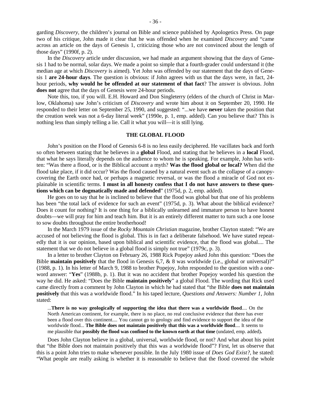garding *Discovery,* the children's journal on Bible and science published by Apologetics Press. On page two of his critique, John made it clear that he was offended when he examined *Discovery* and "came across an article on the days of Genesis 1, criticizing those who are not convinced about the length of those days" (1990f, p. 2).

In the *Discovery* article under discussion, we had made an argument showing that the days of Genesis 1 had to be normal, solar days. We made a point so simple that a fourth-grader could understand it (the median age at which *Discovery* is aimed). Yet John was offended by our statement that the days of Genesis 1 **are 24-hour days**. The question is obvious: if John agrees with us that the days were, in fact, 24 hour periods, **why would he be offended at our statement of that fact**? The answer is obvious. John **does not** agree that the days of Genesis were 24-hour periods.

Note this, too, if you will. E.H. Howard and Don Singleterry (elders of the church of Christ in Marlow, Oklahoma) saw John's criticism of *Discovery* and wrote him about it on September 20, 1990. He responded to their letter on September 25, 1990, and suggested: "...we have **never** taken the position that the creation week was not a 6-day literal week" (1990e, p. 1, emp. added). Can you believe that? This is nothing less than simply telling a lie. Call it what you will—it is still lying.

#### **THE GLOBAL FLOOD**

John's position on the Flood of Genesis 6-8 is no less easily deciphered. He vacillates back and forth so often between stating that he believes in a **global** Flood, and stating that he believes in a **local** Flood, that what he says literally depends on the audience to whom he is speaking. For example, John has written: "Was there a flood, or is the Biblical account a myth? **Was the flood global or local?** When did the flood take place, if it did occur? Was the flood caused by a natural event such as the collapse of a canopycovering the Earth once had, or perhaps a magnetic reversal, or was the flood a miracle of God not explainable in scientific terms. **I must in all honesty confess that I do not have answers to these questions which can be dogmatically made and defended**" (1975d, p. 2, emp. added).

He goes on to say that he is inclined to believe that the flood was global but that one of his problems has been "the total lack of evidence for such an event" (1975d, p. 3). What about the biblical evidence? Does it count for nothing? It is one thing for a biblically unlearned and immature person to have honest doubts—we will pray for him and teach him. But it is an entirely different matter to turn such a one loose to sow doubts throughout the entire brotherhood!

In the March 1979 issue of the *Rocky Mountain Christian* magazine, brother Clayton stated: "We are accused of not believing the flood is global. This is in fact a deliberate falsehood. We have stated repeatedly that it is our opinion, based upon biblical and scientific evidence, that the flood was global.... The statement that we do not believe in a global flood is simply not true" (1979c, p. 3).

In a letter to brother Clayton on February 26, 1988 Rick Popejoy asked John this question: "Does the Bible **maintain positively** that the flood in Genesis 6,7, & 8 was worldwide (i.e., global or universal)?" (1988, p. 1). In his letter of March 9, 1988 to brother Popejoy, John responded to the question with a oneword answer: "**Yes**" (1988b, p. 1). But it was no accident that brother Popejoy worded his question the way he did. He asked: "Does the Bible **maintain positively**" a global Flood. The wording that Rick used came directly from a comment by John Clayton in which he had stated that "the Bible **does not maintain positively** that this was a worldwide flood." In his taped lecture, *Questions and Answers: Number 1,* John stated:

...**There is no way geologically of supporting the idea that there was a worldwide flood**.... On the North American continent, for example, there is no place, no real conclusive evidence that there has ever been a flood over this continent.... You cannot go to geology and find evidence to support the idea of the worldwide flood... **The Bible does not maintain positively that this was a worldwide flood**.... It seems to me plausible that **possibly the flood was confined to the known earth at that time** (undated, emp. added)**.** 

Does John Clayton believe in a global, universal, worldwide flood, or not? And what about his point that "the Bible does not maintain positively that this was a worldwide flood"? First, let us observe that this is a point John tries to make whenever possible. In the July 1980 issue of *Does God Exist?,* he stated: "What people are really asking is whether it is reasonable to believe that the flood covered the whole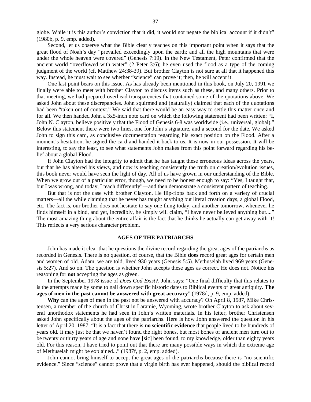globe. While it is this author's conviction that it did, it would not negate the biblical account if it didn't" (1980b, p. 9, emp. added).

Second, let us observe what the Bible clearly teaches on this important point when it says that the great flood of Noah's day "prevailed exceedingly upon the earth; and all the high mountains that were under the whole heaven were covered" (Genesis 7:19). In the New Testament, Peter confirmed that the ancient world "overflowed with water" (2 Peter 3:6); he even used the flood as a type of the coming judgment of the world (cf. Matthew 24:38-39). But brother Clayton is not sure at all that it happened this way. Instead, he must wait to see whether "science" can prove it; then, he will accept it.

One last point bears on this issue. As has already been mentioned in this book, on July 20, 1991 we finally were able to meet with brother Clayton to discuss items such as these, and many others. Prior to that meeting, we had prepared overhead transparencies that contained some of the quotations above. We asked John about these discrepancies. John squirmed and (naturally) claimed that each of the quotations had been "taken out of context." We said that there would be an easy way to settle this matter once and for all. We then handed John a 3x5-inch note card on which the following statement had been written: "I, John N. Clayton, believe positively that the Flood of Genesis 6-8 was worldwide (i.e., universal, global)." Below this statement there were two lines, one for John's signature, and a second for the date. We asked John to sign this card, as conclusive documentation regarding his exact position on the Flood. After a moment's hesitation, he signed the card and handed it back to us. It is now in our possession. It will be interesting, to say the least, to see what statements John makes from this point forward regarding his belief about a global Flood.

If John Clayton had the integrity to admit that he has taught these erroneous ideas across the years, but that he has altered his views, and now is teaching consistently the truth on creation/evolution issues, this book never would have seen the light of day. All of us have grown in our understanding of the Bible. When we grow out of a particular error, though, we need to be honest enough to say: "Yes, I taught that, but I was wrong, and today, I teach differently"—and then demonstrate a consistent pattern of teaching.

But that is not the case with brother Clayton. He flip-flops back and forth on a variety of crucial matters—all the while claiming that he never has taught anything but literal creation days, a global Flood, etc. The fact is, our brother does not hesitate to say one thing today, and another tomorrow, whenever he finds himself in a bind, and yet, incredibly, he simply will claim, "I have never believed anything but...." The most amazing thing about the entire affair is the fact that he thinks he actually can get away with it! This reflects a very serious character problem.

# **AGES OF THE PATRIARCHS**

John has made it clear that he questions the divine record regarding the great ages of the patriarchs as recorded in Genesis. There is no question, of course, that the Bible **does** record great ages for certain men and women of old. Adam, we are told, lived 930 years (Genesis 5:5). Methuselah lived 969 years (Genesis 5:27). And so on. The question is whether John accepts these ages as correct. He does not. Notice his reasoning for **not** accepting the ages as given.

In the September 1978 issue of *Does God Exist?,* John says: "One final difficulty that this relates to is the attempts made by some to nail down specific historic dates to Biblical events of great antiquity. **The ages of men in the past cannot be answered with great accuracy**" (1978d, p. 9, emp. added).

**Why** can the ages of men in the past not be answered with accuracy? On April 8, 1987, Mike Christensen, a member of the church of Christ in Laramie, Wyoming, wrote brother Clayton to ask about several unorthodox statements he had seen in John's written materials. In his letter, brother Christensen asked John specifically about the ages of the patriarchs. Here is how John answered the question in his letter of April 20, 1987: "It is a fact that there is **no scientific evidence** that people lived to be hundreds of years old. It may just be that we haven't found the right bones, but most bones of ancient men turn out to be twenty or thirty years of age and none have [sic] been found, to my knowledge, older than eighty years old. For this reason, I have tried to point out that there are many possible ways in which the extreme age of Methuselah might be explained..." (1987f, p. 2, emp. added).

John cannot bring himself to accept the great ages of the patriarchs because there is "no scientific evidence." Since "science" cannot prove that a virgin birth has ever happened, should the biblical record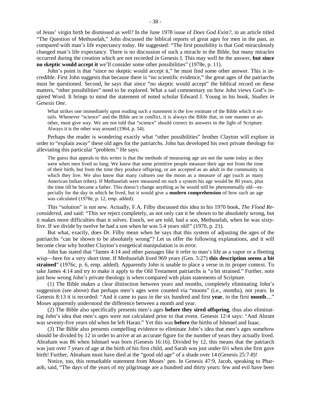of Jesus' virgin birth be dismissed as well? In the June 1978 issue of *Does God Exist?,* in an article titled "The Question of Methuselah," John discussed the biblical reports of great ages for men in the past, as compared with man's life expectancy today. He suggested: "The first possibility is that God miraculously changed man's life expectancy. There is no discussion of such a miracle in the Bible, but many miracles occurred during the creation which are not recorded in Genesis I. This may well be the answer, **but since no skeptic would accept it** we'll consider some other possibilities" (1978e, p. 11).

John's point is that "since no skeptic would accept it," he must find some other answer. This is incredible. First John suggests that because there is "no scientific evidence," the great ages of the patriarchs must be questioned. Second, he says that since "no skeptic would accept" the biblical record on these matters, "other possibilities" need to be explored. What a sad commentary on how John views God's inspired Word. It brings to mind the statement of noted scholar Edward J. Young in his book, *Studies in Genesis One*.

What strikes one immediately upon reading such a statement is the low estimate of the Bible which it entails. Whenever "science" and the Bible are in conflict, it is always the Bible that, in one manner or another, must give way. We are not told that "science" should correct its answers in the light of Scripture. Always it is the other way around (1964, p. 54).

Perhaps the reader is wondering exactly what "other possibilities" brother Clayton will explore in order to "explain away" these old ages for the patriarchs. John has developed his own private theology for alleviating this particular "problem." He says:

The guess that appeals to this writer is that the methods of measuring age are not the same today as they were when men lived so long. We know that some primitive people measure their age not from the time of their birth, but from the time they produce offspring, or are accepted as an adult in the community in which they live. We also know that many cultures use the moon as a measure of age (such as many American Indian tribes). If Methuselah were measured on such a system his age would be 80 years, plus the time till he became a father. This doesn't change anything as he would still be phenomenally old—especially for the day in which he lived, but it would give a **modern comprehension** of how such an age was calculated (1978e, p. 12, emp. added).

This "solution" is not new. Actually, F.A. Filby discussed this idea in his 1970 book, *The Flood Reconsidered,* and said: "This we reject completely, as not only can it be shown to be absolutely wrong, but it makes more difficulties than it solves. Enoch, we are told, had a son, Methuselah, when he was sixtyfive. If we divide by twelve he had a son when he was 5.4 years old!" (1970, p. 21).

But what, exactly, does Dr. Filby mean when he says that this system of adjusting the ages of the patriarchs "can be shown to be absolutely wrong"? Let us offer the following explanations, and it will become clear why brother Clayton's exegetical manipulation is in error.

John has stated that "James 4:14 and other passages like it refer to man's life as a vapor or a fleeting wisp—here for a very short time. If Methuselah lived 969 years (Gen. 5:27) **this description seems a bit strained**" (1976c, p. 6, emp. added). Apparently John is unable to place a verse in its proper context. To take James 4:14 and try to make it apply to the Old Testament patriarchs is "a bit strained." Further, note just how wrong John's private theology is when compared with plain statements of Scripture.

(1) The Bible makes a clear distinction between years and months, completely eliminating John's suggestion (see above) that perhaps men's ages were counted via "moons" (i.e., months), not years. In Genesis 8:13 it is recorded: "And it came to pass in the six hundred and first **year**, in the first **month**...." Moses apparently understood the difference between a month and year.

(2) The Bible also specifically presents men's ages **before they sired offspring**, thus also eliminating John's idea that men's ages were not calculated prior to that event. Genesis 12:4 says: "And Abram was seventy-five years old when he left Haran." Yet this was **before** the births of Ishmael and Isaac.

(3) The Bible also presents compelling evidence to eliminate John's idea that men's ages somehow should be divided by 12 in order to arrive at an accurate figure for the number of years they actually lived. Abraham was 86 when Ishmael was born (Genesis 16:16). Divided by 12, this means that the patriarch was just over 7 years of age at the birth of his first child, and Sarah was just under 6½ when she first gave birth! Further, Abraham must have died at the "good old age" of a shade over 14 (Genesis 25:7-8)!

Notice, too, this remarkable statement from Moses' pen. In Genesis 47:9, Jacob, speaking to Pharaoh, said, "The days of the years of my pilgrimage are a hundred and thirty years: few and evil have been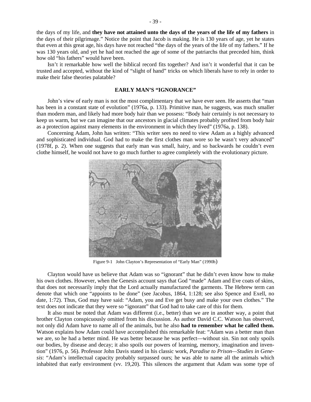the days of my life, and **they have not attained unto the days of the years of the life of my fathers** in the days of their pilgrimage." Notice the point that Jacob is making. He is 130 years of age, yet he states that even at this great age, his days have not reached "the days of the years of the life of my fathers." If he was 130 years old, and yet he had not reached the age of some of the patriarchs that preceded him, think how old "his fathers" would have been.

Isn't it remarkable how well the biblical record fits together? And isn't it wonderful that it can be trusted and accepted, without the kind of "slight of hand" tricks on which liberals have to rely in order to make their false theories palatable?

#### **EARLY MAN'S "IGNORANCE"**

John's view of early man is not the most complimentary that we have ever seen. He asserts that "man has been in a constant state of evolution" (1976a, p. 133). Primitive man, he suggests, was much smaller than modern man, and likely had more body hair than we possess: "Body hair certainly is not necessary to keep us warm, but we can imagine that our ancestors in glacial climates probably profited from body hair as a protection against many elements in the environment in which they lived" (1976a, p. 138).

Concerning Adam, John has written: "This writer sees no need to view Adam as a highly advanced and sophisticated individual. God had to make the first clothes man wore so he wasn't very advanced" (1978f, p. 2). When one suggests that early man was small, hairy, and so backwards he couldn't even clothe himself, he would not have to go much further to agree completely with the evolutionary picture.



Figure 9-1 John Clayton's Representation of "Early Man" (1990h)

Clayton would have us believe that Adam was so "ignorant" that he didn't even know how to make his own clothes. However, when the Genesis account says that God "made" Adam and Eve coats of skins, that does not necessarily imply that the Lord actually manufactured the garments. The Hebrew term can denote that which one "appoints to be done" (see Jacobus, 1864, 1:128; see also Spence and Exell, no date, 1:72). Thus, God may have said: "Adam, you and Eve get busy and make your own clothes." The text does not indicate that they were so "ignorant" that God had to take care of this for them.

It also must be noted that Adam was different (i.e., better) than we are in another way, a point that brother Clayton conspicuously omitted from his discussion. As author David C.C. Watson has observed, not only did Adam have to name all of the animals, but he also **had to remember what he called them.**  Watson explains how Adam could have accomplished this remarkable feat: "Adam was a better man than we are, so he had a better mind. He was better because he was perfect—without sin. Sin not only spoils our bodies, by disease and decay; it also spoils our powers of learning, memory, imagination and invention" (1976, p. 56). Professor John Davis stated in his classic work, *Paradise to Prison—Studies in Genesis*: "Adam's intellectual capacity probably surpassed ours; he was able to name all the animals which inhabited that early environment (vv. 19,20). This silences the argument that Adam was some type of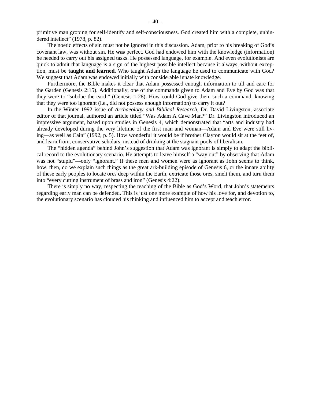primitive man groping for self-identify and self-consciousness. God created him with a complete, unhindered intellect" (1978, p. 82).

The noetic effects of sin must not be ignored in this discussion. Adam, prior to his breaking of God's covenant law, was without sin. He **was** perfect. God had endowed him with the knowledge (information) he needed to carry out his assigned tasks. He possessed language, for example. And even evolutionists are quick to admit that language is a sign of the highest possible intellect because it always, without exception, must be **taught and learned**. Who taught Adam the language he used to communicate with God? We suggest that Adam was endowed initially with considerable innate knowledge.

Furthermore, the Bible makes it clear that Adam possessed enough information to till and care for the Garden (Genesis 2:15). Additionally, one of the commands given to Adam and Eve by God was that they were to "subdue the earth" (Genesis 1:28). How could God give them such a command, knowing that they were too ignorant (i.e., did not possess enough information) to carry it out?

In the Winter 1992 issue of *Archaeology and Biblical Research,* Dr. David Livingston, associate editor of that journal, authored an article titled "Was Adam A Cave Man?" Dr. Livingston introduced an impressive argument, based upon studies in Genesis 4, which demonstrated that "arts and industry had already developed during the very lifetime of the first man and woman—Adam and Eve were still living—as well as Cain" (1992, p. 5). How wonderful it would be if brother Clayton would sit at the feet of, and learn from, conservative scholars, instead of drinking at the stagnant pools of liberalism.

The "hidden agenda" behind John's suggestion that Adam was ignorant is simply to adapt the biblical record to the evolutionary scenario. He attempts to leave himself a "way out" by observing that Adam was not "stupid"—only "ignorant." If these men and women were as ignorant as John seems to think, how, then, do we explain such things as the great ark-building episode of Genesis 6, or the innate ability of these early peoples to locate ores deep within the Earth, extricate those ores, smelt them, and turn them into "every cutting instrument of brass and iron" (Genesis 4:22).

There is simply no way, respecting the teaching of the Bible as God's Word, that John's statements regarding early man can be defended. This is just one more example of how his love for, and devotion to, the evolutionary scenario has clouded his thinking and influenced him to accept and teach error.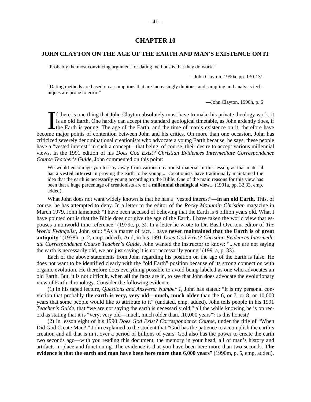# **CHAPTER 10**

# **JOHN CLAYTON ON THE AGE OF THE EARTH AND MAN'S EXISTENCE ON IT**

"Probably the most convincing argument for dating methods is that they do work."

—John Clayton, 1990a, pp. 130-131

"Dating methods are based on assumptions that are increasingly dubious, and sampling and analysis techniques are prone to error."

—John Clayton, 1990h, p. 6

If there is one thing that John Clayton absolutely must have to make his private theology work, it is an old Earth. One hardly can accept the standard geological timetable, as John ardently does, if the Earth is young. The f there is one thing that John Clayton absolutely must have to make his private theology work, it is an old Earth. One hardly can accept the standard geological timetable, as John ardently does, if Line Earth is young. The age of the Earth, and the time of man's existence on it, therefore have criticized severely denominational creationists who advocate a young Earth because, he says, these people have a "vested interest" in such a concept—that being, of course, their desire to accept various millennial views. In the 1991 edition of his *Does God Exist? Christian Evidences Intermediate Correspondence Course Teacher's Guide*, John commented on this point:

We would encourage you to stay away from various creationist material in this lesson, as that material has a **vested interest** in proving the earth to be young.... Creationists have traditionally maintained the idea that the earth is necessarily young according to the Bible. One of the main reasons for this view has been that a huge percentage of creationists are of a **millennial theological view**... (1991a, pp. 32,33, emp. added).

What John does not want widely known is that he has a "vested interest"—**in an old Earth**. This, of course, he has attempted to deny. In a letter to the editor of the *Rocky Mountain Christian* magazine in March 1979, John lamented: "I have been accused of believing that the Earth is 6 billion years old. What I have pointed out is that the Bible does not give the age of the Earth. I have taken the world view that espouses a nonworld time reference" (1979c, p. 3). In a letter he wrote to Dr. Basil Overton, editor of *The World Evangelist*, John said: "As a matter of fact, I have **never maintained that the Earth is of great antiquity**" (1978h, p. 2, emp. added). And, in his 1991 *Does God Exist? Christian Evidences Intermediate Correspondence Course Teacher's Guide*, John wanted the instructor to know: "...we are not saying the earth is necessarily old, we are just saying it is not necessarily young" (1991a, p. 33).

Each of the above statements from John regarding his position on the age of the Earth is false. He does not want to be identified clearly with the "old Earth" position because of its strong connection with organic evolution. He therefore does everything possible to avoid being labeled as one who advocates an old Earth. But, it is not difficult, when **all** the facts are in, to see that John does advocate the evolutionary view of Earth chronology. Consider the following evidence.

(1) In his taped lecture, *Questions and Answers: Number 1*, John has stated: "It is my personal conviction that probably **the earth is very, very old—much, much older** than the 6, or 7, or 8, or 10,000 years that some people would like to attribute to it" (undated, emp. added). John tells people in his 1991 *Teacher's Guide*, that "we are not saying the earth is necessarily old," all the while knowing he is on record as stating that it is "very, very old—much, much older than...10,000 years"? Is this honest?

(2) In lesson eight of his 1990 *Does God Exist? Correspondence Course*, under the title of "When Did God Create Man?," John explained to the student that "God has the patience to accomplish the earth's creation and all that is in it over a period of billions of years. God also has the power to create the earth two seconds ago—with you reading this document, the memory in your head, all of man's history and artifacts in place and functioning. The evidence is that you have been here more than two seconds. **The evidence is that the earth and man have been here more than 6,000 years**" (1990m, p. 5, emp. added).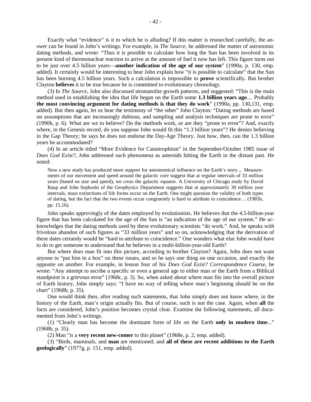Exactly what "evidence" is it to which he is alluding? If this matter is researched carefully, the answer can be found in John's writings. For example, in *The Source*, he addressed the matter of astronomic dating methods, and wrote: "Thus it is possible to calculate how long the Sun has been involved in its present kind of thermonuclear reaction to arrive at the amount of fuel it now has left. This figure turns out to be just over 4.5 billion years—**another indication of the age of our system**" (1990a, p. 130, emp. added). It certainly would be interesting to hear John explain how "it is possible to calculate" that the Sun has been burning 4.5 billion years. Such a calculation is impossible to **prove** scientifically. But brother Clayton **believes** it to be true because he is committed to evolutionary chronology.

(3) In *The Source*, John also discussed stromatolite growth patterns, and suggested: "This is the main method used in establishing the idea that life began on the Earth some **1.3 billion years ago**.... Probably **the most convincing argument for dating methods is that they do work**" (1990a, pp. 130,131, emp. added). But then again, let us hear the testimony of "the other" John Clayton: "Dating methods are based on assumptions that are increasingly dubious, and sampling and analysis techniques are prone to error" (1990h, p. 6). What are we to believe? Do the methods work, or are they "prone to error"? And, exactly where, in the Genesis record, do you suppose John would fit this "1.3 billion years"? He denies believing in the Gap Theory; he says he does not endorse the Day-Age Theory. Just how, then, can the 1.3 billion years be accommodated?

(4) In an article titled "More Evidence for Catastrophism" in the September/October 1985 issue of *Does God Exist?*, John addressed such phenomena as asteroids hitting the Earth in the distant past. He noted:

Now a new study has produced more support for astronomical influence on the Earth's story.... Measurements of our movement and speed around the galactic core suggest that at regular intervals of 33 million years (based on size and speed), we cross the galactic equator. A University of Chicago study by David Raup and John Sepkoski of the Geophysics Department suggests that at approximately 30 million year intervals, mass extinctions of life forms occur on the Earth. One might question the validity of both types of dating, but the fact that the two events occur congruently is hard to attribute to coincidence… (1985b, pp. 15,16).

John speaks approvingly of the dates employed by evolutionists. He believes that the 4.5-billion-year figure that has been calculated for the age of the Sun is "an indication of the age of our system." He acknowledges that the dating methods used by these evolutionary scientists "do work." And, he speaks with frivolous abandon of such figures as "33 million years" and so on, acknowledging that the derivation of these dates certainly would be "hard to attribute to coincidence." One wonders what else John would have to do to get someone to understand that he believes in a multi-billion-year-old Earth?

But where does man fit into this picture, according to brother Clayton? Again, John does not want anyone to "put him in a box" on these issues, and so he says one thing on one occasion, and exactly the opposite on another. For example, in lesson four of his *Does God Exist? Correspondence Course*, he wrote: "Any attempt to ascribe a specific or even a general age to either man or the Earth from a Biblical standpoint is a grievous error" (1968c, p. 3). So, when asked about where man fits into the overall picture of Earth history, John simply says: "I have no way of telling where man's beginning should be on the chart" (1968b, p. 35).

One would think then, after reading such statements, that John simply does not know where, in the history of the Earth, man's origin actually fits. But of course, such is not the case. Again, when **all** the facts are considered, John's position becomes crystal clear. Examine the following statements, all documented from John's writings.

(1) "Clearly man has become the dominant form of life on the Earth **only in modern time**..." (1968b, p. 35).

(2) Man "is a **very recent new-comer** to this planet" (1968e, p. 2, emp. added).

(3) "Birds, mammals, and **man** are mentioned; and **all of these are recent additions to the Earth geologically**" (1977g, p. 151, emp. added).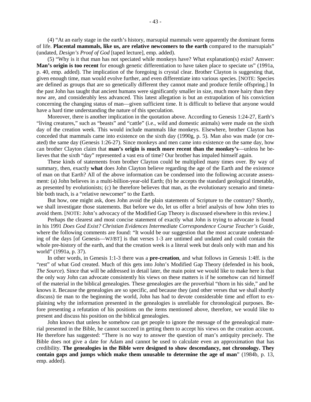(4) "At an early stage in the earth's history, marsupial mammals were apparently the dominant forms of life. **Placental mammals, like us, are relative newcomers to the earth** compared to the marsupials" (undated, *Design's Proof of God* [taped lecture], emp. added).

(5) "Why is it that man has not speciated while monkeys have? What explanation(s) exist? Answer: **Man's origin is too recent** for enough genetic differentiation to have taken place to speciate us" (1991a, p. 40, emp. added). The implication of the foregoing is crystal clear. Brother Clayton is suggesting that, given enough time, man would evolve further, and even differentiate into various species. [NOTE: Species are defined as groups that are so genetically different they cannot mate and produce fertile offspring.] In the past John has taught that ancient humans were significantly smaller in size, much more hairy than they now are, and considerably less advanced. This latest allegation is but an extrapolation of his conviction concerning the changing status of man—given sufficient time. It is difficult to believe that anyone would have a hard time understanding the nature of this speculation.

Moreover, there is another implication in the quotation above. According to Genesis 1:24-27, Earth's "living creatures," such as "beasts" and "cattle" (i.e., wild and domestic animals) were made on the sixth day of the creation week. This would include mammals like monkeys. Elsewhere, brother Clayton has conceded that mammals came into existence on the sixth day (1990g, p. 5). Man also was made (or created) the same day (Genesis 1:26-27). Since monkeys and men came into existence on the same day, how can brother Clayton claim that **man's origin is much more recent than the monkey's**—unless he believes that the sixth "day" represented a vast era of time? Our brother has impaled himself again.

These kinds of statements from brother Clayton could be multiplied many times over. By way of summary, then, exactly **what** does John Clayton believe regarding the age of the Earth and the existence of man on that Earth? All of the above information can be condensed into the following accurate assessment: (a) John believes in a multi-billion-year-old Earth; (b) he accepts the standard geological timetable, as presented by evolutionists; (c) he therefore believes that man, as the evolutionary scenario and timetable both teach, is a "relative newcomer" to the Earth.

But how, one might ask, does John avoid the plain statements of Scripture to the contrary? Shortly, we shall investigate those statements. But before we do, let us offer a brief analysis of how John tries to avoid them. [NOTE: John's advocacy of the Modified Gap Theory is discussed elsewhere in this review.]

Perhaps the clearest and most concise statement of exactly what John is trying to advocate is found in his 1991 *Does God Exist? Christian Evidences Intermediate Correspondence Course Teacher's Guide*, where the following comments are found: "It would be our suggestion that the most accurate understanding of the days [of Genesis—WJ/BT] is that verses 1-3 are untimed and undated and could contain the whole pre-history of the earth, and that the creation week is a literal week but deals only with man and his world" (1991a, p. 37).

In other words, in Genesis 1:1-3 there was a **pre-creation**, and what follows in Genesis 1:4ff. is the "rest" of what God created. Much of this gets into John's Modified Gap Theory (defended in his book, *The Source*). Since that will be addressed in detail later, the main point we would like to make here is that the only way John can advocate consistently his views on these matters is if he somehow can rid himself of the material in the biblical genealogies. These genealogies are the proverbial "thorn in his side," and he knows it. Because the genealogies are so specific, and because they (and other verses that we shall shortly discuss) tie man to the beginning the world, John has had to devote considerable time and effort to explaining why the information presented in the genealogies is unreliable for chronological purposes. Before presenting a refutation of his positions on the items mentioned above, therefore, we would like to present and discuss his position on the biblical genealogies.

John knows that unless he somehow can get people to ignore the message of the genealogical material presented in the Bible, he cannot succeed in getting them to accept his views on the creation account. He therefore has suggested: "There is no way to answer the question of man's antiquity precisely. The Bible does not give a date for Adam and cannot be used to calculate even an approximation that has credibility. **The genealogies in the Bible were designed to show descendancy, not chronology. They contain gaps and jumps which make them unusable to determine the age of man**" (1984b, p. 13, emp. added).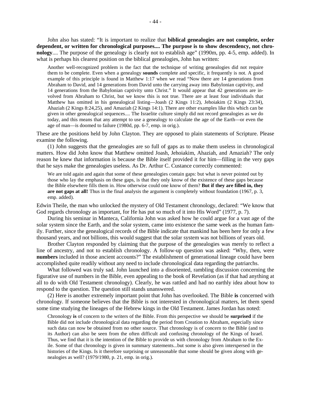John also has stated: "It is important to realize that **biblical genealogies are not complete, order dependent, or written for chronological purposes.... The purpose is to show descendency, not chronology**.... The purpose of the genealogy is clearly not to establish age" (1990m, pp. 4-5, emp. added). In what is perhaps his clearest position on the biblical genealogies, John has written:

Another well-recognized problem is the fact that the technique of writing genealogies did not require them to be complete. Even when a genealogy **sounds** complete and specific, it frequently is not. A good example of this principle is found in Matthew 1:17 when we read "Now there are 14 generations from Abraham to David, and 14 generations from David unto the carrying away into Babylonian captivity, and 14 generations from the Babylonian captivity unto Christ." It would appear that 42 generations are involved from Abraham to Christ, but we know this is not true. There are at least four individuals that Matthew has omitted in his genealogical listing—Joash (2 Kings 11:2), Jehoiakim (2 Kings 23:34), Ahaziah (2 Kings 8:24,25), and Amaziah (2 Kings 14:1). There are other examples like this which can be given in other genealogical sequences.... The Israelite culture simply did not record genealogies as we do today, and this means that any attempt to use a genealogy to calculate the age of the Earth—or even the age of man—is doomed to failure (1980d, pp. 6-7, emp. in orig.).

These are the positions held by John Clayton. They are opposed to plain statements of Scripture. Please examine the following.

(1) John suggests that the genealogies are so full of gaps as to make them useless in chronological matters. How did John know that Matthew omitted Joash, Jehoiakim, Ahaziah, and Amaziah? The only reason he knew that information is because the Bible itself provided it for him—filling in the very gaps that he says make the genealogies useless. As Dr. Arthur C. Custance correctly commented:

We are told again and again that some of these genealogies contain gaps: but what is never pointed out by those who lay the emphasis on these gaps, is that they only know of the existence of these gaps because the Bible elsewhere fills them in. How otherwise could one know of them? **But if they are filled in, they are not gaps at all!** Thus in the final analysis the argument is completely without foundation (1967, p. 3, emp. added).

Edwin Theile, the man who unlocked the mystery of Old Testament chronology, declared: "We know that God regards chronology as important, for He has put so much of it into His Word" (1977, p. 7).

During his seminar in Manteca, California John was asked how he could argue for a vast age of the solar system since the Earth, and the solar system, came into existence the same week as the human family. Further, since the genealogical records of the Bible indicate that mankind has been here for only a few thousand years, and not billions, this would suggest that the solar system was not billions of years old.

Brother Clayton responded by claiming that the purpose of the genealogies was merely to reflect a line of ancestry, and not to establish chronology. A follow-up question was asked: "Why, then, were **numbers** included in those ancient accounts?" The establishment of generational lineage could have been accomplished quite readily without any need to include chronological data regarding the patriarchs.

What followed was truly sad. John launched into a disoriented, rambling discussion concerning the figurative use of numbers in the Bible, even appealing to the book of Revelation (as if that had anything at all to do with Old Testament chronology). Clearly, he was rattled and had no earthly idea about how to respond to the question. The question still stands unanswered.

(2) Here is another extremely important point that John has overlooked. The Bible **is** concerned with chronology. If someone believes that the Bible is not interested in chronological matters, let them spend some time studying the lineages of the Hebrew kings in the Old Testament. James Jordan has noted:

Chronology **is** of concern to the writers of the Bible. From this perspective we should be **surprised** if the Bible did not include chronological data regarding the period from Creation to Abraham, especially since such data can now be obtained from no other source. That chronology is of concern to the Bible (and to its Author) can also be seen from the often difficult and confusing chronology of the Kings of Israel. Thus, we find that it is the intention of the Bible to provide us with chronology from Abraham to the Exile. Some of that chronology is given in summary statements...but some is also given interspersed in the histories of the Kings. Is it therefore surprising or unreasonable that some should be given along with genealogies as well? (1979/1980, p. 21, emp. in orig.).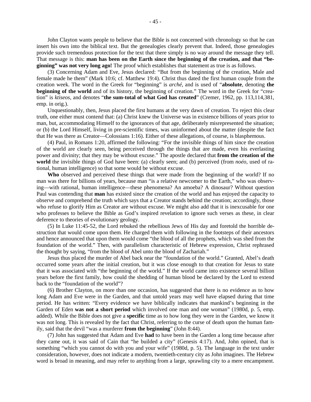John Clayton wants people to believe that the Bible is not concerned with chronology so that he can insert his own into the biblical text. But the genealogies clearly prevent that. Indeed, those genealogies provide such tremendous protection for the text that there simply is no way around the message they tell. That message is this: **man has been on the Earth since the beginning of the creation, and that "beginning" was not very long ago!** The proof which establishes that statement as true is as follows.

(3) Concerning Adam and Eve, Jesus declared: "But from the beginning of the creation, Male and female made he them" (Mark 10:6; cf. Matthew 19:4). Christ thus dated the first human couple from the creation week. The word in the Greek for "beginning" is *arché*, and is used of "**absolute**, denoting **the beginning of the world** and of its history, the beginning of creation." The word in the Greek for "creation" is *ktiseos*, and denotes "**the sum-total of what God has created**" (Cremer, 1962, pp. 113,114,381, emp. in orig.).

Unquestionably, then, Jesus placed the first humans at the very dawn of creation. To reject this clear truth, one either must contend that: (a) Christ knew the Universe was in existence billions of years prior to man, but, accommodating Himself to the ignorances of that age, deliberately misrepresented the situation; or (b) the Lord Himself, living in pre-scientific times, was uninformed about the matter (despite the fact that He was there as Creator—Colossians 1:16). Either of these allegations, of course, is blasphemous.

(4) Paul, in Romans 1:20, affirmed the following: "For the invisible things of him since the creation of the world are clearly seen, being perceived through the things that are made, even his everlasting power and divinity; that they may be without excuse." The apostle declared that **from the creation of the world** the invisible things of God have been: (a) clearly seen; and (b) perceived (from *noéo*, used of rational, human intelligence) so that some would be without excuse.

**Who** observed and perceived these things that were made from the beginning of the world? If no man was there for billions of years, because man "is a relative newcomer to the Earth," who was observing—with rational, human intelligence—these phenomena? An amoeba? A dinosaur? Without question Paul was contending that **man** has existed since the creation of the world and has enjoyed the capacity to observe and comprehend the truth which says that a Creator stands behind the creation; accordingly, those who refuse to glorify Him as Creator are without excuse. We might also add that it is inexcusable for one who professes to believe the Bible as God's inspired revelation to ignore such verses as these, in clear deference to theories of evolutionary geology.

(5) In Luke 11:45-52, the Lord rebuked the rebellious Jews of His day and foretold the horrible destruction that would come upon them. He charged them with following in the footsteps of their ancestors and hence announced that upon them would come "the blood of all the prophets, which was shed from the foundation of the world." Then, with parallelism characteristic of Hebrew expression, Christ rephrased the thought by saying, "from the blood of Abel unto the blood of Zachariah."

Jesus thus placed the murder of Abel back near the "foundation of the world." Granted, Abel's death occurred some years after the initial creation, but it was close enough to that creation for Jesus to state that it was associated with "the beginning of the world." If the world came into existence several billion years before the first family, how could the shedding of human blood be declared by the Lord to extend back to the "foundation of the world"?

(6) Brother Clayton, on more than one occasion, has suggested that there is no evidence as to how long Adam and Eve were in the Garden, and that untold years may well have elapsed during that time period. He has written: "Every evidence we have biblically indicates that mankind's beginning in the Garden of Eden **was not a short period** which involved one man and one woman" (1980d, p. 5, emp. added). While the Bible does not give a **specific** time as to how long they were in the Garden, we know it was not long. This is revealed by the fact that Christ, referring to the curse of death upon the human family, said that the devil "was a murderer **from the beginning**" (John 8:44).

(7) John has suggested that Adam and Eve **had** to have been in the Garden a long time because after they came out, it was said of Cain that "he builded a city" (Genesis 4:17). And, John opined, that is something "which you cannot do with you and your wife" (1980d, p. 5). The language in the text under consideration, however, does not indicate a modern, twentieth-century city as John imagines. The Hebrew word is broad in meaning, and may refer to anything from a large, sprawling city to a mere encampment.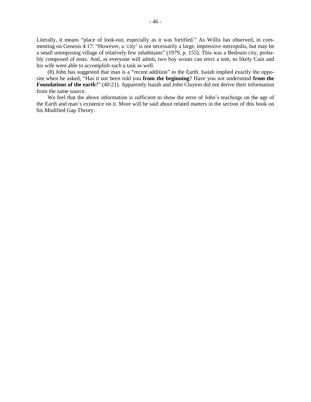Literally, it means "place of look-out, especially as it was fortified." As Willis has observed, in commenting on Genesis 4:17: "However, a 'city' is not necessarily a large, impressive metropolis, but may be a small unimposing village of relatively few inhabitants" (1979, p. 155). This was a Bedouin city, probably composed of tents. And, as everyone will admit, two boy scouts can erect a tent, so likely Cain and his wife were able to accomplish such a task as well.

(8) John has suggested that man is a "recent addition" to the Earth. Isaiah implied exactly the opposite when he asked, "Has it not been told you **from the beginning**? Have you not understood **from the Foundations of the earth**?" (40:21). Apparently Isaiah and John Clayton did not derive their information from the same source.

We feel that the above information is sufficient to show the error of John's teachings on the age of the Earth and man's existence on it. More will be said about related matters in the section of this book on his Modified Gap Theory.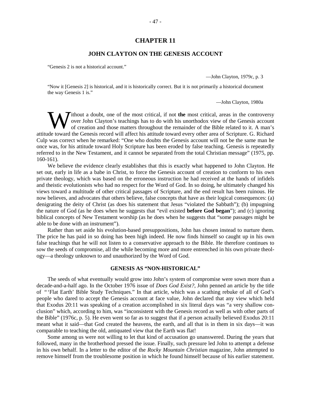# **JOHN CLAYTON ON THE GENESIS ACCOUNT**

"Genesis 2 is not a historical account."

—John Clayton, 1979c, p. 3

"Now it [Genesis 2] is historical, and it is historically correct. But it is not primarily a historical document the way Genesis 1 is."

—John Clayton, 1980a

Without a doubt, one of the most critical, if not **the** most critical, areas in the controversy over John Clayton's teachings has to do with his unorthodox view of the Genesis account of creation and those matters througho over John Clayton's teachings has to do with his unorthodox view of the Genesis account attitude toward the Genesis record will affect his attitude toward every other area of Scripture. G. Richard Culp was correct when he remarked: "One who doubts the Genesis account will not be the same man he once was, for his attitude toward Holy Scripture has been eroded by false teaching. Genesis is repeatedly referred to in the New Testament, and it cannot be separated from the total Christian message" (1975, pp. 160-161).

We believe the evidence clearly establishes that this is exactly what happened to John Clayton. He set out, early in life as a babe in Christ, to force the Genesis account of creation to conform to his own private theology, which was based on the erroneous instruction he had received at the hands of infidels and theistic evolutionists who had no respect for the Word of God. In so doing, he ultimately changed his views toward a multitude of other critical passages of Scripture, and the end result has been ruinous. He now believes, and advocates that others believe, false concepts that have as their logical consequences: (a) denigrating the deity of Christ (as does his statement that Jesus "violated the Sabbath"); (b) impugning the nature of God (as he does when he suggests that "evil existed **before God began**"); and (c) ignoring biblical concepts of New Testament worship (as he does when he suggests that "some passages might be able to be done with an instrument").

Rather than set aside his evolution-based presuppositions, John has chosen instead to nurture them. The price he has paid in so doing has been high indeed. He now finds himself so caught up in his own false teachings that he will not listen to a conservative approach to the Bible. He therefore continues to sow the seeds of compromise, all the while becoming more and more entrenched in his own private theology—a theology unknown to and unauthorized by the Word of God.

# **GENESIS AS "NON-HISTORICAL"**

The seeds of what eventually would grow into John's system of compromise were sown more than a decade-and-a-half ago. In the October 1976 issue of *Does God Exist?*, John penned an article by the title of " 'Flat Earth' Bible Study Techniques." In that article, which was a scathing rebuke of all of God's people who dared to accept the Genesis account at face value, John declared that any view which held that Exodus 20:11 was speaking of a creation accomplished in six literal days was "a very shallow conclusion" which, according to him, was "inconsistent with the Genesis record as well as with other parts of the Bible" (1976c, p. 5). He even went so far as to suggest that if a person actually believed Exodus 20:11 meant what it said—that God created the heavens, the earth, and all that is in them in six days—it was comparable to teaching the old, antiquated view that the Earth was flat!

Some among us were not willing to let that kind of accusation go unanswered. During the years that followed, many in the brotherhood pressed the issue. Finally, such pressure led John to attempt a defense in his own behalf. In a letter to the editor of the *Rocky Mountain Christian* magazine, John attempted to remove himself from the troublesome position in which he found himself because of his earlier statement.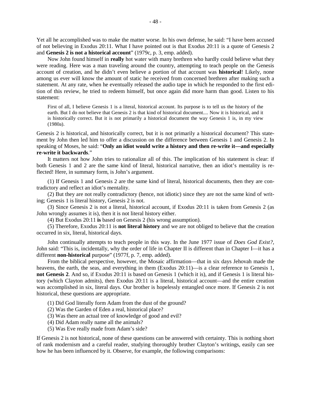Yet all he accomplished was to make the matter worse. In his own defense, he said: "I have been accused of not believing in Exodus 20:11. What I have pointed out is that Exodus 20:11 is a quote of Genesis 2 and **Genesis 2 is not a historical account**" (1979c, p. 3, emp. added).

Now John found himself in **really** hot water with many brethren who hardly could believe what they were reading. Here was a man traveling around the country, attempting to teach people on the Genesis account of creation, and he didn't even believe a portion of that account was **historical**! Likely, none among us ever will know the amount of static he received from concerned brethren after making such a statement. At any rate, when he eventually released the audio tape in which he responded to the first edition of this review, he tried to redeem himself, but once again did more harm than good. Listen to his statement:

First of all, I believe Genesis 1 is a literal, historical account. Its purpose is to tell us the history of the earth. But I do not believe that Genesis 2 is that kind of historical document.... Now it is historical, and it is historically correct. But it is not primarily a historical document the way Genesis 1 is, in my view (1980a).

Genesis 2 is historical, and historically correct, but it is not primarily a historical document? This statement by John then led him to offer a discussion on the difference between Genesis 1 and Genesis 2. In speaking of Moses, he said: "**Only an idiot would write a history and then re-write it—and especially re-write it backwards**."

It matters not how John tries to rationalize all of this. The implication of his statement is clear: if both Genesis 1 and 2 are the same kind of literal, historical narrative, then an idiot's mentality is reflected! Here, in summary form, is John's argument.

(1) If Genesis 1 and Genesis 2 are the same kind of literal, historical documents, then they are contradictory and reflect an idiot's mentality.

(2) But they are not really contradictory (hence, not idiotic) since they are not the same kind of writing; Genesis 1 is literal history, Genesis 2 is not.

(3) Since Genesis 2 is not a literal, historical account, if Exodus 20:11 is taken from Genesis 2 (as John wrongly assumes it is), then it is not literal history either.

(4) But Exodus 20:11 **is** based on Genesis 2 (his wrong assumption).

(5) Therefore, Exodus 20:11 is **not literal history** and we are not obliged to believe that the creation occurred in six, literal, historical days.

John continually attempts to teach people in this way. In the June 1977 issue of *Does God Exist?*, John said: "This is, incidentally, why the order of life in Chapter II is different than in Chapter I—it has a different **non-historical** purpose" (1977f, p. 7, emp. added).

From the biblical perspective, however, the Mosaic affirmation—that in six days Jehovah made the heavens, the earth, the seas, and everything in them (Exodus 20:11)—is a clear reference to Genesis 1, **not Genesis 2.** And so, if Exodus 20:11 is based on Genesis 1 (which it is), and if Genesis 1 is literal history (which Clayton admits), then Exodus 20:11 is a literal, historical account—and the entire creation was accomplished in six, literal days. Our brother is hopelessly entangled once more. If Genesis 2 is not historical, these questions are appropriate.

(1) Did God literally form Adam from the dust of the ground?

(2) Was the Garden of Eden a real, historical place?

(3) Was there an actual tree of knowledge of good and evil?

(4) Did Adam really name all the animals?

(5) Was Eve really made from Adam's side?

If Genesis 2 is not historical, none of these questions can be answered with certainty. This is nothing short of rank modernism and a careful reader, studying thoroughly brother Clayton's writings, easily can see how he has been influenced by it. Observe, for example, the following comparisons: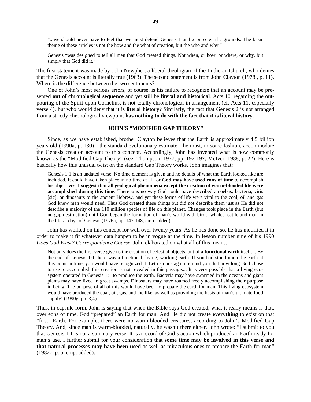"...we should never have to feel that we must defend Genesis 1 and 2 on scientific grounds. The basic theme of these articles is not the how and the what of creation, but the who and why."

Genesis "was designed to tell all men that God created things. Not when, or how, or where, or why, but simply that God did it."

The first statement was made by John Newpher, a liberal theologian of the Lutheran Church, who denies that the Genesis account is literally true (1963). The second statement is from John Clayton (1978i, p. 11). Where is the difference between the two sentiments?

One of John's most serious errors, of course, is his failure to recognize that an account may be presented **out of chronological sequence** and yet still be **literal and historical**. Acts 10, regarding the outpouring of the Spirit upon Cornelius, is not totally chronological in arrangement (cf. Acts 11, especially verse 4), but who would deny that it is **literal history**? Similarly, the fact that Genesis 2 is not arranged from a strictly chronological viewpoint **has nothing to do with the fact that it is literal history.** 

## **JOHN'S "MODIFIED GAP THEORY"**

Since, as we have established, brother Clayton believes that the Earth is approximately 4.5 billion years old (1990a, p. 130)—the standard evolutionary estimate—he must, in some fashion, accommodate the Genesis creation account to this concept. Accordingly, John has invented what is now commonly known as the "Modified Gap Theory" (see: Thompson, 1977, pp. 192-197; McIver, 1988, p. 22). Here is basically how this unusual twist on the standard Gap Theory works. John imagines that:

Genesis 1:1 is an undated verse. No time element is given and no details of what the Earth looked like are included. It could have taken place in no time at all, or **God may have used eons of time** to accomplish his objectives. **I suggest that all geological phenomena except the creation of warm-blooded life were accomplished during this time**. There was no way God could have described amoebas, bacteria, viris [sic], or dinosaurs to the ancient Hebrew, and yet these forms of life were vital to the coal, oil and gas God knew man would need. Thus God created these things but did not describe them just as He did not describe a majority of the 110 million species of life on this planet. Changes took place in the Earth (but no gap destruction) until God began the formation of man's world with birds, whales, cattle and man in the literal days of Genesis (1976a, pp. 147-148, emp. added).

John has worked on this concept for well over twenty years. As he has done so, he has modified it in order to make it fit whatever data happen to be in vogue at the time. In lesson number nine of his 1990 *Does God Exist? Correspondence Course*, John elaborated on what all of this means.

Not only does the first verse give us the creation of celestial objects, but of a **functional earth** itself.... By the end of Genesis 1:1 there was a functional, living, working earth. If you had stood upon the earth at this point in time, you would have recognized it. Let us once again remind you that how long God chose to use to accomplish this creation is not revealed in this passage.... It is very possible that a living ecosystem operated in Genesis 1:1 to produce the earth. Bacteria may have swarmed in the oceans and giant plants may have lived in great swamps. Dinosaurs may have roamed freely accomplishing their purpose in being. The purpose of all of this would have been to prepare the earth for man. This living ecosystem would have produced the coal, oil, gas, and the like, as well as providing the basis of man's ultimate food supply! (1990g, pp. 3,4).

Thus, in capsule form, John is saying that when the Bible says God created, what it really means is that, over eons of time, God "prepared" an Earth for man. And He did not create **everything** to exist on that "first" Earth. For example, there were no warm-blooded creatures, according to John's Modified Gap Theory. And, since man is warm-blooded, naturally, he wasn't there either. John wrote: "I submit to you that Genesis 1:1 is not a summary verse. It is a record of God's action which produced an Earth ready for man's use. I further submit for your consideration that **some time may be involved in this verse and that natural processes may have been used** as well as miraculous ones to prepare the Earth for man" (1982c, p. 5, emp. added).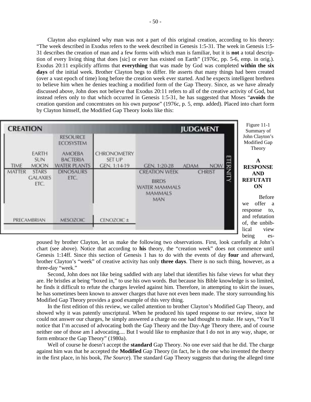Clayton also explained why man was not a part of this original creation, according to his theory: "The week described in Exodus refers to the week described in Genesis 1:5-31. The week in Genesis 1:5- 31 describes the creation of man and a few forms with which man is familiar, but it is **not** a total description of every living thing that does [sic] or ever has existed on Earth" (1976c, pp. 5-6, emp. in orig.). Exodus 20:11 explicitly affirms that **everything** that was made by God was completed **within the six days** of the initial week. Brother Clayton begs to differ. He asserts that many things had been created (over a vast epoch of time) long before the creation week ever started. And he expects intelligent brethren to believe him when he denies teaching a modified form of the Gap Theory. Since, as we have already discussed above, John does not believe that Exodus 20:11 refers to all of the creative activity of God, but instead refers only to that which occurred in Genesis 1:5-31, he has suggested that Moses "**avoids** the creation question and concentrates on his own purpose" (1976c, p. 5, emp. added). Placed into chart form by Clayton himself, the Modified Gap Theory looks like this:



poused by brother Clayton, let us make the following two observations. First, look carefully at John's chart (see above). Notice that according to **his** theory, the "creation week" does not commence until Genesis 1:14ff. Since this section of Genesis 1 has to do with the events of day **four** and afterward, brother Clayton's "week" of creative activity has only **three days**. There is no such thing, however, as a three-day "week."

Second, John does not like being saddled with any label that identifies his false views for what they are. He bristles at being "boxed in," to use his own words. But because his Bible knowledge is so limited, he finds it difficult to refute the charges leveled against him. Therefore, in attempting to skirt the issues, he has sometimes been known to answer charges that have not even been made. The story surrounding his Modified Gap Theory provides a good example of this very thing.

In the first edition of this review, we called attention to brother Clayton's Modified Gap Theory, and showed why it was patently unscriptural. When he produced his taped response to our review, since he could not answer our charges, he simply answered a charge no one had thought to make. He says, "You'll notice that I'm accused of advocating both the Gap Theory and the Day-Age Theory there, and of course neither one of those am I advocating.... But I would like to emphasize that I do not in any way, shape, or form embrace the Gap Theory" (1980a).

Well of course he doesn't accept the **standard** Gap Theory. No one ever said that he did. The charge against him was that he accepted the **Modified** Gap Theory (in fact, he is the one who invented the theory in the first place, in his book, *The Source*). The standard Gap Theory suggests that during the alleged time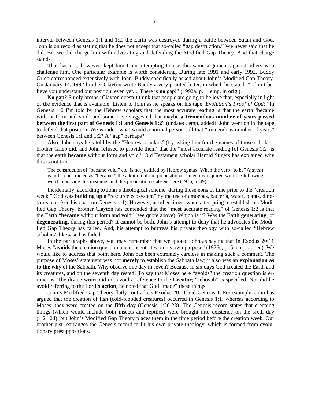interval between Genesis 1:1 and 1:2, the Earth was destroyed during a battle between Satan and God. John is on record as stating that he does not accept that so-called "gap destruction." We never said that he did. But we did charge him with advocating and defending the Modified Gap Theory. And that charge stands.

That has not, however, kept him from attempting to use this same argument against others who challenge him. One particular example is worth considering. During late 1991 and early 1992, Buddy Grieb corresponded extensively with John. Buddy specifically asked about John's Modified Gap Theory. On January 14, 1992 brother Clayton wrote Buddy a very pointed letter, in which he stated: "I don't believe you understand our position, even yet.... There is **no** gap!" (1992a, p. 1, emp. in orig.).

**No gap**? Surely brother Clayton doesn't think that people are going to believe that, especially in light of the evidence that is available. Listen to John as he speaks on his tape, *Evolution's Proof of God*: "In Genesis 1:2 I'm told by the Hebrew scholars that the most accurate reading is that the earth 'became without form and void' and some have suggested that maybe **a tremendous number of years passed between the first part of Genesis 1:1 and Genesis 1:2**" (undated, emp. added). John went on in the tape to defend that position. We wonder: what would a normal person call that "tremendous number of years" between Genesis 1:1 and 1:2? A "gap" perhaps?

Also, John says he's told by the "Hebrew scholars" (try asking him for the names of those scholars; brother Grieb did, and John refused to provide them) that the "most accurate reading [of Genesis 1:2] is that the earth **became** without form and void." Old Testament scholar Harold Stigers has explained why this is not true:

The construction of "became void," etc. is not justified by Hebrew syntax. When the verb "to be" (*hayah*) is to be constructed as "became," the addition of the prepositional lamedh is required with the following word to provide this meaning, and this preposition is absent here (1976, p. 49).

Incidentally, according to John's theological scheme, during those eons of time prior to the "creation week," God was **building up** a "resource ecosystem" by the use of amoebas, bacteria, water, plants, dinosaurs, etc. (see his chart on Genesis 1:1). However, at other times, when attempting to establish his Modified Gap Theory, brother Clayton has contended that the "most accurate reading" of Genesis 1:2 is that the Earth "**became** without form and void" (see quote above). Which is it? Was the Earth **generating**, or **degenerating**, during this period? It cannot be both. John's attempt to deny that he advocates the Modified Gap Theory has failed. And, his attempt to buttress his private theology with so-called "Hebrew scholars" likewise has failed.

In the paragraphs above, you may remember that we quoted John as saying that in Exodus 20:11 Moses "**avoids** the creation question and concentrates on his own purpose" (1976c, p. 5, emp. added). We would like to address that point here. John has been extremely careless in making such a comment. The purpose of Moses' statement was not **merely** to establish the Sabbath law; it also was an **explanation as to the why** of the Sabbath. Why observe one day in seven? Because in six days God created the Earth and its creatures, and on the seventh day rested! To say that Moses here "avoids" the creation question is erroneous. The divine writer did not avoid a reference to the **Creator**; "Jehovah" is specified. Nor did he avoid referring to the Lord's **action**; he noted that God "made" these things.

John's Modified Gap Theory flatly contradicts Exodus 20:11 and Genesis 1. For example, John has argued that the creation of fish (cold-blooded creatures) occurred in Genesis 1:1, whereas according to Moses, they were created on the **fifth day** (Genesis 1:20-23). The Genesis record states that creeping things (which would include both insects and reptiles) were brought into existence on the sixth day (1:21,24), but John's Modified Gap Theory places them in the time period before the creation week. Our brother just rearranges the Genesis record to fit his own private theology, which is formed from evolutionary presuppositions.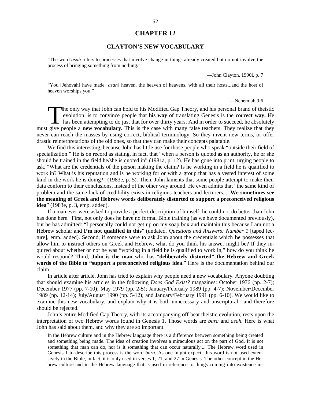# **CHAPTER 12**

#### **CLAYTON'S NEW VOCABULARY**

"The word *asah* refers to processes that involve change in things already created but do not involve the process of bringing something from nothing."

—John Clayton, 1990i, p. 7

"You [Jehovah] have made [*asah*] heaven, the heaven of heavens, with all their hosts...and the host of heaven worships you."

—Nehemiah 9:6

The only way that John can hold to his Modified Gap Theory, and his personal brand of theistic<br>evolution, is to convince people that **his way** of translating Genesis is the **correct way.** He<br>has been attempting to do just evolution, is to convince people that **his way** of translating Genesis is the **correct way.** He has been attempting to do just that for over thirty years. And in order to succeed, he absolutely must give people a **new vocabulary.** This is the case with many false teachers. They realize that they never can reach the masses by using correct, biblical terminology. So they invent new terms, or offer drastic reinterpretations of the old ones, so that they can make their concepts palatable.

We find this interesting, because John has little use for those people who speak "outside their field of specialization." He is on record as stating, in fact, that "when a person is quoted as an authority, he or she should be trained in the field he/she is quoted in" (1981a, p. 12). He has gone into print, urging people to ask, "What are the credentials of the person making the claim? Is he working in a field he is qualified to work in? What is his reputation and is he working for or with a group that has a vested interest of some kind in the work he is doing?" (1983e, p. 5). Then, John laments that some people attempt to make their data conform to their conclusions, instead of the other way around. He even admits that "the same kind of problem and the same lack of credibility exists in religious teachers and lecturers.... **We sometimes see the meaning of Greek and Hebrew words deliberately distorted to support a preconceived religious idea**" (1983e, p. 3, emp. added).

If a man ever were asked to provide a perfect description of himself, he could not do better than John has done here. First, not only does he have no formal Bible training (as we have documented previously), but he has admitted: "I personally could not get up on my soap box and maintain this because I am not a Hebrew scholar and **I'm not qualified in this**" (undated, *Questions and Answers: Number 1* [taped lecture], emp. added). Second, if someone were to ask John about the credentials which **he** possesses that allow him to instruct others on Greek and Hebrew, what do you think his answer might be? If they inquired about whether or not he was "working in a field he is qualified to work in," how do you think he would respond? Third, **John is the man** who has "**deliberately distorted" the Hebrew and Greek words of the Bible to "support a preconceived religious idea**." Here is the documentation behind our claim.

In article after article, John has tried to explain why people need a new vocabulary. Anyone doubting that should examine his articles in the following *Does God Exist?* magazines: October 1976 (pp. 2-7); December 1977 (pp. 7-10); May 1979 (pp. 2-5); January/February 1989 (pp. 4-7); November/December 1989 (pp. 12-14); July/August 1990 (pp. 5-12); and January/February 1991 (pp. 6-10). We would like to examine this new vocabulary, and explain why it is both unnecessary and unscriptural—and therefore should be rejected.

John's entire Modified Gap Theory, with its accompanying off-beat theistic evolution, rests upon the interpretation of two Hebrew words found in Genesis 1. Those words are *bara* and *asah.* Here is what John has said about them, and why they are so important.

In the Hebrew culture and in the Hebrew language there is a difference between something being created and something being made. The idea of creation involves a miraculous act on the part of God. It is not something that man can do, nor is it something that can occur naturally.... The Hebrew word used in Genesis 1 to describe this process is the word *bara.* As one might expect, this word is not used extensively in the Bible, in fact, it is only used in verses 1, 21, and 27 in Genesis. The other concept in the Hebrew culture and in the Hebrew language that is used in reference to things coming into existence in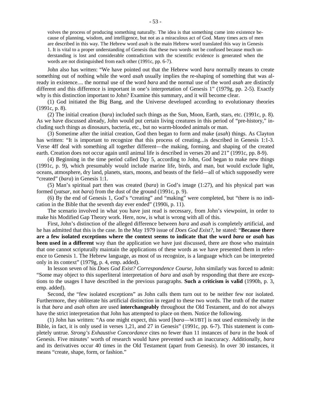volves the process of producing something naturally. The idea is that something came into existence because of planning, wisdom, and intelligence, but not as a miraculous act of God. Many times acts of men are described in this way. The Hebrew word *asah* is the main Hebrew word translated this way in Genesis 1. It is vital to a proper understanding of Genesis that these two words not be confused because much understanding is lost and considerable contradiction with the scientific evidence is generated when the words are not distinguished from each other (1991c, pp. 6-7).

John also has written: "We have pointed out that the Hebrew word *bara* normally means to create something out of nothing while the word *asah* usually implies the re-shaping of something that was already in existence.... the normal use of the word *bara* and the normal use of the word *asah* are distinctly different and this difference is important in one's interpretation of Genesis 1" (1979g, pp. 2-5). Exactly why is this distinction important to John? Examine this summary, and it will become clear.

(1) God initiated the Big Bang, and the Universe developed according to evolutionary theories (1991c, p. 8).

(2) The initial creation (*bara*) included such things as the Sun, Moon, Earth, stars, etc. (1991c, p. 8). As we have discussed already, John would put certain living creatures in this period of "pre-history," including such things as dinosaurs, bacteria, etc., but no warm-blooded animals or man.

(3) Sometime after the initial creation, God then began to form and make (*asah*) things. As Clayton has written: "It is important to recognize that this process of creating... is described in Genesis 1:1-3. Verse 4ff deal with something all together different—the making, forming, and shaping of the created earth. Creation does not occur again until animal life is described in verses 20 and 21" (1991c, pp. 8-9).

(4) Beginning in the time period called Day 5, according to John, God began to make new things (1991c, p. 9), which presumably would include marine life, birds, and man, but would exclude light, oceans, atmosphere, dry land, planets, stars, moons, and beasts of the field—all of which supposedly were "created" (*bara*) in Genesis 1:1.

(5) Man's spiritual part then was created (*bara*) in God's image (1:27), and his physical part was formed (*yatsar,* not *bara*) from the dust of the ground (1991c, p. 9).

(6) By the end of Genesis 1, God's "creating" and "making" were completed, but "there is no indication in the Bible that the seventh day ever ended" (1990i, p. 11).

The scenario involved in what you have just read is necessary, from John's viewpoint, in order to make his Modified Gap Theory work. Here, now, is what is wrong with all of this.

First, John's distinction of the alleged difference between *bara* and *asah* is completely artificial, and he has admitted that this is the case. In the May 1979 issue of *Does God Exist?*, he stated: "**Because there are a few isolated exceptions where the context seems to indicate that the word** *bara* **or** *asah* **has been used in a different** way than the application we have just discussed, there are those who maintain that one cannot scripturally maintain the applications of these words as we have presented them in reference to Genesis 1. The Hebrew language, as most of us recognize, is a language which can be interpreted only in its context" (1979g, p. 4, emp. added).

In lesson seven of his *Does God Exist? Correspondence Course*, John similarly was forced to admit: "Some may object to this superliteral interpretation of *bara* and *asah* by responding that there are exceptions to the usages I have described in the previous paragraphs. **Such a criticism is valid** (1990h, p. 3, emp. added).

Second, the "few isolated exceptions" as John calls them turn out to be neither few nor isolated. Furthermore, they obliterate his artificial distinction in regard to these two words. The truth of the matter is that *bara* and *asah* often are used **interchangeably** throughout the Old Testament, and do not always have the strict interpretation that John has attempted to place on them. Notice the following.

(1) John has written: "As one might expect, this word [*bara*—WJ/BT] is not used extensively in the Bible, in fact, it is only used in verses 1,21, and 27 in Genesis" (1991c, pp. 6-7). This statement is completely untrue. *Strong's Exhaustive Concordance* cites no fewer than 11 instances of *bara* in the book of Genesis. Five minutes' worth of research would have prevented such an inaccuracy. Additionally, *bara*  and its derivatives occur 40 times in the Old Testament (apart from Genesis). In over 30 instances, it means "create, shape, form, or fashion."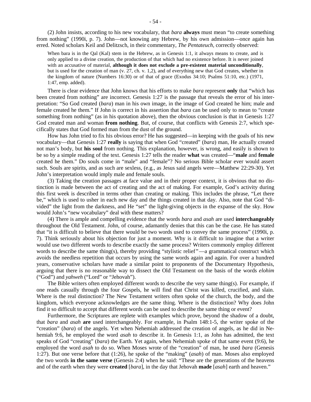(2) John insists, according to his new vocabulary, that *bara* **always** must mean "to create something from nothing" (1990i, p. 7). John—not knowing any Hebrew, by his own admission—once again has erred. Noted scholars Keil and Delitzsch, in their commentary, *The Pentateuch,* correctly observed:

When bara is in the Qal (Kal) stem in the Hebrew, as in Genesis 1:1, it always means to create, and is only applied to a divine creation, the production of that which had no existence before. It is never joined with an accusative of material, **although it does not exclude a pre-existent material unconditionally**, but is used for the creation of man (v. 27, ch. v. 1,2), and of everything new that God creates, whether in the kingdom of nature (Numbers 16:30) or of that of grace (Exodus 34:10; Psalms 51:10, etc.) (1971, 1:47, emp. added).

There is clear evidence that John knows that his efforts to make *bara* represent **only** that "which has been created from nothing" are incorrect. Genesis 1:27 is the passage that reveals the error of his interpretation: "So God created (*bara*) man in his own image, in the image of God created he him; male and female created he them." If John is correct in his assertion that *bara* can be used only to mean to "create something from nothing" (as in his quotation above), then the obvious conclusion is that in Genesis 1:27 God created man and woman **from nothing**. But, of course, that conflicts with Genesis 2:7, which specifically states that God formed man from the dust of the ground.

How has John tried to fix his obvious error? He has suggested—in keeping with the goals of his new vocabulary—that Genesis 1:27 **really** is saying that when God "created" (*bara*) man, He actually created not man's body, but **his soul** from nothing. This explanation, however, is wrong, and easily is shown to be so by a simple reading of the text. Genesis 1:27 tells the reader **what** was created—"**male** and **female**  created he them." Do souls come in "male" and "female"? No serious Bible scholar ever would assert such. Souls are spirits, and as such are sexless, (e.g., as Jesus said angels were—Matthew 22:29-30). Yet John's interpretation would imply male and female souls.

(3) Taking the creation passages at face value and in their proper context, it is obvious that no distinction is made between the act of creating and the act of making. For example, God's activity during this first week is described in terms other than creating or making. This includes the phrase, "Let there be," which is used to usher in each new day and the things created in that day. Also, note that God "divided" the light from the darkness, and He "set" the light-giving objects in the expanse of the sky. How would John's "new vocabulary" deal with these matters?

(4) There is ample and compelling evidence that the words *bara* and *asah* are used **interchangeably**  throughout the Old Testament. John, of course, adamantly denies that this can be the case. He has stated that "it is difficult to believe that there would be two words used to convey the same process" (1990i, p. 7). Think seriously about his objection for just a moment. Why is it difficult to imagine that a writer would use two different words to describe exactly the same process? Writers commonly employ different words to describe the same thing(s), thereby providing "stylistic relief"—a grammatical construct which avoids the needless repetition that occurs by using the same words again and again. For over a hundred years, conservative scholars have made a similar point to proponents of the Documentary Hypothesis, arguing that there is no reasonable way to dissect the Old Testament on the basis of the words *elohim*  ("God") and *yahweh* ("Lord" or "Jehovah").

The Bible writers often employed different words to describe the very same thing(s). For example, if one reads casually through the four Gospels, he will find that Christ was killed, crucified, and slain. Where is the real distinction? The New Testament writers often spoke of the church, the body, and the kingdom, which everyone acknowledges are the same thing. Where is the distinction? Why does John find it so difficult to accept that different words can be used to describe the same thing or event?

Furthermore, the Scriptures are replete with examples which prove, beyond the shadow of a doubt, that *bara* and *asah* **are** used interchangeably. For example, in Psalm 148:1-5, the writer spoke of the "creation" (*bara*) of the angels. Yet when Nehemiah addressed the creation of angels, as he did in Nehemiah 9:6, he employed the word *asah* to describe it. In Genesis 1:1, as John has admitted, the text speaks of God "creating" (*bara*) the Earth. Yet again, when Nehemiah spoke of that same event (9:6), he employed the word *asah* to do so. When Moses wrote of the "creation" of man, he used *bara* (Genesis 1:27). But one verse before that (1:26), he spoke of the "making" (*asah*) of man. Moses also employed the two words **in the same verse** (Genesis 2:4) when he said: "These are the generations of the heavens and of the earth when they were **created** [*bara*], in the day that Jehovah **made** [*asah*] earth and heaven."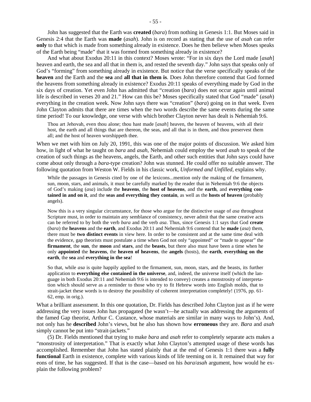John has suggested that the Earth was **created** (*bara*) from nothing in Genesis 1:1. But Moses said in Genesis 2:4 that the Earth was **made** (*asah*). John is on record as stating that the use of *asah* can refer **only** to that which is made from something already in existence. Does he then believe when Moses speaks of the Earth being "made" that it was formed from something already in existence?

And what about Exodus 20:11 in this context? Moses wrote: "For in six days the Lord made [*asah*] heaven and earth, the sea and all that in them is, and rested the seventh day." John says that speaks only of God's "forming" from something already in existence. But notice that the verse specifically speaks of the **heaven** and the Earth and the **sea** and **all that in them is**. Does John therefore contend that God formed the heavens from something already in existence? Exodus 20:11 speaks of everything made by God in the six days of creation. Yet even John has admitted that "creation (*bara*) does not occur again until animal life is described in verses 20 and 21." How can this be? Moses specifically stated that God "made" (*asah*) everything in the creation week. Now John says there was "creation" (*bara*) going on in that week. Even John Clayton admits that there are times when the two words describe the same events during the same time period! To our knowledge, one verse with which brother Clayton never has dealt is Nehemiah 9:6.

Thou art Jehovah, even thou alone; thou hast made [*asah*] heaven, the heaven of heavens, with all their host, the earth and all things that are thereon, the seas, and all that is in them, and thou preservest them all; and the host of heaven worshippeth thee.

When we met with him on July 20, 1991, this was one of the major points of discussion. We asked him how, in light of what he taught on *bara* and *asah*, Nehemiah could employ the word *asah* to speak of the creation of such things as the heavens, angels, the Earth, and other such entities that John says could have come about only through a *bara*-type creation? John was stunned. He could offer no suitable answer. The following quotation from Weston W. Fields in his classic work, *Unformed and Unfilled,* explains why.

While the passages in Genesis cited by one of the lexicons...mention only the making of the firmament, sun, moon, stars, and animals, it must be carefully marked by the reader that in Nehemiah 9:6 the objects of God's making (*asa*) include the **heavens**, the **host of heavens**, and the **earth**, and **everything contained in and on it**, and the **seas and everything they contain**, as well as the **hosts of heaven** (probably angels).

Now this is a very singular circumstance, for those who argue for the distinctive usage of *asa* throughout Scripture must, in order to maintain any semblance of consistency, never admit that the same creative acts can be referred to by both the verb *bara* and the verb *asa*. Thus, since Genesis 1:1 says that God **create**  (*bara*) the **heavens** and the **earth**, and Exodus 20:11 and Nehemiah 9:6 contend that he **made** (*asa*) them, there must be **two distinct events** in view here. In order to be consistent and at the same time deal with the evidence, gap theorists must postulate a time when God not only "appointed" or "made to appear" the **firmament**, the **sun**, the **moon** and **stars**, and the **beasts**, but there also must have been a time when he only **appointed** the **heavens**, the **heaven of heavens**, the **angels** (hosts), the **earth**, **everything on the earth**, the **sea** and **everything in the sea**!

So that, while *asa* is quite happily applied to the firmament, sun, moon, stars, and the beasts, its further application to **everything else contained in the universe**, and, indeed, the universe itself (which the language in both Exodus 20:11 and Nehemiah 9:6 is intended to convey) creates a monstrosity of interpretation which should serve as a reminder to those who try to fit Hebrew words into English molds, that to strait-jacket these words is to destroy the possibility of coherent interpretation completely! (1976, pp. 61 62, emp. in orig.).

What a brilliant assessment. In this one quotation, Dr. Fields has described John Clayton just as if he were addressing the very issues John has propagated (he wasn't—he actually was addressing the arguments of the famed Gap theorist, Arthur C. Custance, whose materials are similar in many ways to John's). And, not only has he **described** John's views, but he also has shown how **erroneous** they are. *Bara* and *asah*  simply cannot be put into "strait-jackets."

(5) Dr. Fields mentioned that trying to make *bara* and *asah* refer to completely separate acts makes a "monstrosity of interpretation." That is exactly what John Clayton's attempted usage of these words has accomplished. Remember that John has stated plainly that at the end of Genesis 1:1 there was a **fully functional** Earth in existence, complete with various kinds of life teeming on it. It remained that way for eons of time, he has suggested. If that is the case—based on his *bara*/*asah* argument, how would he explain the following problem?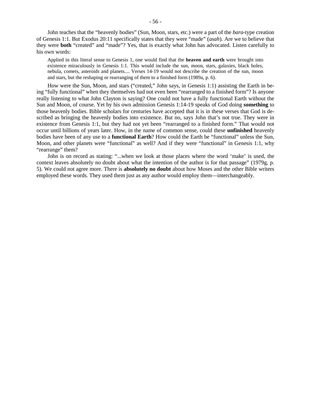John teaches that the "heavenly bodies" (Sun, Moon, stars, etc.) were a part of the *bara*-type creation of Genesis 1:1. But Exodus 20:11 specifically states that they were "made" (*asah*). Are we to believe that they were **both** "created" and "made"? Yes, that is exactly what John has advocated. Listen carefully to his own words:

Applied in this literal sense to Genesis 1, one would find that the **heaven and earth** were brought into existence miraculously in Genesis 1:1. This would include the sun, moon, stars, galaxies, black holes, nebula, comets, asteroids and planets.... Verses 14-19 would not describe the creation of the sun, moon and stars, but the reshaping or rearranging of them to a finished form (1989a, p. 6).

How were the Sun, Moon, and stars ("created," John says, in Genesis 1:1) assisting the Earth in being "fully functional" when they themselves had not even been "rearranged to a finished form"? Is anyone really listening to what John Clayton is saying? One could not have a fully functional Earth without the Sun and Moon, of course. Yet by his own admission Genesis 1:14-19 speaks of God doing **something** to those heavenly bodies. Bible scholars for centuries have accepted that it is in these verses that God is described as bringing the heavenly bodies into existence. But no, says John that's not true. They were in existence from Genesis 1:1, but they had not yet been "rearranged to a finished form." That would not occur until billions of years later. How, in the name of common sense, could these **unfinished** heavenly bodies have been of any use to a **functional Earth**? How could the Earth be "functional" unless the Sun, Moon, and other planets were "functional" as well? And if they were "functional" in Genesis 1:1, why "rearrange" them?

John is on record as stating: "...when we look at those places where the word 'make' is used, the context leaves absolutely no doubt about what the intention of the author is for that passage" (1979g, p. 5). We could not agree more. There is **absolutely no doubt** about how Moses and the other Bible writers employed these words. They used them just as any author would employ them—interchangeably.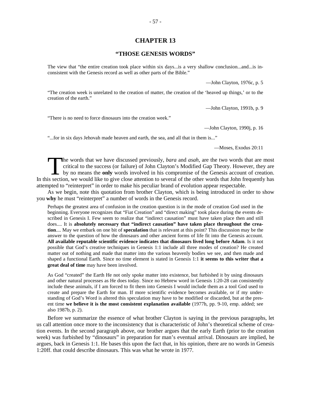# **CHAPTER 13**

#### **"THOSE GENESIS WORDS"**

The view that "the entire creation took place within six days...is a very shallow conclusion...and...is inconsistent with the Genesis record as well as other parts of the Bible."

—John Clayton, 1976c, p. 5

"The creation week is unrelated to the creation of matter, the creation of the 'heaved up things,' or to the creation of the earth."

—John Clayton, 1991b, p. 9

"There is no need to force dinosaurs into the creation week."

—John Clayton, 1990j, p. 16

"...for in six days Jehovah made heaven and earth, the sea, and all that in them is..."

—Moses, Exodus 20:11

The words that we have discussed previously, *bara* and *asah*, are the two words that are most critical to the success (or failure) of John Clayton's Modified Gap Theory. However, they are by no means the **only** words inv critical to the success (or failure) of John Clayton's Modified Gap Theory. However, they are by no means the **only** words involved in his compromise of the Genesis account of creation. In this section, we would like to give close attention to several of the other words that John frequently has attempted to "reinterpret" in order to make his peculiar brand of evolution appear respectable.

As we begin, note this quotation from brother Clayton, which is being introduced in order to show you **why** he must "reinterpret" a number of words in the Genesis record.

Perhaps the greatest area of confusion in the creation question is in the mode of creation God used in the beginning. Everyone recognizes that "Fiat Creation" and "direct making" took place during the events described in Genesis I. Few seem to realize that "indirect causation" must have taken place then and still does.... It is **absolutely necessary that "indirect causation" have taken place throughout the creation**.... May we embark on one bit of **speculation** that is relevant at this point? This discussion may be the answer to the question of how the dinosaurs and other ancient forms of life fit into the Genesis account. **All available reputable scientific evidence indicates that dinosaurs lived long before Adam**. Is it not possible that God's creative techniques in Genesis 1:1 include all three modes of creation? He created matter out of nothing and made that matter into the various heavenly bodies we see, and then made and shaped a functional Earth. Since no time element is stated in Genesis 1:1 **it seems to this writer that a great deal of time** may have been involved.

As God "created" the Earth He not only spoke matter into existence, but furbished it by using dinosaurs and other natural processes as He does today. Since no Hebrew word in Genesis 1:20-28 can consistently include these animals, if I am forced to fit them into Genesis I would include them as a tool God used to create and prepare the Earth for man. If more scientific evidence becomes available, or if my understanding of God's Word is altered this speculation may have to be modified or discarded, but at the present time **we believe it is the most consistent explanation available** (1977h, pp. 9-10, emp. added; see also 1987b, p. 2).

Before we summarize the essence of what brother Clayton is saying in the previous paragraphs, let us call attention once more to the inconsistency that is characteristic of John's theoretical scheme of creation events. In the second paragraph above, our brother argues that the early Earth (prior to the creation week) was furbished by "dinosaurs" in preparation for man's eventual arrival. Dinosaurs are implied, he argues, back in Genesis 1:1. He bases this upon the fact that, in his opinion, there are no words in Genesis 1:20ff. that could describe dinosaurs. This was what he wrote in 1977.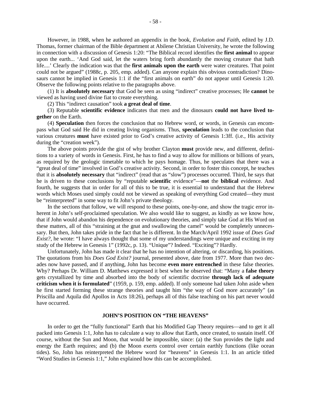However, in 1988, when he authored an appendix in the book, *Evolution and Faith*, edited by J.D. Thomas, former chairman of the Bible department at Abilene Christian University, he wrote the following in connection with a discussion of Genesis 1:20: "The Biblical record identifies the **first animal** to appear upon the earth... 'And God said, let the waters bring forth abundantly the moving creature that hath life....' Clearly the indication was that the **first animals upon the earth** were water creatures. That point could not be argued" (1988c, p. 205, emp. added). Can anyone explain this obvious contradiction? Dinosaurs cannot be implied in Genesis 1:1 if the "first animals on earth" do not appear until Genesis 1:20. Observe the following points relative to the paragraphs above.

(1) It is **absolutely necessary** that God be seen as using "indirect" creative processes; He **cannot** be viewed as having used divine fiat to create everything.

(2) This "indirect causation" took **a great deal of time**.

(3) Reputable **scientific evidence** indicates that men and the dinosaurs **could not have lived together** on the Earth.

(4) **Speculation** then forces the conclusion that no Hebrew word, or words, in Genesis can encompass what God said He did in creating living organisms. Thus, **speculation** leads to the conclusion that various creatures **must** have existed prior to God's creative activity of Genesis 1:3ff. (i.e., His activity during the "creation week").

The above points provide the gist of why brother Clayton **must** provide new, and different, definitions to a variety of words in Genesis. First, he has to find a way to allow for millions or billions of years, as required by the geologic timetable to which he pays homage. Thus, he speculates that there was a "great deal of time" involved in God's creative activity. Second, in order to foster this concept, he teaches that it is **absolutely necessary** that "indirect" (read that as "slow") processes occurred. Third, he says that he is driven to these conclusions by "reputable **scientific** evidence"—**not** the **biblical** evidence. And fourth, he suggests that in order for all of this to be true, it is essential to understand that the Hebrew words which Moses used simply could not be viewed as speaking of everything God created—they must be "reinterpreted" in some way to fit John's private theology.

In the sections that follow, we will respond to these points, one-by-one, and show the tragic error inherent in John's self-proclaimed speculation. We also would like to suggest, as kindly as we know how, that if John would abandon his dependence on evolutionary theories, and simply take God at His Word on these matters, all of this "straining at the gnat and swallowing the camel" would be completely unnecessary. But then, John takes pride in the fact that he is different. In the March/April 1992 issue of *Does God Exist?*, he wrote: "I have always thought that some of my understandings were unique and exciting in my study of the Hebrew in Genesis 1" (1992c, p. 13). "Unique"? Indeed. "Exciting"? Hardly.

Unfortunately, John has made it clear that he has no intention of altering, or discarding, his positions. The quotations from his *Does God Exist?* journal, presented above, date from 1977. More than two decades now have passed, and if anything, John has become **even more entrenched** in these false theories. Why? Perhaps Dr. William D. Matthews expressed it best when he observed that: "Many a **false theory**  gets crystallized by time and absorbed into the body of scientific doctrine **through lack of adequate criticism when it is formulated**" (1959, p. 159, emp. added). If only someone had taken John aside when he first started forming these strange theories and taught him "the way of God more accurately" (as Priscilla and Aquila did Apollos in Acts 18:26), perhaps all of this false teaching on his part never would have occurred.

#### **JOHN'S POSITION ON "THE HEAVENS"**

In order to get the "fully functional" Earth that his Modified Gap Theory requires—and to get it all packed into Genesis 1:1, John has to calculate a way to allow that Earth, once created, to sustain itself. Of course, without the Sun and Moon, that would be impossible, since: (a) the Sun provides the light and energy the Earth requires; and (b) the Moon exerts control over certain earthly functions (like ocean tides). So, John has reinterpreted the Hebrew word for "heavens" in Genesis 1:1. In an article titled "Word Studies in Genesis 1:1," John explained how this can be accomplished.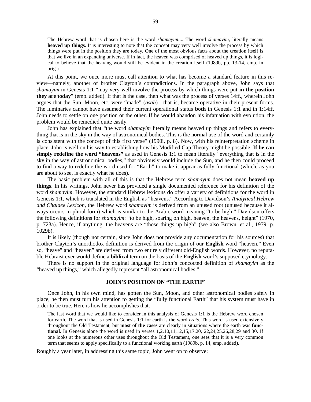The Hebrew word that is chosen here is the word *shamayim*.... The word *shamayim*, literally means **heaved up things**. It is interesting to note that the concept may very well involve the process by which things were put in the position they are today. One of the most obvious facts about the creation itself is that we live in an expanding universe. If in fact, the heaven was comprised of heaved up things, it is logical to believe that the heaving would still be evident in the creation itself (1989b, pp. 13-14, emp. in orig.).

At this point, we once more must call attention to what has become a standard feature in this review—namely, another of brother Clayton's contradictions. In the paragraph above, John says that *shamayim* in Genesis 1:1 "may very well involve the process by which things were put **in the position they are today**" (emp. added). If that is the case, then what was the process of verses 14ff., wherein John argues that the Sun, Moon, etc. were "made" (*asah*)—that is, became operative in their present forms. The luminaries cannot have assumed their current operational status **both** in Genesis 1:1 and in 1:14ff. John needs to settle on one position or the other. If he would abandon his infatuation with evolution, the problem would be remedied quite easily.

John has explained that "the word *shamayim* literally means heaved up things and refers to everything that is in the sky in the way of astronomical bodies. This is the normal use of the word and certainly is consistent with the concept of this first verse" (1990i, p. 8). Now, with his reinterpretation scheme in place, John is well on his way to establishing how his Modified Gap Theory might be possible. **If he can simply redefine the word "heavens"** as used in Genesis 1:1 to mean literally "everything that is in the sky in the way of astronomical bodies," that obviously would include the Sun, and he then could proceed to find a way to redefine the word used for "Earth" to make it appear as fully functional (which, as you are about to see, is exactly what he does).

The basic problem with all of this is that the Hebrew term *shamayim* does not mean **heaved up things**. In his writings, John never has provided a single documented reference for his definition of the word *shamayim*. However, the standard Hebrew lexicons **do** offer a variety of definitions for the word in Genesis 1:1, which is translated in the English as "heavens." According to Davidson's *Analytical Hebrew and Chaldee Lexicon,* the Hebrew word *shamayim* is derived from an unused root (unused because it always occurs in plural form) which is similar to the Arabic word meaning "to be high." Davidson offers the following definitions for *shamayim*: "to be high, soaring on high, heaven, the heavens, height" (1970, p. 723a). Hence, if anything, the heavens are "those things up high" (see also Brown, et al., 1979, p. 1029b).

It is likely (though not certain, since John does not provide any documentation for his sources) that brother Clayton's unorthodox definition is derived from the origin of our **English** word "heaven." Even so, "heave" and "heaven" are derived from two entirely different old-English words. However, no reputable Hebraist ever would define a **biblical** term on the basis of the **English** word's supposed etymology.

There is no support in the original language for John's concocted definition of *shamayim* as the "heaved up things," which allegedly represent "all astronomical bodies."

### **JOHN'S POSITION ON "THE EARTH"**

Once John, in his own mind, has gotten the Sun, Moon, and other astronomical bodies safely in place, he then must turn his attention to getting the "fully functional Earth" that his system must have in order to be true. Here is how he accomplishes that.

The last word that we would like to consider in this analysis of Genesis 1:1 is the Hebrew word chosen for earth. The word that is used in Genesis 1:1 for earth is the word *erets*. This word is used extensively throughout the Old Testament, but **most of the cases** are clearly in situations where the earth was **functional**. In Genesis alone the word is used in verses 1,2,10,11,12,15,17,20, 22,24,25,26,28,29 and 30. If one looks at the numerous other uses throughout the Old Testament, one sees that it is a very common term that seems to apply specifically to a functional working earth (1989b, p. 14, emp. added).

Roughly a year later, in addressing this same topic, John went on to observe: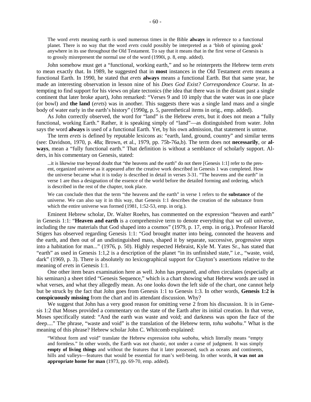The word *erets* meaning earth is used numerous times in the Bible **always** in reference to a functional planet. There is no way that the word *erets* could possibly be interpreted as a 'blob of spinning gook' anywhere in its use throughout the Old Testament. To say that it means that in the first verse of Genesis is to grossly misrepresent the normal use of the word (1990i, p. 8, emp. added).

John somehow must get a "functional, working earth," and so he reinterprets the Hebrew term *erets*  to mean exactly that. In 1989, he suggested that in **most** instances in the Old Testament *erets* means a functional Earth. In 1990, he stated that *erets* **always** means a functional Earth. But that same year, he made an interesting observation in lesson nine of his *Does God Exist? Correspondence Course*. In attempting to find support for his views on plate tectonics (the idea that there was in the distant past a single continent that later broke apart), John remarked: "Verses 9 and 10 imply that the water was in one place (or bowl) and **the land** (*erets*) was in another. This suggests there was a single land mass and a single body of water early in the earth's history" (1990g, p. 5, parenthetical items in orig., emp. added).

As John correctly observed, the word for "land" is the Hebrew *erets*, but it does not mean a "fully functional, working Earth." Rather, it is speaking simply of "land"—as distinguished from water. John says the word **always** is used of a functional Earth. Yet, by his own admission, that statement is untrue.

The term *erets* is defined by reputable lexicons as: "earth, land, ground, country" and similar terms (see: Davidson, 1970, p. 48a; Brown, et al., 1979, pp. 75b-76a,b). The term does not **necessarily**, or **always**, mean a "fully functional earth." That definition is without a semblance of scholarly support. Alders, in his commentary on Genesis, stated:

...it is likewise true beyond doubt that "the heavens and the earth" do not there [Genesis 1:1] refer to the present, organized universe as it appeared after the creative work described in Genesis 1 was completed. How the universe became what it is today is described in detail in verses 3-31. "The heavens and the earth" in verse 1 are thus a designation of the essence of the world before the detailed forming and ordering, which is described in the rest of the chapter, took place.

We can conclude then that the term "the heavens and the earth" in verse 1 refers to the **substance** of the universe. We can also say it in this way, that Genesis 1:1 describes the creation of the substance from which the entire universe was formed (1981, 1:52-53, emp. in orig.).

Eminent Hebrew scholar, Dr. Walter Roehrs, has commented on the expression "heaven and earth" in Genesis 1:1: "**Heaven and earth** is a comprehensive term to denote everything that we call universe, including the raw materials that God shaped into a cosmos" (1979, p. 17, emp. in orig.). Professor Harold Stigers has observed regarding Genesis 1:1: "God brought matter into being, connoted the heavens and the earth, and then out of an undistinguished mass, shaped it by separate, successive, progressive steps into a habitation for man..." (1976, p. 50). Highly respected Hebraist, Kyle M. Yates Sr., has stated that "earth" as used in Genesis 1:1,2 is a description of the planet "in its unfinished state," i.e., "waste, void, dark" (1969, p. 3). There is absolutely no lexicographical support for Clayton's assertions relative to the meaning of *erets* in Genesis 1:1.

One other item bears examination here as well. John has prepared, and often circulates (especially at his seminars) a sheet titled "Genesis Sequence," which is a chart showing what Hebrew words are used in what verses, and what they allegedly mean. As one looks down the left side of the chart, one cannot help but be struck by the fact that John goes from Genesis 1:1 to Genesis 1:3. In other words, **Genesis 1:2 is conspicuously missing** from the chart and its attendant discussion. Why?

We suggest that John has a very good reason for omitting verse 2 from his discussion. It is in Genesis 1:2 that Moses provided a commentary on the state of the Earth after its initial creation. In that verse, Moses specifically stated: "And the earth was waste and void; and darkness was upon the face of the deep...." The phrase, "waste and void" is the translation of the Hebrew term, *tohu wabohu*." What is the meaning of this phrase? Hebrew scholar John C. Whitcomb explained:

"Without form and void" translate the Hebrew expression *tohu wabohu*, which literally means "empty and formless." In other words, the Earth was not chaotic, not under a curse of judgment. It was simply **empty of living things** and without the features that it later possessed, such as oceans and continents, hills and valleys—features that would be essential for man's well-being. In other words, **it was not an appropriate home for man** (1973, pp. 69-70, emp. added).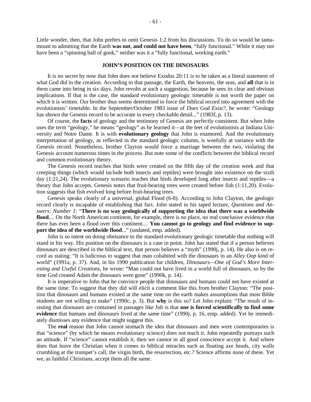Little wonder, then, that John prefers to omit Genesis 1:2 from his discussions. To do so would be tantamount to admitting that the Earth **was not**, **and could not have been**, "fully functional." While it may not have been a "spinning ball of gook," neither was it a "fully functional, working earth."

### **JOHN'S POSITION ON THE DINOSAURS**

It is no secret by now that John does not believe Exodus 20:11 is to be taken as a literal statement of what God did in the creation. According to that passage, the Earth, the heavens, the seas, and **all** that is in them came into being in six days. John revolts at such a suggestion, because he sees its clear and obvious implications. If that is the case, the standard evolutionary geologic timetable is not worth the paper on which it is written. Our brother thus seems determined to force the biblical record into agreement with the evolutionists' timetable. In the September/October 1983 issue of *Does God Exist?*, he wrote: "Geology has shown the Genesis record to be accurate in every checkable detail..." (1983f, p. 13).

Of course, the **facts** of geology and the testimony of Genesis are perfectly consistent. But when John uses the term "geology," he means "geology" as he learned it—at the feet of evolutionists at Indiana University and Notre Dame. It is with **evolutionary geology** that John is enamored. And the evolutionary interpretation of geology, as reflected in the standard geologic column, is woefully at variance with the Genesis record. Nonetheless, brother Clayton would force a marriage between the two, violating the Genesis account numerous times in the process. But note some of the conflicts between the biblical record and common evolutionary theory.

The Genesis record teaches that birds were created on the fifth day of the creation week and that creeping things (which would include both insects and reptiles) were brought into existence on the sixth day (1:21,24). The evolutionary scenario teaches that birds developed long after insects and reptiles—a theory that John accepts. Genesis notes that fruit-bearing trees were created before fish (1:11,20). Evolution suggests that fish evolved long before fruit-bearing trees.

Genesis speaks clearly of a universal, global Flood (6-8). According to John Clayton, the geologic record clearly is incapable of establishing that fact. John stated in his taped lecture, *Questions and Answers: Number 1*: "**There is no way geologically of supporting the idea that there was a worldwide flood**.... On the North American continent, for example, there is no place, no real conclusive evidence that there has ever been a flood over this continent.... **You cannot go to geology and find evidence to support the idea of the worldwide flood**..." (undated, emp. added).

John is so intent on doing obeisance to the standard evolutionary geologic timetable that nothing will stand in his way. His position on the dinosaurs is a case in point. John has stated that if a person believes dinosaurs are described in the biblical text, that person believes a "myth" (1990j, p. 14). He also is on record as stating: "It is ludicrous to suggest that man cohabited with the dinosaurs in an *Alley Oop* kind of world" (1991a, p. 37). And, in his 1990 publication for children, *Dinosaurs—One of God's More Interesting and Useful Creations*, he wrote: "Man could not have lived in a world full of dinosaurs, so by the time God created Adam the dinosaurs were gone" (1990k, p. 14).

It is imperative to John that he convince people that dinosaurs and humans could not have existed at the same time. To suggest that they did will elicit a comment like this from brother Clayton: "The position that dinosaurs and humans existed at the same time on the earth makes assumptions that most Bible students are not willing to make" (1990c, p. 3). But **why** is this so? Let John explain: "The result of insisting that dinosaurs are contained in passages like Job is that **one is forced scientifically to find some evidence** that humans and dinosaurs lived at the same time" (1990j, p. 16, emp. added). Yet he immediately dismisses any evidence that might suggest this.

The **real** reason that John cannot stomach the idea that dinosaurs and men were contemporaries is that "science" (by which he means evolutionary science) does not teach it. John repeatedly portrays such an attitude. If "science" cannot establish it, then we cannot in all good conscience accept it. And where does that leave the Christian when it comes to biblical miracles such as floating axe heads, city walls crumbling at the trumpet's call, the virgin birth, the resurrection, etc.? Science affirms none of these. Yet we, as faithful Christians, accept them all the same.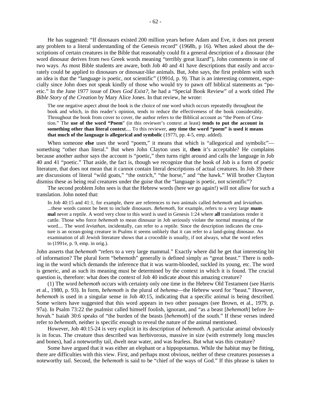He has suggested: "If dinosaurs existed 200 million years before Adam and Eve, it does not present any problem to a literal understanding of the Genesis record" (1968b, p 16)*.* When asked about the descriptions of certain creatures in the Bible that reasonably could fit a general description of a dinosaur (the word dinosaur derives from two Greek words meaning "terribly great lizard"), John comments in one of two ways. As most Bible students are aware, both Job 40 and 41 have descriptions that easily and accurately could be applied to dinosaurs or dinosaur-like animals. But, John says, the first problem with such an idea is that the "language is poetic, not scientific" (1991d, p. 9). That is an interesting comment, especially since John does not speak kindly of those who would try to pawn off biblical statements as "poetic." In the June 1977 issue of *Does God Exist?*, he had a "Special Book Review" of a work titled *The Bible Story of the Creation* by Mary Alice Jones. In that review, he wrote:

The one negative aspect about the book is the choice of one word which occurs repeatedly throughout the book and which, in this reader's opinion, tends to reduce the effectiveness of the book considerably. Throughout the book from cover to cover, the author refers to the Biblical account as "the Poem of Creation." The **use of the word "Poem**" (in this reviewer's context at least) **tends to put the account in something other than literal context**.... To this reviewer, **any time the word "poem" is used it means that much of the language is allegorical and symbolic** (1977i, pp. 4-5, emp. added).

When someone **else** uses the word "poem," it means that which is "allegorical and symbolic" something "other than literal." But when John Clayton uses it, **then** it's acceptable? He complains because another author says the account is "poetic," then turns right around and calls the language in Job 40 and 41 "poetic." That aside, the fact is, though we recognize that the book of Job is a form of poetic literature, that does not mean that it cannot contain literal descriptions of actual creatures. In Job 39 there are discussions of literal "wild goats," "the ostrich," "the horse," and "the hawk." Will brother Clayton dismiss these as being real creatures under the guise that the "language is poetic, not scientific"?

The second problem John sees is that the Hebrew words (here we go again!) will not allow for such a translation. John noted that:

In Job 40:15 and 41:1, for example, there are references to two animals called *behemoth* and *leviathan*. ...these words cannot be bent to include dinosaurs. *Behemoth*, for example, refers to a very large **mammal** never a reptile. A word very close to this word is used in Genesis 1:24 where **all** translations render it cattle. Those who force *behemoth* to mean dinosaur in Job seriously violate the normal meaning of the word.... The word *leviathan*, incidentally, can refer to a reptile. Since the description indicates the creature is an ocean-going creature in Psalms it seems unlikely that it can refer to a land-going dinosaur. An examination of all Jewish literature shows that a crocodile is usually, if not always, what the word refers to (1991e, p. 9, emp. in orig.).

John asserts that *behemoth* "refers to a very large mammal." Exactly where did he get that interesting bit of information? The plural form "behemoth" generally is defined simply as "great beast." There is nothing in the word which demands the inference that it was warm-blooded, suckled its young, etc. The word is generic, and as such its meaning must be determined by the context in which it is found. The crucial question is, therefore: what does the context of Job 40 indicate about this amazing creature?

(1) The word *behemoth* occurs with certainty only one time in the Hebrew Old Testament (see Harris et al., 1980, p. 93). In form, *behemoth* is the plural of *behema*—the Hebrew word for "beast." However, *behemoth* is used in a singular sense in Job 40:15, indicating that a specific animal is being described. Some writers have suggested that this word appears in two other passages (see Brown, et al., 1979, p. 97a). In Psalm 73:22 the psalmist called himself foolish, ignorant, and "as a beast [*behemoth*] before Jehovah." Isaiah 30:6 speaks of "the burden of the beasts [*behemoth*] of the south." If these verses indeed refer to *behemoth*, neither is specific enough to reveal the nature of the animal mentioned.

However, Job 40:15-24 is very explicit in its description of *behemoth*. A particular animal obviously is in focus. The creature thus described was herbivorous, massive in size (with extremely long muscles and bones), had a noteworthy tail, dwelt near water, and was fearless. But what was this creature?

Some have argued that it was either an elephant or a hippopotamus. While the habitat may be fitting, there are difficulties with this view. First, and perhaps most obvious, neither of these creatures possesses a noteworthy tail. Second, the *behemoth* is said to be "chief of the ways of God." If this phrase is taken to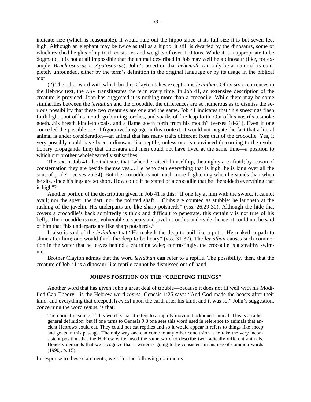indicate size (which is reasonable), it would rule out the hippo since at its full size it is but seven feet high. Although an elephant may be twice as tall as a hippo, it still is dwarfed by the dinosaurs, some of which reached heights of up to three stories and weights of over 110 tons. While it is inappropriate to be dogmatic, it is not at all impossible that the animal described in Job may well be a dinosaur (like, for example, *Brachiosaurus* or *Apatosaurus*). John's assertion that *behemoth* can only be a mammal is completely unfounded, either by the term's definition in the original language or by its usage in the biblical text.

(2) The other word with which brother Clayton takes exception is *leviathan*. Of its six occurrences in the Hebrew text, the ASV transliterates the term every time. In Job 41, an extensive description of the creature is provided. John has suggested it is nothing more than a crocodile. While there may be some similarities between the *leviathan* and the crocodile, the differences are so numerous as to dismiss the serious possibility that these two creatures are one and the same. Job 41 indicates that "his sneezings flash forth light...out of his mouth go burning torches, and sparks of fire leap forth. Out of his nostrils a smoke goeth...his breath kindleth coals, and a flame goeth forth from his mouth" (verses 18-21). Even if one conceded the possible use of figurative language in this context, it would not negate the fact that a literal animal is under consideration—an animal that has many traits different from that of the crocodile. Yes, it very possibly could have been a dinosaur-like reptile, unless one is convinced (according to the evolutionary propaganda line) that dinosaurs and men could not have lived at the same time—a position to which our brother wholeheartedly subscribes!

The text in Job 41 also indicates that "when he raiseth himself up, the mighty are afraid; by reason of consternation they are beside themselves.... He beholdeth everything that is high: he is king over all the sons of pride" (verses 25,34). But the crocodile is not much more frightening when he stands than when he sits, since his legs are so short. How could it be stated of a crocodile that he "beholdeth everything that is high"?

Another portion of the description given in Job 41 is this: "If one lay at him with the sword, it cannot avail; nor the spear, the dart, nor the pointed shaft.... Clubs are counted as stubble: he laugheth at the rushing of the javelin. His underparts are like sharp potsherds" (vss. 26,29-30). Although the hide that covers a crocodile's back admittedly is thick and difficult to penetrate, this certainly is not true of his belly. The crocodile is most vulnerable to spears and javelins on his underside; hence, it could not be said of him that "his underparts are like sharp potsherds."

It also is said of the *leviathan* that "He maketh the deep to boil like a pot.... He maketh a path to shine after him; one would think the deep to be hoary" (vss. 31-32). The *leviathan* causes such commotion in the water that he leaves behind a churning wake; contrastingly, the crocodile is a stealthy swimmer.

Brother Clayton admits that the word *leviathan* **can** refer to a reptile. The possibility, then, that the creature of Job 41 is a dinosaur-like reptile cannot be dismissed out-of-hand.

#### **JOHN'S POSITION ON THE "CREEPING THINGS"**

Another word that has given John a great deal of trouble—because it does not fit well with his Modified Gap Theory—is the Hebrew word *remes.* Genesis 1:25 says: "And God made the beasts after their kind, and everything that creepeth [*remes*] upon the earth after his kind, and it was so." John's suggestion, concerning the word *remes*, is that:

The normal meaning of this word is that it refers to a rapidly moving backboned animal. This is a rather general definition, but if one turns to Genesis 9:3 one sees this word used in reference to animals that ancient Hebrews could eat. They could not eat reptiles and so it would appear it refers to things like sheep and goats in this passage. The only way one can come to any other conclusion is to take the very inconsistent position that the Hebrew writer used the same word to describe two radically different animals. Honesty demands that we recognize that a writer is going to be consistent in his use of common words (1990j, p. 15).

In response to these statements, we offer the following comments.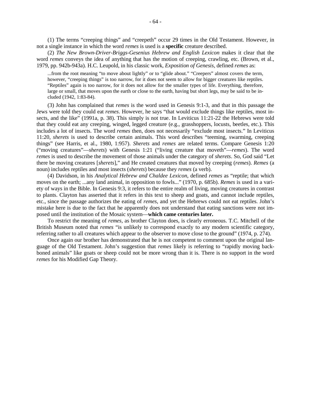(1) The terms "creeping things" and "creepeth" occur 29 times in the Old Testament. However, in not a single instance in which the word *remes* is used is a **specific** creature described.

(2) *The New Brown-Driver-Briggs-Gesenius Hebrew and English Lexicon* makes it clear that the word *remes* conveys the idea of anything that has the motion of creeping, crawling, etc. (Brown, et al., 1979, pp. 942b-943a). H.C. Leupold, in his classic work, *Exposition of Genesis,* defined *remes* as:

...from the root meaning "to move about lightly" or to "glide about." "Creepers" almost covers the term, however, "creeping things" is too narrow, for it does not seem to allow for bigger creatures like reptiles. "Reptiles" again is too narrow, for it does not allow for the smaller types of life. Everything, therefore, large or small, that moves upon the earth or close to the earth, having but short legs, may be said to be included (1942, 1:83-84).

(3) John has complained that *remes* is the word used in Genesis 9:1-3, and that in this passage the Jews were told they could eat *remes*. However, he says "that would exclude things like reptiles, most insects, and the like" (1991a, p. 38). This simply is not true. In Leviticus 11:21-22 the Hebrews were told that they could eat any creeping, winged, legged creature (e.g., grasshoppers, locusts, beetles, etc.). This includes a lot of insects. The word *remes* then, does not necessarily "exclude most insects." In Leviticus 11:20, *sherets* is used to describe certain animals. This word describes "teeming, swarming, creeping things" (see Harris, et al., 1980, 1:957). *Sherets* and *remes* are related terms. Compare Genesis 1:20 ("moving creatures"—*sherets*) with Genesis 1:21 ("living creature that moveth"—*remes*). The word *remes* is used to describe the movement of those animals under the category of *sherets*. So, God said "Let there be moving creatures [*sherets*]," and He created creatures that moved by creeping (*remes*). *Remes* (a noun) includes reptiles and most insects (*sherets*) because they *remes* (a verb).

(4) Davidson, in his *Analytical Hebrew and Chaldee Lexicon*, defined *remes* as "reptile; that which moves on the earth; ...any land animal, in opposition to fowls..." (1970, p. 685b). *Remes* is used in a variety of ways in the Bible. In Genesis 9:3, it refers to the entire realm of living, moving creatures in contrast to plants. Clayton has asserted that it refers in this text to sheep and goats, and cannot include reptiles, etc., since the passage authorizes the eating of *remes*, and yet the Hebrews could not eat reptiles. John's mistake here is due to the fact that he apparently does not understand that eating sanctions were not imposed until the institution of the Mosaic system—**which came centuries later.** 

To restrict the meaning of *remes*, as brother Clayton does, is clearly erroneous. T.C. Mitchell of the British Museum noted that *remes* "is unlikely to correspond exactly to any modern scientific category, referring rather to all creatures which appear to the observer to move close to the ground" (1974, p. 274).

Once again our brother has demonstrated that he is not competent to comment upon the original language of the Old Testament. John's suggestion that *remes* likely is referring to "rapidly moving backboned animals" like goats or sheep could not be more wrong than it is. There is no support in the word *remes* for his Modified Gap Theory.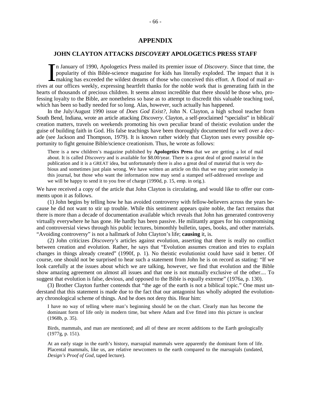# **APPENDIX**

# **JOHN CLAYTON ATTACKS** *DISCOVERY* **APOLOGETICS PRESS STAFF**

In January of 1990, Apologetics Press mailed its premier issue of *Discovery*. Since that time, the popularity of this Bible-science magazine for kids has literally exploded. The impact that it is making has exceeded the w n January of 1990, Apologetics Press mailed its premier issue of *Discovery*. Since that time, the popularity of this Bible-science magazine for kids has literally exploded. The impact that it is making has exceeded the wildest dreams of those who conceived this effort. A flood of mail arhearts of thousands of precious children. It seems almost incredible that there should be those who, professing loyalty to the Bible, are nonetheless so base as to attempt to discredit this valuable teaching tool, which has been so badly needed for so long. Alas, however, such actually has happened.

In the July/August 1990 issue of *Does God Exist?*, John N. Clayton, a high school teacher from South Bend, Indiana, wrote an article attacking *Discovery*. Clayton, a self-proclaimed "specialist" in biblical/ creation matters, travels on weekends promoting his own peculiar brand of theistic evolution under the guise of building faith in God. His false teachings have been thoroughly documented for well over a decade (see Jackson and Thompson, 1979). It is known rather widely that Clayton uses every possible opportunity to fight genuine Bible/science creationism. Thus, he wrote as follows:

There is a new children's magazine published by **Apologetics Press** that we are getting a lot of mail about. It is called *Discovery* and is available for \$8.00/year. There is a great deal of good material in the publication and it is a GREAT idea, but unfortunately there is also a great deal of material that is very dubious and sometimes just plain wrong. We have written an article on this that we may print someday in this journal, but those who want the information now may send a stamped self-addressed envelope and we will be happy to send it to you free of charge (1990d, p. 15, emp. in orig.).

We have received a copy of the article that John Clayton is circulating, and would like to offer our comments upon it as follows.

(1) John begins by telling how he has avoided controversy with fellow-believers across the years because he did not want to stir up trouble. While this sentiment appears quite noble, the fact remains that there is more than a decade of documentation available which reveals that John has generated controversy virtually everywhere he has gone. He hardly has been passive. He militantly argues for his compromising and controversial views through his public lectures, bimonthly bulletin, tapes, books, and other materials. "Avoiding controversy" is not a hallmark of John Clayton's life; **causing** it, is.

(2) John criticizes *Discovery's* articles against evolution, asserting that there is really no conflict between creation and evolution. Rather, he says that "Evolution assumes creation and tries to explain changes in things already created" (1990f, p. 1). No theistic evolutionist could have said it better. Of course, one should not be surprised to hear such a statement from John he is on record as stating: "If we look carefully at the issues about which we are talking, however, we find that evolution and the Bible show amazing agreement on almost all issues and that one is not mutually exclusive of the other.... To suggest that evolution is false, devious, and opposed to the Bible is equally extreme" (1976a, p. 130).

(3) Brother Clayton further contends that "the age of the earth is not a biblical topic." One must understand that this statement is made due to the fact that our antagonist has wholly adopted the evolutionary chronological scheme of things. And he does not deny this. Hear him:

I have no way of telling where man's beginning should be on the chart. Clearly man has become the dominant form of life only in modern time, but where Adam and Eve fitted into this picture is unclear (1968b, p. 35).

Birds, mammals, and man are mentioned; and all of these are recent additions to the Earth geologically (1977g, p. 151).

At an early stage in the earth's history, marsupial mammals were apparently the dominant form of life. Placental mammals, like us, are relative newcomers to the earth compared to the marsupials (undated, *Design's Proof of God*, taped lecture).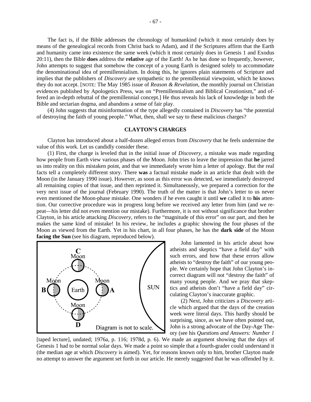The fact is, if the Bible addresses the chronology of humankind (which it most certainly does by means of the genealogical records from Christ back to Adam), and if the Scriptures affirm that the Earth and humanity came into existence the same week (which it most certainly does in Genesis 1 and Exodus 20:11), then the Bible **does** address the **relative** age of the Earth! As he has done so frequently, however, John attempts to suggest that somehow the concept of a young Earth is designed solely to accommodate the denominational idea of premillennialism. In doing this, he ignores plain statements of Scripture and implies that the publishers of *Discovery* are sympathetic to the premillennial viewpoint, which he knows they do not accept. [NOTE: The May 1985 issue of *Reason & Revelation*, the monthly journal on Christian evidences published by Apologetics Press, was on "Premillennialism and Biblical Creationism," and offered an in-depth rebuttal of the premillennial concept.] He thus reveals his lack of knowledge in both the Bible and sectarian dogma, and abandons a sense of fair play.

(4) John suggests that misinformation of the type allegedly contained in *Discovery* has "the potential of destroying the faith of young people." What, then, shall we say to these malicious charges?

# **CLAYTON'S CHARGES**

Clayton has introduced about a half-dozen alleged errors from *Discovery* that he feels undermine the value of this work. Let us candidly consider these.

(1) First, the charge is leveled that in the initial issue of *Discovery*, a mistake was made regarding how people from Earth view various phases of the Moon. John tries to leave the impression that **he** jarred us into reality on this mistaken point, and that we immediately wrote him a letter of apology. But the real facts tell a completely different story. There **was** a factual mistake made in an article that dealt with the Moon (in the January 1990 issue). However, as soon as this error was detected, we immediately destroyed all remaining copies of that issue, and then reprinted it. Simultaneously, we prepared a correction for the very next issue of the journal (February 1990). The truth of the matter is that John's letter to us never even mentioned the Moon-phase mistake. One wonders if he even caught it until **we** called it to **his** attention. Our corrective procedure was in progress long before we received any letter from him (and we repeat—his letter did not even mention our mistake). Furthermore, it is not without significance that brother Clayton, in his article attacking *Discovery*, refers to the "magnitude of this error" on our part, and then he makes the same kind of mistake! In his review, he includes a graphic showing the four phases of the Moon as viewed from the Earth. Yet in his chart, in all four phases, he has the **dark side** of the Moon **facing the Sun** (see his diagram, reproduced below).



John lamented in his article about how atheists and skeptics "have a field day" with such errors, and how that these errors allow atheists to "destroy the faith" of our young people. We certainly hope that John Clayton's incorrect diagram will not "destroy the faith" of many young people. And we pray that skeptics and atheists don't "have a field day" circulating Clayton's inaccurate graphic.

(2) Next, John criticizes a *Discovery* article which argued that the days of the creation week were literal days. This hardly should be surprising, since, as we have often pointed out, John is a strong advocate of the Day-Age Theory (see his *Questions and Answers: Number 1* 

[taped lecture], undated; 1976a, p. 116; 1978d, p. 6). We made an argument showing that the days of Genesis 1 had to be normal solar days. We made a point so simple that a fourth-grader could understand it (the median age at which *Discovery* is aimed). Yet, for reasons known only to him, brother Clayton made no attempt to answer the argument set forth in our article. He merely suggested that he was offended by it.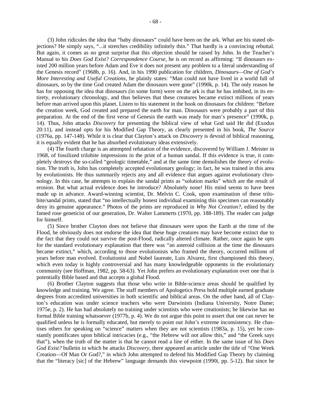(3) John ridicules the idea that "baby dinosaurs" could have been on the ark. What are his stated objections? He simply says, "...it stretches credibility infinitely thin." That hardly is a convincing rebuttal. But again, it comes as no great surprise that this objection should be raised by John. In the Teacher's Manual to his *Does God Exist? Correspondence Course*, he is on record as affirming: "If dinosaurs existed 200 million years before Adam and Eve it does not present any problem to a literal understanding of the Genesis record" (1968b, p. 16). And, in his 1990 publication for children, *Dinosaurs—One of God's More Interesting and Useful Creations*, he plainly states: "Man could not have lived in a world full of dinosaurs, so by the time God created Adam the dinosaurs were gone" (1990k, p. 14). The only reason he has for opposing the idea that dinosaurs (in some form) were on the ark is that he has imbibed, in its entirety, evolutionary chronology, and thus believes that these creatures became extinct millions of years before man arrived upon this planet. Listen to his statement in the book on dinosaurs for children: "Before the creation week, God created and prepared the earth for man. Dinosaurs were probably a part of this preparation. At the end of the first verse of Genesis the earth was ready for man's presence" (1990k, p. 14). Thus, John attacks *Discovery* for presenting the biblical view of what God said He did (Exodus 20:11), and instead opts for his Modified Gap Theory, as clearly presented in his book, *The Source*  (1976a, pp. 147-148). While it is clear that Clayton's attack on *Discovery* is devoid of biblical reasoning, it is equally evident that he has absorbed evolutionary ideas extensively.

(4) The fourth charge is an attempted refutation of the evidence, discovered by William J. Meister in 1968, of fossilized trilobite impressions in the print of a human sandal. If this evidence is true, it completely destroys the so-called "geologic timetable," and at the same time demolishes the theory of evolution. The truth is, John has completely accepted evolutionary geology; in fact, he was trained in this area by evolutionists. He thus summarily rejects any and all evidence that argues against evolutionary chronology. In this case, he attempts to explain the sandal prints as "solution marks" which are the result of erosion. But what actual evidence does he introduce? Absolutely none! His mind seems to have been made up in advance. Award-winning scientist, Dr. Melvin C. Cook, upon examination of these trilobite/sandal prints, stated that "no intellectually honest individual examining this specimen can reasonably deny its genuine appearance." Photos of the prints are reproduced in *Why Not Creation?*, edited by the famed rose geneticist of our generation, Dr. Walter Lammerts (1970, pp. 188-189). The reader can judge for himself.

(5) Since brother Clayton does not believe that dinosaurs were upon the Earth at the time of the Flood, he obviously does not endorse the idea that these huge creatures may have become extinct due to the fact that they could not survive the post-Flood, radically altered climate. Rather, once again he opts for the standard evolutionary explanation that there was "an asteroid collision at the time the dinosaurs became extinct," which, according to those evolutionists who framed the theory, occurred millions of years before man evolved. Evolutionist and Nobel laureate, Luis Alvarez, first championed this theory, which even today is highly controversial and has many knowledgeable opponents in the evolutionary community (see Hoffman, 1982, pp. 58-63). Yet John prefers an evolutionary explanation over one that is potentially Bible based and that accepts a global Flood.

(6) Brother Clayton suggests that those who write in Bible-science areas should be qualified by knowledge and training. We agree. The staff members of Apologetics Press hold multiple earned graduate degrees from accredited universities in both scientific and biblical areas. On the other hand, all of Clayton's education was under science teachers who were Darwinists (Indiana University, Notre Dame; 1975e, p. 2). He has had absolutely no training under scientists who were creationists; he likewise has no formal Bible training whatsoever (1977b, p. 4). We do not argue this point to assert that one can never be qualified unless he is formally educated, but merely to point out John's extreme inconsistency. He chastises others for speaking on "science" matters when they are not scientists (1983a, p. 15), yet he constantly pontificates upon biblical intricacies (e.g., "the Hebrew will not allow this," and "the Greek says that"), when the truth of the matter is that he cannot read a line of either. In the same issue of his *Does God Exist?* bulletin in which he attacks *Discovery*, there appeared an article under the title of "One Week Creation—Of Man Or God?," in which John attempted to defend his Modified Gap Theory by claiming that the "literacy [sic] of the Hebrew" language demands this viewpoint (1990i, pp. 5-12). But since he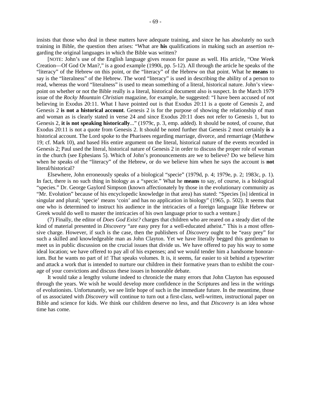insists that those who deal in these matters have adequate training, and since he has absolutely no such training in Bible, the question then arises: "What are **his** qualifications in making such an assertion regarding the original languages in which the Bible was written?

[NOTE: John's use of the English language gives reason for pause as well. His article, "One Week Creation—Of God Or Man?," is a good example (1990i, pp. 5-12). All through the article he speaks of the "literacy" of the Hebrew on this point, or the "literacy" of the Hebrew on that point. What he **means** to say is the "literalness" of the Hebrew. The word "literacy" is used in describing the ability of a person to read, whereas the word "literalness" is used to mean something of a literal, historical nature. John's viewpoint on whether or not the Bible really is a literal, historical document also is suspect. In the March 1979 issue of the *Rocky Mountain Christian* magazine, for example, he suggested: "I have been accused of not believing in Exodus 20:11. What I have pointed out is that Exodus 20:11 is a quote of Genesis 2, and Genesis 2 **is not a historical account**. Genesis 2 is for the purpose of showing the relationship of man and woman as is clearly stated in verse 24 and since Exodus 20:11 does not refer to Genesis 1, but to Genesis 2, **it is not speaking historically**..." (1979c, p. 3, emp. added). It should be noted, of course, that Exodus 20:11 is not a quote from Genesis 2. It should be noted further that Genesis 2 most certainly **is** a historical account. The Lord spoke to the Pharisees regarding marriage, divorce, and remarriage (Matthew 19; cf. Mark 10), and based His entire argument on the literal, historical nature of the events recorded in Genesis 2; Paul used the literal, historical nature of Genesis 2 in order to discuss the proper role of woman in the church (see Ephesians 5). Which of John's pronouncements are we to believe? Do we believe him when he speaks of the "literacy" of the Hebrew, or do we believe him when he says the account is **not**  literal/historical?

Elsewhere, John erroneously speaks of a biological "specie" (1979d, p. 4; 1979e, p. 2; 1983c, p. 1). In fact, there is no such thing in biology as a "specie." What he **means** to say, of course, is a biological "species." Dr. George Gaylord Simpson (known affectionately by those in the evolutionary community as "Mr. Evolution" because of his encyclopedic knowledge in that area) has stated: "Species [is] identical in singular and plural; 'specie' means 'coin' and has no application in biology" (1965, p. 502). It seems that one who is determined to instruct his audience in the intricacies of a foreign language like Hebrew or Greek would do well to master the intricacies of his own language prior to such a venture.]

(7) Finally, the editor of *Does God Exist?* charges that children who are reared on a steady diet of the kind of material presented in *Discovery* "are easy prey for a well-educated atheist." This is a most offensive charge. However, if such is the case, then the publishers of *Discovery* ought to be "easy prey" for such a skilled and knowledgeable man as John Clayton. Yet we have literally begged this gentleman to meet us in public discussion on the crucial issues that divide us. We have offered to pay his way to some ideal location; we have offered to pay all of his expenses; and we would tender him a handsome honorarium. But he wants no part of it! That speaks volumes. It is, it seems, far easier to sit behind a typewriter and attack a work that is intended to nurture our children in their formative years than to exhibit the courage of your convictions and discuss these issues in honorable debate.

It would take a lengthy volume indeed to chronicle the many errors that John Clayton has espoused through the years. We wish he would develop more confidence in the Scriptures and less in the writings of evolutionists. Unfortunately, we see little hope of such in the immediate future. In the meantime, those of us associated with *Discovery* will continue to turn out a first-class, well-written, instructional paper on Bible and science for kids. We think our children deserve no less, and that *Discovery* is an idea whose time has come.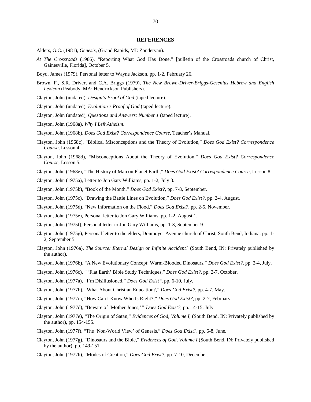## **REFERENCES**

- Alders, G.C. (1981), *Genesis,* (Grand Rapids, MI: Zondervan).
- *At The Crossroads* (1986), "Reporting What God Has Done," [bulletin of the Crossroads church of Christ, Gainesville, Florida], October 5.
- Boyd, James (1979), Personal letter to Wayne Jackson, pp. 1-2, February 26.
- Brown, F., S.R. Driver, and C.A. Briggs (1979), *The New Brown-Driver-Briggs-Gesenius Hebrew and English Lexicon* (Peabody, MA: Hendrickson Publishers).
- Clayton, John (undated), *Design's Proof of God* (taped lecture).
- Clayton, John (undated), *Evolution's Proof of God* (taped lecture).
- Clayton, John (undated), *Questions and Answers: Number 1* (taped lecture).
- Clayton, John (1968a), *Why I Left Atheism*.
- Clayton, John (1968b), *Does God Exist? Correspondence Course*, Teacher's Manual.
- Clayton, John (1968c), "Biblical Misconceptions and the Theory of Evolution," *Does God Exist? Correspondence Course*, Lesson 4.
- Clayton, John (1968d), "Misconceptions About the Theory of Evolution," *Does God Exist? Correspondence Course*, Lesson 5.
- Clayton, John (1968e), "The History of Man on Planet Earth," *Does God Exist? Correspondence Course*, Lesson 8.
- Clayton, John (1975a), Letter to Jon Gary Williams, pp. 1-2, July 3.
- Clayton, John (1975b), "Book of the Month," *Does God Exist?*, pp. 7-8, September.
- Clayton, John (1975c), "Drawing the Battle Lines on Evolution," *Does God Exist?*, pp. 2-4, August.
- Clayton, John (1975d), "New Information on the Flood," *Does God Exist?*, pp. 2-5, November.
- Clayton, John (1975e), Personal letter to Jon Gary Williams, pp. 1-2, August 1.
- Clayton, John (1975f), Personal letter to Jon Gary Williams, pp. 1-3, September 9.
- Clayton, John (1975g), Personal letter to the elders, Donmoyer Avenue church of Christ, South Bend, Indiana, pp. 1 2, September 5.
- Clayton, John (1976a), *The Source: Eternal Design or Infinite Accident?* (South Bend, IN: Privately published by the author).
- Clayton, John (1976b), "A New Evolutionary Concept: Warm-Blooded Dinosaurs," *Does God Exist?*, pp. 2-4, July.
- Clayton, John (1976c), " 'Flat Earth' Bible Study Techniques," *Does God Exist?*, pp. 2-7, October.
- Clayton, John (1977a), "I'm Disillusioned," *Does God Exist?*, pp. 6-10, July.
- Clayton, John (1977b), "What About Christian Education?," *Does God Exist?*, pp. 4-7, May.
- Clayton, John (1977c), "How Can I Know Who Is Right?," *Does God Exist?*, pp. 2-7, February.
- Clayton, John (1977d), "Beware of 'Mother Jones,' " *Does God Exist?*, pp. 14-15, July.
- Clayton, John (1977e), "The Origin of Satan," *Evidences of God*, *Volume I*, (South Bend, IN: Privately published by the author), pp. 154-155.
- Clayton, John (1977f), "The 'Non-World View' of Genesis," *Does God Exist?*, pp. 6-8, June.
- Clayton, John (1977g), "Dinosaurs and the Bible," *Evidences of God, Volume I* (South Bend, IN: Privately published by the author), pp. 149-151.
- Clayton, John (1977h), "Modes of Creation," *Does God Exist?*, pp. 7-10, December.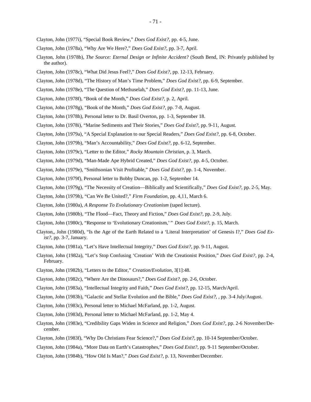- Clayton, John (1977i), "Special Book Review," *Does God Exist?*, pp. 4-5, June.
- Clayton, John (1978a), "Why Are We Here?," *Does God Exist?*, pp. 3-7, April.
- Clayton, John (1978b), *The Source: Eternal Design or Infinite Accident?* (South Bend, IN: Privately published by the author).
- Clayton, John (1978c), "What Did Jesus Feel?," *Does God Exist?*, pp. 12-13, February.
- Clayton, John (1978d), "The History of Man's Time Problem," *Does God Exist?*, pp. 6-9, September.
- Clayton, John (1978e), "The Question of Methuselah," *Does God Exist?*, pp. 11-13, June.
- Clayton, John (1978f), "Book of the Month," *Does God Exist?*, p. 2, April.
- Clayton, John (1978g), "Book of the Month," *Does God Exist?*, pp. 7-8, August.
- Clayton, John (1978h), Personal letter to Dr. Basil Overton, pp. 1-3, September 18.
- Clayton, John (1978i), "Marine Sediments and Their Stories," *Does God Exist?*, pp. 9-11, August.
- Clayton, John (1979a), "A Special Explanation to our Special Readers," *Does God Exist?*, pp. 6-8, October.
- Clayton, John (1979b), "Man's Accountability," *Does God Exist?*, pp. 6-12, September.
- Clayton, John (1979c), "Letter to the Editor," *Rocky Mountain Christian*, p. 3, March.
- Clayton, John (1979d), "Man-Made Ape Hybrid Created," *Does God Exist?*, pp. 4-5, October.
- Clayton, John (1979e), "Smithsonian Visit Profitable," *Does God Exist?*, pp. 1-4, November.
- Clayton, John (1979f), Personal letter to Bobby Duncan, pp. 1-2, September 14.
- Clayton, John (1979g), "The Necessity of Creation—Biblically and Scientifically," *Does God Exist?*, pp. 2-5, May.
- Clayton, John (1979h), "Can We Be United?," *Firm Foundation*, pp. 4,11, March 6.
- Clayton, John (1980a), *A Response To Evolutionary Creationism* (taped lecture).
- Clayton, John (1980b), "The Flood—Fact, Theory and Fiction," *Does God Exist?*, pp. 2-9, July.
- Clayton, John (1980c), "Response to 'Evolutionary Creationism,' " *Does God Exist?*, p. 15, March.
- Clayton,, John (1980d), "Is the Age of the Earth Related to a 'Literal Interpretation' of Genesis I?," *Does God Exist?*, pp. 3-7, January.
- Clayton, John (1981a), "Let's Have Intellectual Integrity," *Does God Exist?*, pp. 9-11, August.
- Clayton, John (1982a), "Let's Stop Confusing 'Creation' With the Creationist Position," *Does God Exist?*, pp. 2-4, February.
- Clayton, John (1982b), "Letters to the Editor," *Creation/Evolution*, 3[1]:48.
- Clayton, John (1982c), "Where Are the Dinosaurs?," *Does God Exist?*, pp. 2-6, October.
- Clayton, John (1983a), "Intellectual Integrity and Faith," *Does God Exist?*, pp. 12-15, March/April.
- Clayton, John (1983b), "Galactic and Stellar Evolution and the Bible," *Does God Exist?*, , pp. 3-4 July/August.
- Clayton, John (1983c), Personal letter to Michael McFarland, pp. 1-2, August.
- Clayton, John (1983d), Personal letter to Michael McFarland, pp. 1-2, May 4.
- Clayton, John (1983e), "Credibility Gaps Widen in Science and Religion," *Does God Exist?*, pp. 2-6 November/December.
- Clayton, John (1983f), "Why Do Christians Fear Science?," *Does God Exist?*, pp. 10-14 September/October.
- Clayton, John (1984a), "More Data on Earth's Catastrophes," *Does God Exist?*, pp. 9-11 September/October.
- Clayton, John (1984b), "How Old Is Man?," *Does God Exist?*, p. 13, November/December.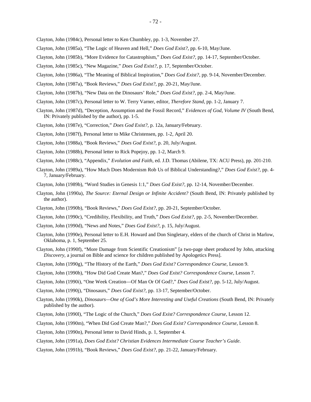Clayton, John (1984c), Personal letter to Ken Chumbley, pp. 1-3, November 27.

- Clayton, John (1985a), "The Logic of Heaven and Hell," *Does God Exist?*, pp. 6-10, May/June.
- Clayton, John (1985b), "More Evidence for Catastrophism," *Does God Exist?*, pp. 14-17, September/October.
- Clayton, John (1985c), "New Magazine," *Does God Exist?*, p. 17, September/October.
- Clayton, John (1986a), "The Meaning of Biblical Inspiration," *Does God Exist?*, pp. 9-14, November/December.
- Clayton, John (1987a), "Book Reviews," *Does God Exist?*, pp. 20-21, May/June.
- Clayton, John (1987b), "New Data on the Dinosaurs' Role," *Does God Exist?*, pp. 2-4, May/June.
- Clayton, John (1987c), Personal letter to W. Terry Varner, editor, *Therefore Stand*, pp. 1-2, January 7.
- Clayton, John (1987d), "Deception, Assumption and the Fossil Record," *Evidences of God, Volume IV* (South Bend, IN: Privately published by the author), pp. 1-5.
- Clayton, John (1987e), "Correction," *Does God Exist?*, p. 12a, January/February.
- Clayton, John (1987f), Personal letter to Mike Christensen, pp. 1-2, April 20.
- Clayton, John (1988a), "Book Reviews," *Does God Exist?*, p. 20, July/August.
- Clayton, John (1988b), Personal letter to Rick Popejoy, pp. 1-2, March 9.
- Clayton, John (1988c), "Appendix," *Evolution and Faith*, ed. J.D. Thomas (Abilene, TX: ACU Press), pp. 201-210.
- Clayton, John (1989a), "How Much Does Modernism Rob Us of Biblical Understanding?," *Does God Exist?*, pp. 4 7, January/February.
- Clayton, John (1989b), "Word Studies in Genesis 1:1," *Does God Exist?*, pp. 12-14, November/December.
- Clayton, John (1990a), *The Source: Eternal Design or Infinite Accident?* (South Bend, IN: Privately published by the author).
- Clayton, John (1990b), "Book Reviews," *Does God Exist?*, pp. 20-21, September/October.
- Clayton, John (1990c), "Credibility, Flexibility, and Truth," *Does God Exist?*, pp. 2-5, November/December.
- Clayton, John (1990d), "News and Notes," *Does God Exist?*, p. 15, July/August.
- Clayton, John (1990e), Personal letter to E.H. Howard and Don Singletary, elders of the church of Christ in Marlow, Oklahoma, p. 1, September 25.
- Clayton, John (1990f), "More Damage from Scientific Creationism" [a two-page sheet produced by John, attacking *Discovery*, a journal on Bible and science for children published by Apologetics Press].
- Clayton, John (1990g), "The History of the Earth," *Does God Exist? Correspondence Course*, Lesson 9.
- Clayton, John (1990h), "How Did God Create Man?," *Does God Exist? Correspondence Course*, Lesson 7.
- Clayton, John (1990i), "One Week Creation—Of Man Or Of God?," *Does God Exist?*, pp. 5-12, July/August.
- Clayton, John (1990j), "Dinosaurs," *Does God Exist?*, pp. 13-17, September/October.
- Clayton, John (1990k), *Dinosaurs—One of God's More Interesting and Useful Creations* (South Bend, IN: Privately published by the author).
- Clayton, John (1990l), "The Logic of the Church," *Does God Exist? Correspondence Course*, Lesson 12.
- Clayton, John (1990m), "When Did God Create Man?," *Does God Exist? Correspondence Course*, Lesson 8.
- Clayton, John (1990n), Personal letter to David Hinds, p. 1, September 4.
- Clayton, John (1991a), *Does God Exist? Christian Evidences Intermediate Course Teacher's Guide*.
- Clayton, John (1991b), "Book Reviews," *Does God Exist?*, pp. 21-22, January/February.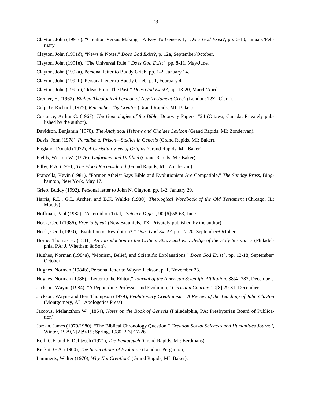- Clayton, John (1991c), "Creation Versus Making—A Key To Genesis 1," *Does God Exist?*, pp. 6-10, January/February.
- Clayton, John (1991d), "News & Notes," *Does God Exist?*, p. 12a, September/October.
- Clayton, John (1991e), "The Universal Rule," *Does God Exist?*, pp. 8-11, May/June.
- Clayton, John (1992a), Personal letter to Buddy Grieb, pp. 1-2, January 14.
- Clayton, John (1992b), Personal letter to Buddy Grieb, p. 1, February 4.
- Clayton, John (1992c), "Ideas From The Past," *Does God Exist?*, pp. 13-20, March/April.
- Cremer, H. (1962), *Biblico-Theological Lexicon of New Testament Greek* (London: T&T Clark).
- Culp, G. Richard (1975), *Remember Thy Creator* (Grand Rapids, MI: Baker).
- Custance, Arthur C. (1967), *The Genealogies of the Bible*, Doorway Papers, #24 (Ottawa, Canada: Privately published by the author).
- Davidson, Benjamin (1970), *The Analytical Hebrew and Chaldee Lexicon* (Grand Rapids, MI: Zondervan).
- Davis, John (1978), *Paradise to Prison—Studies in Genesis* (Grand Rapids, MI: Baker).
- England, Donald (1972), *A Christian View of Origins* (Grand Rapids, MI: Baker).
- Fields, Weston W. (1976), *Unformed and Unfilled* (Grand Rapids, MI: Baker)
- Filby, F.A. (1970), *The Flood Reconsidered* (Grand Rapids, MI: Zondervan).
- Francella, Kevin (1981), "Former Atheist Says Bible and Evolutionism Are Compatible," *The Sunday Press*, Binghamton, New York, May 17.
- Grieb, Buddy (1992), Personal letter to John N. Clayton, pp. 1-2, January 29.
- Harris, R.L., G.L. Archer, and B.K. Waltke (1980), *Theological Wordbook of the Old Testament* (Chicago, IL: Moody).
- Hoffman, Paul (1982), "Asteroid on Trial," *Science Digest*, 90:[6]:58-63, June.
- Hook, Cecil (1986), *Free to Speak* (New Braunfels, TX: Privately published by the author).
- Hook, Cecil (1990), "Evolution or Revolution?," *Does God Exist?*, pp. 17-20, September/October.
- Horne, Thomas H. (1841), *An Introduction to the Critical Study and Knowledge of the Holy Scriptures* (Philadelphia, PA: J. Whetham & Son).
- Hughes, Norman (1984a), "Monism, Belief, and Scientific Explanations," *Does God Exist?*, pp. 12-18, September/ October.
- Hughes, Norman (1984b), Personal letter to Wayne Jackson, p. 1, November 23.
- Hughes, Norman (1986), "Letter to the Editor," *Journal of the American Scientific Affiliation*, 38[4]:282, December.
- Jackson, Wayne (1984), "A Pepperdine Professor and Evolution," *Christian Courier*, 20[8]:29-31, December.
- Jackson, Wayne and Bert Thompson (1979), *Evolutionary Creationism—A Review of the Teaching of John Clayton*  (Montgomery, AL: Apologetics Press).
- Jacobus, Melancthon W. (1864), *Notes on the Book of Genesis* (Philadelphia, PA: Presbyterian Board of Publication).
- Jordan, James (1979/1980), "The Biblical Chronology Question," *Creation Social Sciences and Humanities Journal*, Winter, 1979, 2[2]:9-15; Spring, 1980, 2[3]:17-26.
- Keil, C.F. and F. Delitzsch (1971), *The Pentateuch* (Grand Rapids, MI: Eerdmans).
- Kerkut, G.A. (1960), *The Implications of Evolution* (London: Pergamon).
- Lammerts, Walter (1970), *Why Not Creation?* (Grand Rapids, MI: Baker).